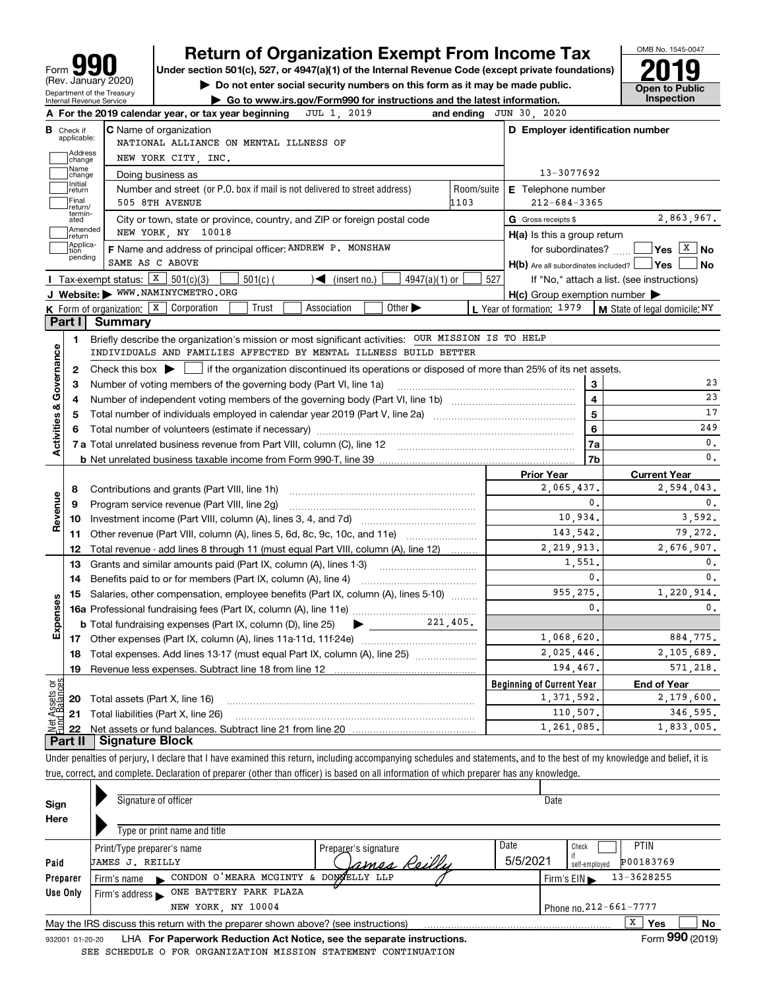| IQ)<br>Form                                                   |
|---------------------------------------------------------------|
| (Rev. January 2020)                                           |
| Department of the Treasury<br><b>Internal Revenue Service</b> |

## **Return of Organization Exempt From Income Tax**

Under section 501(c), 527, or 4947(a)(1) of the Internal Revenue Code (except private foundations) **2019** 

**| Do not enter social security numbers on this form as it may be made public.**



**| Go to www.irs.gov/Form990 for instructions and the latest information. Inspection**

|                              | JUL 1, 2019<br>A For the 2019 calendar year, or tax year beginning                                                                       |            | and ending JUN 30, 2020                             |                                            |
|------------------------------|------------------------------------------------------------------------------------------------------------------------------------------|------------|-----------------------------------------------------|--------------------------------------------|
| В<br>Check if<br>applicable: | <b>C</b> Name of organization<br>NATIONAL ALLIANCE ON MENTAL ILLNESS OF                                                                  |            | D Employer identification number                    |                                            |
| Address<br>change            | NEW YORK CITY, INC.                                                                                                                      |            |                                                     |                                            |
| Name<br>change               | Doing business as                                                                                                                        |            | 13-3077692                                          |                                            |
| Initial<br>return            | Number and street (or P.O. box if mail is not delivered to street address)                                                               | Room/suite | E Telephone number                                  |                                            |
| Final<br>return/             | 505 8TH AVENUE                                                                                                                           | 1103       | $212 - 684 - 3365$                                  |                                            |
| termin-<br>ated              | City or town, state or province, country, and ZIP or foreign postal code                                                                 |            | G Gross receipts \$                                 | 2,863,967.                                 |
| Amended<br>Ireturn           | NEW YORK, NY 10018                                                                                                                       |            | $H(a)$ is this a group return                       |                                            |
| Applica-<br>tion<br>pending  | F Name and address of principal officer: ANDREW P. MONSHAW                                                                               |            | for subordinates?                                   | $Yes \quad \boxed{X}$ No                   |
|                              | SAME AS C ABOVE                                                                                                                          |            | $H(b)$ Are all subordinates included? $\vert$ Yes   | No                                         |
|                              | Tax-exempt status: $X \over 301(c)(3)$<br>$501(c)$ (<br>$\mathcal{A}$ (insert no.)<br>$4947(a)(1)$ or                                    | 527        |                                                     | If "No," attach a list. (see instructions) |
|                              | J Website: > WWW.NAMINYCMETRO.ORG                                                                                                        |            | $H(c)$ Group exemption number $\blacktriangleright$ |                                            |
|                              | Trust<br>Other $\blacktriangleright$<br><b>K</b> Form of organization: $\boxed{\textbf{x}}$ Corporation<br>Association                   |            | L Year of formation: 1979                           | M State of legal domicile: NY              |
| Part I                       | Summary                                                                                                                                  |            |                                                     |                                            |
| 1.                           | Briefly describe the organization's mission or most significant activities: OUR MISSION IS TO HELP                                       |            |                                                     |                                            |
|                              | INDIVIDUALS AND FAMILIES AFFECTED BY MENTAL ILLNESS BUILD BETTER                                                                         |            |                                                     |                                            |
|                              | 2 Check this box $\blacktriangleright$   if the organization discontinued its operations or disposed of more than 25% of its net assets. |            |                                                     |                                            |
| 3                            | Number of voting members of the governing body (Part VI, line 1a)                                                                        |            | 3                                                   | 23                                         |
| 4                            |                                                                                                                                          |            | $\overline{4}$                                      | 23                                         |
| 5                            | Total number of individuals employed in calendar year 2019 (Part V, line 2a)                                                             |            | 5                                                   | 17                                         |
| 6                            |                                                                                                                                          |            | 6                                                   | 249                                        |
| Activities & Governance      |                                                                                                                                          |            | 7a                                                  | $\mathbf{0}$ .                             |
|                              |                                                                                                                                          |            | 7b                                                  | $\mathbf{0}$ .                             |
|                              |                                                                                                                                          |            | <b>Prior Year</b>                                   | <b>Current Year</b>                        |
| 8                            | Contributions and grants (Part VIII, line 1h)                                                                                            |            | 2.065.437.                                          | 2,594,043.                                 |
| 9                            | Program service revenue (Part VIII, line 2g)                                                                                             |            | $\mathbf{0}$ .                                      | $\mathbf{0}$ .                             |
| Revenue<br>10                | Investment income (Part VIII, column (A), lines 3, 4, and 7d)                                                                            |            | 10,934.                                             | 3.592.                                     |
| 11                           | Other revenue (Part VIII, column (A), lines 5, 6d, 8c, 9c, 10c, and 11e)                                                                 |            | 143.542.                                            | 79.272.                                    |
| 12                           | Total revenue - add lines 8 through 11 (must equal Part VIII, column (A), line 12)                                                       |            | 2, 219, 913.                                        | 2,676,907.                                 |
| 13                           | Grants and similar amounts paid (Part IX, column (A), lines 1-3)                                                                         |            | 1,551,                                              | 0.                                         |
| 14                           |                                                                                                                                          |            | 0.                                                  | $\mathbf{0}$ .                             |
| 15                           | Salaries, other compensation, employee benefits (Part IX, column (A), lines 5-10)                                                        |            | 955.275.                                            | 1,220,914.                                 |
| Expenses                     |                                                                                                                                          |            | $\mathbf{0}$ .                                      | 0.                                         |
|                              | $\sum$ 221,405.<br><b>b</b> Total fundraising expenses (Part IX, column (D), line 25)                                                    |            |                                                     |                                            |
|                              |                                                                                                                                          |            | 1,068,620.                                          | 884,775.                                   |
| 18                           | Total expenses. Add lines 13-17 (must equal Part IX, column (A), line 25)                                                                |            | 2.025.446.                                          | 2.105.689.                                 |
| 19                           |                                                                                                                                          |            | 194.467.                                            | 571,218.                                   |
| وَقِ<br>5q                   |                                                                                                                                          |            | <b>Beginning of Current Year</b>                    | <b>End of Year</b>                         |
|                              | 20 Total assets (Part X, line 16)                                                                                                        |            | 1,371,592.                                          | 2,179,600.                                 |
|                              | 21 Total liabilities (Part X, line 26)                                                                                                   |            | 110.507.                                            | 346.595.                                   |
| 22                           |                                                                                                                                          |            | 1,261,085.                                          | 1,833,005.                                 |

Under penalties of perjury, I declare that I have examined this return, including accompanying schedules and statements, and to the best of my knowledge and belief, it is true, correct, and complete. Declaration of preparer (other than officer) is based on all information of which preparer has any knowledge.

| Sign            | Signature of officer                                                              |                      | Date     |                                                |
|-----------------|-----------------------------------------------------------------------------------|----------------------|----------|------------------------------------------------|
| Here            |                                                                                   |                      |          |                                                |
|                 | Type or print name and title                                                      |                      |          |                                                |
|                 | Print/Type preparer's name                                                        | Preparer's signature | Date     | <b>PTIN</b><br>Check                           |
| Paid            | <b>JAMES J. REILLY</b>                                                            | James Reilly         | 5/5/2021 | P00183769<br>self-emploved                     |
| Preparer        | CONDON O'MEARA MCGINTY & DOMMELLY LLP<br>Firm's name                              |                      |          | 13-3628255<br>Firm's $EIN \blacktriangleright$ |
| Use Only        | ONE BATTERY PARK PLAZA<br>Firm's address $\blacktriangleright$                    |                      |          |                                                |
|                 | NEW YORK, NY 10004                                                                |                      |          | Phone no. 212-661-7777                         |
|                 | May the IRS discuss this return with the preparer shown above? (see instructions) |                      |          | х<br>No<br><b>Yes</b>                          |
| 932001 01-20-20 | LHA For Paperwork Reduction Act Notice, see the separate instructions.            |                      |          | Form 990 (2019)                                |

932001 01-20-20 LHA **For Paperwork Reduction Act Notice, see the separate instructions.**<br>EDIILE O FOR ORGANIZATION MISSION STATEMENT CONTINIIATION SEE SCHEDULE O FOR ORGANIZATION MISSION STATEMENT CONTINUATION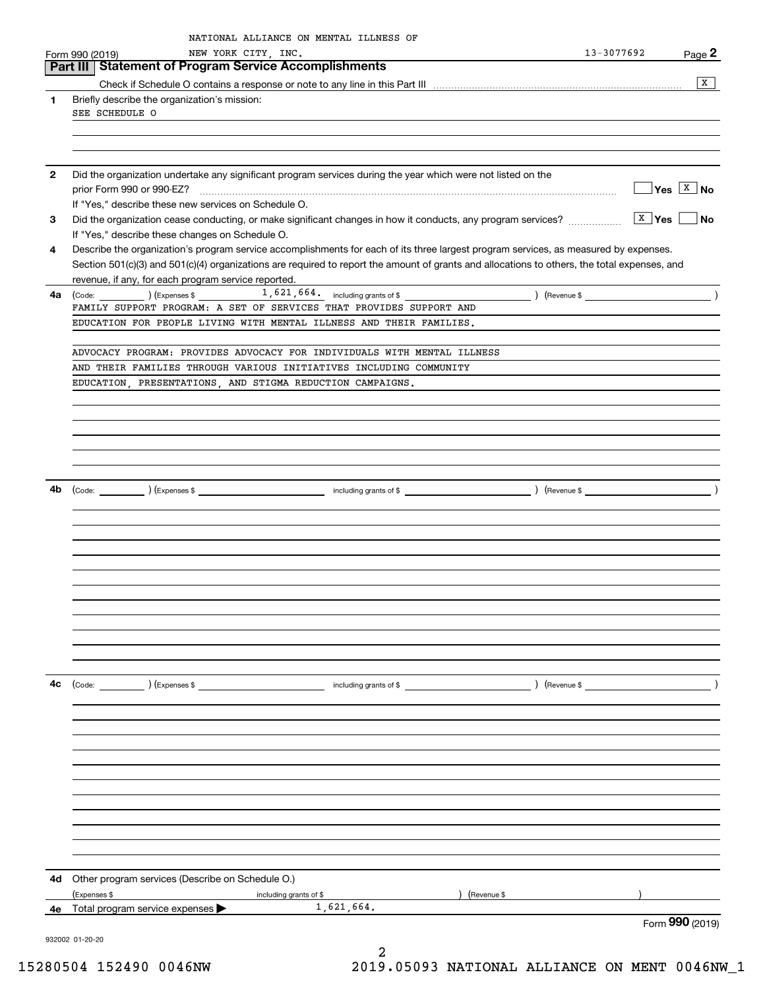|              | Form 990 (2019)                                                  | NEW YORK CITY, INC.    | NATIONAL ALLIANCE ON MENTAL ILLNESS OF                                                                                                                                                                                                                         |            | 13-3077692                                                    | Page 2                                       |
|--------------|------------------------------------------------------------------|------------------------|----------------------------------------------------------------------------------------------------------------------------------------------------------------------------------------------------------------------------------------------------------------|------------|---------------------------------------------------------------|----------------------------------------------|
|              | Part III   Statement of Program Service Accomplishments          |                        |                                                                                                                                                                                                                                                                |            |                                                               |                                              |
|              |                                                                  |                        |                                                                                                                                                                                                                                                                |            |                                                               | X                                            |
| 1            | Briefly describe the organization's mission:                     |                        |                                                                                                                                                                                                                                                                |            |                                                               |                                              |
|              | SEE SCHEDULE O                                                   |                        |                                                                                                                                                                                                                                                                |            |                                                               |                                              |
|              |                                                                  |                        |                                                                                                                                                                                                                                                                |            |                                                               |                                              |
|              |                                                                  |                        |                                                                                                                                                                                                                                                                |            |                                                               |                                              |
| $\mathbf{2}$ |                                                                  |                        | Did the organization undertake any significant program services during the year which were not listed on the                                                                                                                                                   |            |                                                               |                                              |
|              | prior Form 990 or 990-EZ?                                        |                        |                                                                                                                                                                                                                                                                |            |                                                               | $\sqrt{\mathsf{Yes}}$ $\sqrt{\mathsf{X}}$ No |
|              | If "Yes," describe these new services on Schedule O.             |                        |                                                                                                                                                                                                                                                                |            |                                                               |                                              |
| 3            |                                                                  |                        | Did the organization cease conducting, or make significant changes in how it conducts, any program services?                                                                                                                                                   |            | $\boxed{\text{X}}$ Yes                                        | <b>No</b>                                    |
|              | If "Yes," describe these changes on Schedule O.                  |                        |                                                                                                                                                                                                                                                                |            |                                                               |                                              |
| 4            |                                                                  |                        | Describe the organization's program service accomplishments for each of its three largest program services, as measured by expenses.                                                                                                                           |            |                                                               |                                              |
|              |                                                                  |                        | Section 501(c)(3) and 501(c)(4) organizations are required to report the amount of grants and allocations to others, the total expenses, and                                                                                                                   |            |                                                               |                                              |
|              | revenue, if any, for each program service reported.              |                        |                                                                                                                                                                                                                                                                |            | $\left($ Revenue \$ $\frac{1}{2}$ (Revenue \$ $\frac{1}{2}$ ) |                                              |
| 4a           |                                                                  |                        | $\left(\text{Code:}\ \_\_\_\_\_\_\_\right)$ $\left(\text{Expenses $}\ \text{S}\ \_\_\_\_\_\_\_\_\_\_ \right)$ $\left(\text{Expenses $}\ \text{S}\ \_\_\_\_\_\_\_\_\_\_\_\_\_\_ \right)$<br>FAMILY SUPPORT PROGRAM: A SET OF SERVICES THAT PROVIDES SUPPORT AND |            |                                                               |                                              |
|              |                                                                  |                        | EDUCATION FOR PEOPLE LIVING WITH MENTAL ILLNESS AND THEIR FAMILIES.                                                                                                                                                                                            |            |                                                               |                                              |
|              |                                                                  |                        |                                                                                                                                                                                                                                                                |            |                                                               |                                              |
|              |                                                                  |                        | ADVOCACY PROGRAM: PROVIDES ADVOCACY FOR INDIVIDUALS WITH MENTAL ILLNESS                                                                                                                                                                                        |            |                                                               |                                              |
|              |                                                                  |                        | AND THEIR FAMILIES THROUGH VARIOUS INITIATIVES INCLUDING COMMUNITY                                                                                                                                                                                             |            |                                                               |                                              |
|              | EDUCATION, PRESENTATIONS, AND STIGMA REDUCTION CAMPAIGNS.        |                        |                                                                                                                                                                                                                                                                |            |                                                               |                                              |
|              |                                                                  |                        |                                                                                                                                                                                                                                                                |            |                                                               |                                              |
|              |                                                                  |                        |                                                                                                                                                                                                                                                                |            |                                                               |                                              |
|              |                                                                  |                        |                                                                                                                                                                                                                                                                |            |                                                               |                                              |
|              |                                                                  |                        |                                                                                                                                                                                                                                                                |            |                                                               |                                              |
|              |                                                                  |                        |                                                                                                                                                                                                                                                                |            |                                                               |                                              |
| 4b           |                                                                  |                        |                                                                                                                                                                                                                                                                |            |                                                               |                                              |
|              |                                                                  |                        |                                                                                                                                                                                                                                                                |            |                                                               |                                              |
|              |                                                                  |                        |                                                                                                                                                                                                                                                                |            |                                                               |                                              |
|              |                                                                  |                        |                                                                                                                                                                                                                                                                |            |                                                               |                                              |
|              |                                                                  |                        |                                                                                                                                                                                                                                                                |            |                                                               |                                              |
|              |                                                                  |                        |                                                                                                                                                                                                                                                                |            |                                                               |                                              |
|              |                                                                  |                        |                                                                                                                                                                                                                                                                |            |                                                               |                                              |
|              |                                                                  |                        |                                                                                                                                                                                                                                                                |            |                                                               |                                              |
|              |                                                                  |                        |                                                                                                                                                                                                                                                                |            |                                                               |                                              |
|              |                                                                  |                        |                                                                                                                                                                                                                                                                |            |                                                               |                                              |
|              |                                                                  |                        |                                                                                                                                                                                                                                                                |            |                                                               |                                              |
|              |                                                                  |                        |                                                                                                                                                                                                                                                                |            |                                                               |                                              |
| 4с           | $\text{(Code:}$ $\qquad \qquad$ $\text{(Expenses $}$             |                        | including grants of \$                                                                                                                                                                                                                                         |            | $($ Revenue \$                                                | $\rightarrow$                                |
|              |                                                                  |                        |                                                                                                                                                                                                                                                                |            |                                                               |                                              |
|              |                                                                  |                        |                                                                                                                                                                                                                                                                |            |                                                               |                                              |
|              |                                                                  |                        |                                                                                                                                                                                                                                                                |            |                                                               |                                              |
|              |                                                                  |                        |                                                                                                                                                                                                                                                                |            |                                                               |                                              |
|              |                                                                  |                        |                                                                                                                                                                                                                                                                |            |                                                               |                                              |
|              |                                                                  |                        |                                                                                                                                                                                                                                                                |            |                                                               |                                              |
|              |                                                                  |                        |                                                                                                                                                                                                                                                                |            |                                                               |                                              |
|              |                                                                  |                        |                                                                                                                                                                                                                                                                |            |                                                               |                                              |
|              |                                                                  |                        |                                                                                                                                                                                                                                                                |            |                                                               |                                              |
|              |                                                                  |                        |                                                                                                                                                                                                                                                                |            |                                                               |                                              |
|              |                                                                  |                        |                                                                                                                                                                                                                                                                |            |                                                               |                                              |
|              |                                                                  |                        |                                                                                                                                                                                                                                                                |            |                                                               |                                              |
| 4d           | Other program services (Describe on Schedule O.)<br>(Expenses \$ | including grants of \$ |                                                                                                                                                                                                                                                                | Revenue \$ |                                                               |                                              |
| 4е           | Total program service expenses                                   |                        | 1,621,664.                                                                                                                                                                                                                                                     |            |                                                               |                                              |
|              |                                                                  |                        |                                                                                                                                                                                                                                                                |            |                                                               | Form 990 (2019)                              |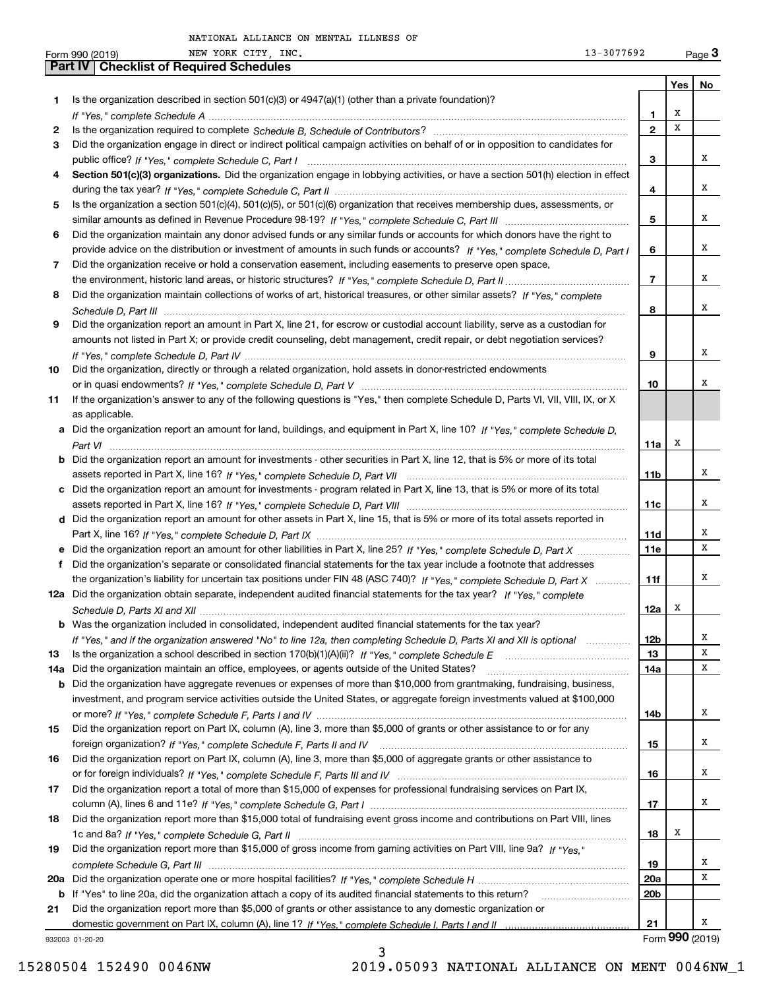|     | NEW YORK CITY, INC.<br>13-3077692<br>Form 990 (2019)                                                                                  |                 |     | Page $3$        |
|-----|---------------------------------------------------------------------------------------------------------------------------------------|-----------------|-----|-----------------|
|     | <b>Part IV   Checklist of Required Schedules</b>                                                                                      |                 |     |                 |
|     |                                                                                                                                       |                 | Yes | No              |
| 1   | Is the organization described in section $501(c)(3)$ or $4947(a)(1)$ (other than a private foundation)?                               |                 |     |                 |
|     |                                                                                                                                       | 1               | х   |                 |
| 2   |                                                                                                                                       | $\mathbf{2}$    | X   |                 |
| 3   | Did the organization engage in direct or indirect political campaign activities on behalf of or in opposition to candidates for       |                 |     |                 |
|     |                                                                                                                                       | 3               |     | х               |
| 4   | Section 501(c)(3) organizations. Did the organization engage in lobbying activities, or have a section 501(h) election in effect      |                 |     |                 |
|     |                                                                                                                                       | 4               |     | x               |
| 5   | Is the organization a section 501(c)(4), 501(c)(5), or 501(c)(6) organization that receives membership dues, assessments, or          |                 |     |                 |
|     |                                                                                                                                       | 5               |     | X               |
| 6   | Did the organization maintain any donor advised funds or any similar funds or accounts for which donors have the right to             |                 |     |                 |
|     | provide advice on the distribution or investment of amounts in such funds or accounts? If "Yes," complete Schedule D, Part I          | 6               |     | X               |
| 7   | Did the organization receive or hold a conservation easement, including easements to preserve open space,                             |                 |     |                 |
|     |                                                                                                                                       | $\overline{7}$  |     | х               |
| 8   | Did the organization maintain collections of works of art, historical treasures, or other similar assets? If "Yes," complete          |                 |     |                 |
|     |                                                                                                                                       | 8               |     | х               |
| 9   | Did the organization report an amount in Part X, line 21, for escrow or custodial account liability, serve as a custodian for         |                 |     |                 |
|     | amounts not listed in Part X; or provide credit counseling, debt management, credit repair, or debt negotiation services?             |                 |     |                 |
|     |                                                                                                                                       | 9               |     | х               |
| 10  | Did the organization, directly or through a related organization, hold assets in donor-restricted endowments                          |                 |     |                 |
|     |                                                                                                                                       | 10              |     | х               |
| 11  | If the organization's answer to any of the following questions is "Yes," then complete Schedule D, Parts VI, VII, VIII, IX, or X      |                 |     |                 |
|     | as applicable.                                                                                                                        |                 |     |                 |
|     | a Did the organization report an amount for land, buildings, and equipment in Part X, line 10? If "Yes," complete Schedule D,         |                 |     |                 |
|     |                                                                                                                                       | 11a             | х   |                 |
|     | <b>b</b> Did the organization report an amount for investments - other securities in Part X, line 12, that is 5% or more of its total |                 |     |                 |
|     |                                                                                                                                       | 11 <sub>b</sub> |     | х               |
|     | c Did the organization report an amount for investments - program related in Part X, line 13, that is 5% or more of its total         |                 |     |                 |
|     |                                                                                                                                       | 11c             |     | х               |
|     | d Did the organization report an amount for other assets in Part X, line 15, that is 5% or more of its total assets reported in       |                 |     |                 |
|     |                                                                                                                                       | 11d             |     | х               |
|     |                                                                                                                                       |                 |     | х               |
|     | e Did the organization report an amount for other liabilities in Part X, line 25? If "Yes," complete Schedule D, Part X               | <b>11e</b>      |     |                 |
| f   | Did the organization's separate or consolidated financial statements for the tax year include a footnote that addresses               |                 |     | х               |
|     | the organization's liability for uncertain tax positions under FIN 48 (ASC 740)? If "Yes," complete Schedule D, Part X                | 11f             |     |                 |
|     | 12a Did the organization obtain separate, independent audited financial statements for the tax year? If "Yes," complete               |                 | x   |                 |
|     | b Was the organization included in consolidated, independent audited financial statements for the tax year?                           | 12a             |     |                 |
|     |                                                                                                                                       |                 |     | х               |
|     | If "Yes," and if the organization answered "No" to line 12a, then completing Schedule D, Parts XI and XII is optional manum           | 12b             |     | x               |
| 13  |                                                                                                                                       | 13              |     | х               |
| 14a | Did the organization maintain an office, employees, or agents outside of the United States?                                           | 14a             |     |                 |
| b   | Did the organization have aggregate revenues or expenses of more than \$10,000 from grantmaking, fundraising, business,               |                 |     |                 |
|     | investment, and program service activities outside the United States, or aggregate foreign investments valued at \$100,000            |                 |     | x               |
|     |                                                                                                                                       | 14b             |     |                 |
| 15  | Did the organization report on Part IX, column (A), line 3, more than \$5,000 of grants or other assistance to or for any             |                 |     |                 |
|     |                                                                                                                                       | 15              |     | х               |
| 16  | Did the organization report on Part IX, column (A), line 3, more than \$5,000 of aggregate grants or other assistance to              |                 |     |                 |
|     |                                                                                                                                       | 16              |     | х               |
| 17  | Did the organization report a total of more than \$15,000 of expenses for professional fundraising services on Part IX,               |                 |     |                 |
|     |                                                                                                                                       | 17              |     | x               |
| 18  | Did the organization report more than \$15,000 total of fundraising event gross income and contributions on Part VIII, lines          |                 |     |                 |
|     |                                                                                                                                       | 18              | x   |                 |
| 19  | Did the organization report more than \$15,000 of gross income from gaming activities on Part VIII, line 9a? If "Yes."                |                 |     |                 |
|     |                                                                                                                                       | 19              |     | x               |
|     |                                                                                                                                       | 20a             |     | x               |
|     | b If "Yes" to line 20a, did the organization attach a copy of its audited financial statements to this return?                        | 20 <sub>b</sub> |     |                 |
| 21  | Did the organization report more than \$5,000 of grants or other assistance to any domestic organization or                           |                 |     |                 |
|     |                                                                                                                                       | 21              |     | x               |
|     | 932003 01-20-20                                                                                                                       |                 |     | Form 990 (2019) |

3 15280504 152490 0046NW 2019.05093 NATIONAL ALLIANCE ON MENT 0046NW\_1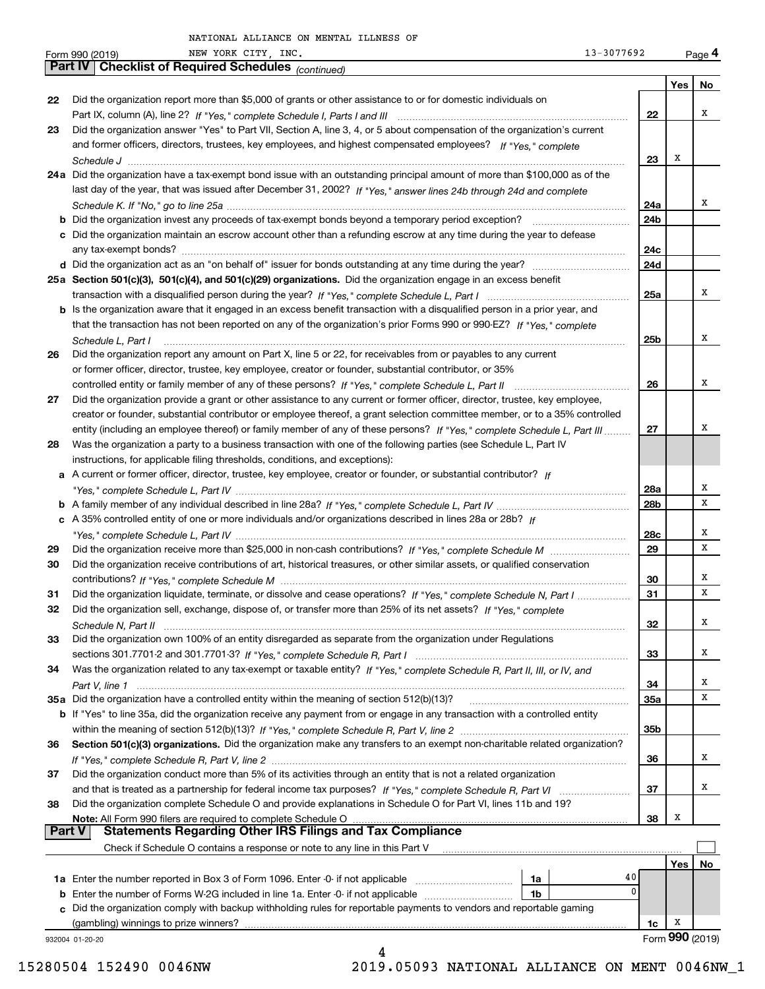| Part IV   Checklist of Required Schedules (continued)<br>Yes  <br>No<br>Did the organization report more than \$5,000 of grants or other assistance to or for domestic individuals on<br>22<br>х<br>22<br>Did the organization answer "Yes" to Part VII, Section A, line 3, 4, or 5 about compensation of the organization's current<br>23<br>and former officers, directors, trustees, key employees, and highest compensated employees? If "Yes," complete<br>х<br>23<br>24a Did the organization have a tax-exempt bond issue with an outstanding principal amount of more than \$100,000 as of the<br>last day of the year, that was issued after December 31, 2002? If "Yes," answer lines 24b through 24d and complete<br>х<br>24a<br><b>b</b> Did the organization invest any proceeds of tax-exempt bonds beyond a temporary period exception?<br>24b<br>c Did the organization maintain an escrow account other than a refunding escrow at any time during the year to defease<br>24c<br>24d<br>25a Section 501(c)(3), 501(c)(4), and 501(c)(29) organizations. Did the organization engage in an excess benefit<br>х<br>25a<br>b Is the organization aware that it engaged in an excess benefit transaction with a disqualified person in a prior year, and<br>that the transaction has not been reported on any of the organization's prior Forms 990 or 990-EZ? If "Yes," complete<br>х<br>25b<br>Schedule L, Part I<br>Did the organization report any amount on Part X, line 5 or 22, for receivables from or payables to any current<br>26<br>or former officer, director, trustee, key employee, creator or founder, substantial contributor, or 35%<br>х<br>26<br>27<br>Did the organization provide a grant or other assistance to any current or former officer, director, trustee, key employee,<br>creator or founder, substantial contributor or employee thereof, a grant selection committee member, or to a 35% controlled<br>х<br>entity (including an employee thereof) or family member of any of these persons? If "Yes," complete Schedule L, Part III<br>27<br>Was the organization a party to a business transaction with one of the following parties (see Schedule L, Part IV<br>28<br>instructions, for applicable filing thresholds, conditions, and exceptions):<br>a A current or former officer, director, trustee, key employee, creator or founder, or substantial contributor? If<br>Х<br>28a<br>х<br>28b<br>c A 35% controlled entity of one or more individuals and/or organizations described in lines 28a or 28b? If<br>х<br>28c<br>х<br>29<br>29<br>Did the organization receive contributions of art, historical treasures, or other similar assets, or qualified conservation<br>30<br>х<br>30<br>х<br>31<br>Did the organization liquidate, terminate, or dissolve and cease operations? If "Yes," complete Schedule N, Part I<br>31<br>Did the organization sell, exchange, dispose of, or transfer more than 25% of its net assets? If "Yes," complete<br>32<br>х<br>32<br>Schedule N, Part II<br>Did the organization own 100% of an entity disregarded as separate from the organization under Regulations<br>33<br>х<br>33<br>Was the organization related to any tax-exempt or taxable entity? If "Yes," complete Schedule R, Part II, III, or IV, and<br>34<br>х<br>34<br>х<br>35a Did the organization have a controlled entity within the meaning of section 512(b)(13)?<br>35a<br><b>b</b> If "Yes" to line 35a, did the organization receive any payment from or engage in any transaction with a controlled entity<br>35b<br>Section 501(c)(3) organizations. Did the organization make any transfers to an exempt non-charitable related organization?<br>36<br>х<br>36<br>Did the organization conduct more than 5% of its activities through an entity that is not a related organization<br>37<br>х<br>37<br>Did the organization complete Schedule O and provide explanations in Schedule O for Part VI, lines 11b and 19?<br>38<br>х<br>38<br><b>Part V</b><br>Check if Schedule O contains a response or note to any line in this Part V<br>Yes∣<br>No. | NEW YORK CITY, INC.<br>Form 990 (2019) | 13-3077692 | Page 4 |
|------------------------------------------------------------------------------------------------------------------------------------------------------------------------------------------------------------------------------------------------------------------------------------------------------------------------------------------------------------------------------------------------------------------------------------------------------------------------------------------------------------------------------------------------------------------------------------------------------------------------------------------------------------------------------------------------------------------------------------------------------------------------------------------------------------------------------------------------------------------------------------------------------------------------------------------------------------------------------------------------------------------------------------------------------------------------------------------------------------------------------------------------------------------------------------------------------------------------------------------------------------------------------------------------------------------------------------------------------------------------------------------------------------------------------------------------------------------------------------------------------------------------------------------------------------------------------------------------------------------------------------------------------------------------------------------------------------------------------------------------------------------------------------------------------------------------------------------------------------------------------------------------------------------------------------------------------------------------------------------------------------------------------------------------------------------------------------------------------------------------------------------------------------------------------------------------------------------------------------------------------------------------------------------------------------------------------------------------------------------------------------------------------------------------------------------------------------------------------------------------------------------------------------------------------------------------------------------------------------------------------------------------------------------------------------------------------------------------------------------------------------------------------------------------------------------------------------------------------------------------------------------------------------------------------------------------------------------------------------------------------------------------------------------------------------------------------------------------------------------------------------------------------------------------------------------------------------------------------------------------------------------------------------------------------------------------------------------------------------------------------------------------------------------------------------------------------------------------------------------------------------------------------------------------------------------------------------------------------------------------------------------------------------------------------------------------------------------------------------------------------------------------------------------------------------------------------------------------------------------------------------------------------------------------------------------------------------------------------------------------------------------------------------------------------------------------------------------------------------------------------|----------------------------------------|------------|--------|
|                                                                                                                                                                                                                                                                                                                                                                                                                                                                                                                                                                                                                                                                                                                                                                                                                                                                                                                                                                                                                                                                                                                                                                                                                                                                                                                                                                                                                                                                                                                                                                                                                                                                                                                                                                                                                                                                                                                                                                                                                                                                                                                                                                                                                                                                                                                                                                                                                                                                                                                                                                                                                                                                                                                                                                                                                                                                                                                                                                                                                                                                                                                                                                                                                                                                                                                                                                                                                                                                                                                                                                                                                                                                                                                                                                                                                                                                                                                                                                                                                                                                                                                              |                                        |            |        |
|                                                                                                                                                                                                                                                                                                                                                                                                                                                                                                                                                                                                                                                                                                                                                                                                                                                                                                                                                                                                                                                                                                                                                                                                                                                                                                                                                                                                                                                                                                                                                                                                                                                                                                                                                                                                                                                                                                                                                                                                                                                                                                                                                                                                                                                                                                                                                                                                                                                                                                                                                                                                                                                                                                                                                                                                                                                                                                                                                                                                                                                                                                                                                                                                                                                                                                                                                                                                                                                                                                                                                                                                                                                                                                                                                                                                                                                                                                                                                                                                                                                                                                                              |                                        |            |        |
|                                                                                                                                                                                                                                                                                                                                                                                                                                                                                                                                                                                                                                                                                                                                                                                                                                                                                                                                                                                                                                                                                                                                                                                                                                                                                                                                                                                                                                                                                                                                                                                                                                                                                                                                                                                                                                                                                                                                                                                                                                                                                                                                                                                                                                                                                                                                                                                                                                                                                                                                                                                                                                                                                                                                                                                                                                                                                                                                                                                                                                                                                                                                                                                                                                                                                                                                                                                                                                                                                                                                                                                                                                                                                                                                                                                                                                                                                                                                                                                                                                                                                                                              |                                        |            |        |
|                                                                                                                                                                                                                                                                                                                                                                                                                                                                                                                                                                                                                                                                                                                                                                                                                                                                                                                                                                                                                                                                                                                                                                                                                                                                                                                                                                                                                                                                                                                                                                                                                                                                                                                                                                                                                                                                                                                                                                                                                                                                                                                                                                                                                                                                                                                                                                                                                                                                                                                                                                                                                                                                                                                                                                                                                                                                                                                                                                                                                                                                                                                                                                                                                                                                                                                                                                                                                                                                                                                                                                                                                                                                                                                                                                                                                                                                                                                                                                                                                                                                                                                              |                                        |            |        |
|                                                                                                                                                                                                                                                                                                                                                                                                                                                                                                                                                                                                                                                                                                                                                                                                                                                                                                                                                                                                                                                                                                                                                                                                                                                                                                                                                                                                                                                                                                                                                                                                                                                                                                                                                                                                                                                                                                                                                                                                                                                                                                                                                                                                                                                                                                                                                                                                                                                                                                                                                                                                                                                                                                                                                                                                                                                                                                                                                                                                                                                                                                                                                                                                                                                                                                                                                                                                                                                                                                                                                                                                                                                                                                                                                                                                                                                                                                                                                                                                                                                                                                                              |                                        |            |        |
|                                                                                                                                                                                                                                                                                                                                                                                                                                                                                                                                                                                                                                                                                                                                                                                                                                                                                                                                                                                                                                                                                                                                                                                                                                                                                                                                                                                                                                                                                                                                                                                                                                                                                                                                                                                                                                                                                                                                                                                                                                                                                                                                                                                                                                                                                                                                                                                                                                                                                                                                                                                                                                                                                                                                                                                                                                                                                                                                                                                                                                                                                                                                                                                                                                                                                                                                                                                                                                                                                                                                                                                                                                                                                                                                                                                                                                                                                                                                                                                                                                                                                                                              |                                        |            |        |
|                                                                                                                                                                                                                                                                                                                                                                                                                                                                                                                                                                                                                                                                                                                                                                                                                                                                                                                                                                                                                                                                                                                                                                                                                                                                                                                                                                                                                                                                                                                                                                                                                                                                                                                                                                                                                                                                                                                                                                                                                                                                                                                                                                                                                                                                                                                                                                                                                                                                                                                                                                                                                                                                                                                                                                                                                                                                                                                                                                                                                                                                                                                                                                                                                                                                                                                                                                                                                                                                                                                                                                                                                                                                                                                                                                                                                                                                                                                                                                                                                                                                                                                              |                                        |            |        |
|                                                                                                                                                                                                                                                                                                                                                                                                                                                                                                                                                                                                                                                                                                                                                                                                                                                                                                                                                                                                                                                                                                                                                                                                                                                                                                                                                                                                                                                                                                                                                                                                                                                                                                                                                                                                                                                                                                                                                                                                                                                                                                                                                                                                                                                                                                                                                                                                                                                                                                                                                                                                                                                                                                                                                                                                                                                                                                                                                                                                                                                                                                                                                                                                                                                                                                                                                                                                                                                                                                                                                                                                                                                                                                                                                                                                                                                                                                                                                                                                                                                                                                                              |                                        |            |        |
|                                                                                                                                                                                                                                                                                                                                                                                                                                                                                                                                                                                                                                                                                                                                                                                                                                                                                                                                                                                                                                                                                                                                                                                                                                                                                                                                                                                                                                                                                                                                                                                                                                                                                                                                                                                                                                                                                                                                                                                                                                                                                                                                                                                                                                                                                                                                                                                                                                                                                                                                                                                                                                                                                                                                                                                                                                                                                                                                                                                                                                                                                                                                                                                                                                                                                                                                                                                                                                                                                                                                                                                                                                                                                                                                                                                                                                                                                                                                                                                                                                                                                                                              |                                        |            |        |
|                                                                                                                                                                                                                                                                                                                                                                                                                                                                                                                                                                                                                                                                                                                                                                                                                                                                                                                                                                                                                                                                                                                                                                                                                                                                                                                                                                                                                                                                                                                                                                                                                                                                                                                                                                                                                                                                                                                                                                                                                                                                                                                                                                                                                                                                                                                                                                                                                                                                                                                                                                                                                                                                                                                                                                                                                                                                                                                                                                                                                                                                                                                                                                                                                                                                                                                                                                                                                                                                                                                                                                                                                                                                                                                                                                                                                                                                                                                                                                                                                                                                                                                              |                                        |            |        |
|                                                                                                                                                                                                                                                                                                                                                                                                                                                                                                                                                                                                                                                                                                                                                                                                                                                                                                                                                                                                                                                                                                                                                                                                                                                                                                                                                                                                                                                                                                                                                                                                                                                                                                                                                                                                                                                                                                                                                                                                                                                                                                                                                                                                                                                                                                                                                                                                                                                                                                                                                                                                                                                                                                                                                                                                                                                                                                                                                                                                                                                                                                                                                                                                                                                                                                                                                                                                                                                                                                                                                                                                                                                                                                                                                                                                                                                                                                                                                                                                                                                                                                                              |                                        |            |        |
|                                                                                                                                                                                                                                                                                                                                                                                                                                                                                                                                                                                                                                                                                                                                                                                                                                                                                                                                                                                                                                                                                                                                                                                                                                                                                                                                                                                                                                                                                                                                                                                                                                                                                                                                                                                                                                                                                                                                                                                                                                                                                                                                                                                                                                                                                                                                                                                                                                                                                                                                                                                                                                                                                                                                                                                                                                                                                                                                                                                                                                                                                                                                                                                                                                                                                                                                                                                                                                                                                                                                                                                                                                                                                                                                                                                                                                                                                                                                                                                                                                                                                                                              |                                        |            |        |
|                                                                                                                                                                                                                                                                                                                                                                                                                                                                                                                                                                                                                                                                                                                                                                                                                                                                                                                                                                                                                                                                                                                                                                                                                                                                                                                                                                                                                                                                                                                                                                                                                                                                                                                                                                                                                                                                                                                                                                                                                                                                                                                                                                                                                                                                                                                                                                                                                                                                                                                                                                                                                                                                                                                                                                                                                                                                                                                                                                                                                                                                                                                                                                                                                                                                                                                                                                                                                                                                                                                                                                                                                                                                                                                                                                                                                                                                                                                                                                                                                                                                                                                              |                                        |            |        |
|                                                                                                                                                                                                                                                                                                                                                                                                                                                                                                                                                                                                                                                                                                                                                                                                                                                                                                                                                                                                                                                                                                                                                                                                                                                                                                                                                                                                                                                                                                                                                                                                                                                                                                                                                                                                                                                                                                                                                                                                                                                                                                                                                                                                                                                                                                                                                                                                                                                                                                                                                                                                                                                                                                                                                                                                                                                                                                                                                                                                                                                                                                                                                                                                                                                                                                                                                                                                                                                                                                                                                                                                                                                                                                                                                                                                                                                                                                                                                                                                                                                                                                                              |                                        |            |        |
|                                                                                                                                                                                                                                                                                                                                                                                                                                                                                                                                                                                                                                                                                                                                                                                                                                                                                                                                                                                                                                                                                                                                                                                                                                                                                                                                                                                                                                                                                                                                                                                                                                                                                                                                                                                                                                                                                                                                                                                                                                                                                                                                                                                                                                                                                                                                                                                                                                                                                                                                                                                                                                                                                                                                                                                                                                                                                                                                                                                                                                                                                                                                                                                                                                                                                                                                                                                                                                                                                                                                                                                                                                                                                                                                                                                                                                                                                                                                                                                                                                                                                                                              |                                        |            |        |
|                                                                                                                                                                                                                                                                                                                                                                                                                                                                                                                                                                                                                                                                                                                                                                                                                                                                                                                                                                                                                                                                                                                                                                                                                                                                                                                                                                                                                                                                                                                                                                                                                                                                                                                                                                                                                                                                                                                                                                                                                                                                                                                                                                                                                                                                                                                                                                                                                                                                                                                                                                                                                                                                                                                                                                                                                                                                                                                                                                                                                                                                                                                                                                                                                                                                                                                                                                                                                                                                                                                                                                                                                                                                                                                                                                                                                                                                                                                                                                                                                                                                                                                              |                                        |            |        |
|                                                                                                                                                                                                                                                                                                                                                                                                                                                                                                                                                                                                                                                                                                                                                                                                                                                                                                                                                                                                                                                                                                                                                                                                                                                                                                                                                                                                                                                                                                                                                                                                                                                                                                                                                                                                                                                                                                                                                                                                                                                                                                                                                                                                                                                                                                                                                                                                                                                                                                                                                                                                                                                                                                                                                                                                                                                                                                                                                                                                                                                                                                                                                                                                                                                                                                                                                                                                                                                                                                                                                                                                                                                                                                                                                                                                                                                                                                                                                                                                                                                                                                                              |                                        |            |        |
|                                                                                                                                                                                                                                                                                                                                                                                                                                                                                                                                                                                                                                                                                                                                                                                                                                                                                                                                                                                                                                                                                                                                                                                                                                                                                                                                                                                                                                                                                                                                                                                                                                                                                                                                                                                                                                                                                                                                                                                                                                                                                                                                                                                                                                                                                                                                                                                                                                                                                                                                                                                                                                                                                                                                                                                                                                                                                                                                                                                                                                                                                                                                                                                                                                                                                                                                                                                                                                                                                                                                                                                                                                                                                                                                                                                                                                                                                                                                                                                                                                                                                                                              |                                        |            |        |
|                                                                                                                                                                                                                                                                                                                                                                                                                                                                                                                                                                                                                                                                                                                                                                                                                                                                                                                                                                                                                                                                                                                                                                                                                                                                                                                                                                                                                                                                                                                                                                                                                                                                                                                                                                                                                                                                                                                                                                                                                                                                                                                                                                                                                                                                                                                                                                                                                                                                                                                                                                                                                                                                                                                                                                                                                                                                                                                                                                                                                                                                                                                                                                                                                                                                                                                                                                                                                                                                                                                                                                                                                                                                                                                                                                                                                                                                                                                                                                                                                                                                                                                              |                                        |            |        |
|                                                                                                                                                                                                                                                                                                                                                                                                                                                                                                                                                                                                                                                                                                                                                                                                                                                                                                                                                                                                                                                                                                                                                                                                                                                                                                                                                                                                                                                                                                                                                                                                                                                                                                                                                                                                                                                                                                                                                                                                                                                                                                                                                                                                                                                                                                                                                                                                                                                                                                                                                                                                                                                                                                                                                                                                                                                                                                                                                                                                                                                                                                                                                                                                                                                                                                                                                                                                                                                                                                                                                                                                                                                                                                                                                                                                                                                                                                                                                                                                                                                                                                                              |                                        |            |        |
|                                                                                                                                                                                                                                                                                                                                                                                                                                                                                                                                                                                                                                                                                                                                                                                                                                                                                                                                                                                                                                                                                                                                                                                                                                                                                                                                                                                                                                                                                                                                                                                                                                                                                                                                                                                                                                                                                                                                                                                                                                                                                                                                                                                                                                                                                                                                                                                                                                                                                                                                                                                                                                                                                                                                                                                                                                                                                                                                                                                                                                                                                                                                                                                                                                                                                                                                                                                                                                                                                                                                                                                                                                                                                                                                                                                                                                                                                                                                                                                                                                                                                                                              |                                        |            |        |
|                                                                                                                                                                                                                                                                                                                                                                                                                                                                                                                                                                                                                                                                                                                                                                                                                                                                                                                                                                                                                                                                                                                                                                                                                                                                                                                                                                                                                                                                                                                                                                                                                                                                                                                                                                                                                                                                                                                                                                                                                                                                                                                                                                                                                                                                                                                                                                                                                                                                                                                                                                                                                                                                                                                                                                                                                                                                                                                                                                                                                                                                                                                                                                                                                                                                                                                                                                                                                                                                                                                                                                                                                                                                                                                                                                                                                                                                                                                                                                                                                                                                                                                              |                                        |            |        |
|                                                                                                                                                                                                                                                                                                                                                                                                                                                                                                                                                                                                                                                                                                                                                                                                                                                                                                                                                                                                                                                                                                                                                                                                                                                                                                                                                                                                                                                                                                                                                                                                                                                                                                                                                                                                                                                                                                                                                                                                                                                                                                                                                                                                                                                                                                                                                                                                                                                                                                                                                                                                                                                                                                                                                                                                                                                                                                                                                                                                                                                                                                                                                                                                                                                                                                                                                                                                                                                                                                                                                                                                                                                                                                                                                                                                                                                                                                                                                                                                                                                                                                                              |                                        |            |        |
|                                                                                                                                                                                                                                                                                                                                                                                                                                                                                                                                                                                                                                                                                                                                                                                                                                                                                                                                                                                                                                                                                                                                                                                                                                                                                                                                                                                                                                                                                                                                                                                                                                                                                                                                                                                                                                                                                                                                                                                                                                                                                                                                                                                                                                                                                                                                                                                                                                                                                                                                                                                                                                                                                                                                                                                                                                                                                                                                                                                                                                                                                                                                                                                                                                                                                                                                                                                                                                                                                                                                                                                                                                                                                                                                                                                                                                                                                                                                                                                                                                                                                                                              |                                        |            |        |
|                                                                                                                                                                                                                                                                                                                                                                                                                                                                                                                                                                                                                                                                                                                                                                                                                                                                                                                                                                                                                                                                                                                                                                                                                                                                                                                                                                                                                                                                                                                                                                                                                                                                                                                                                                                                                                                                                                                                                                                                                                                                                                                                                                                                                                                                                                                                                                                                                                                                                                                                                                                                                                                                                                                                                                                                                                                                                                                                                                                                                                                                                                                                                                                                                                                                                                                                                                                                                                                                                                                                                                                                                                                                                                                                                                                                                                                                                                                                                                                                                                                                                                                              |                                        |            |        |
|                                                                                                                                                                                                                                                                                                                                                                                                                                                                                                                                                                                                                                                                                                                                                                                                                                                                                                                                                                                                                                                                                                                                                                                                                                                                                                                                                                                                                                                                                                                                                                                                                                                                                                                                                                                                                                                                                                                                                                                                                                                                                                                                                                                                                                                                                                                                                                                                                                                                                                                                                                                                                                                                                                                                                                                                                                                                                                                                                                                                                                                                                                                                                                                                                                                                                                                                                                                                                                                                                                                                                                                                                                                                                                                                                                                                                                                                                                                                                                                                                                                                                                                              |                                        |            |        |
|                                                                                                                                                                                                                                                                                                                                                                                                                                                                                                                                                                                                                                                                                                                                                                                                                                                                                                                                                                                                                                                                                                                                                                                                                                                                                                                                                                                                                                                                                                                                                                                                                                                                                                                                                                                                                                                                                                                                                                                                                                                                                                                                                                                                                                                                                                                                                                                                                                                                                                                                                                                                                                                                                                                                                                                                                                                                                                                                                                                                                                                                                                                                                                                                                                                                                                                                                                                                                                                                                                                                                                                                                                                                                                                                                                                                                                                                                                                                                                                                                                                                                                                              |                                        |            |        |
|                                                                                                                                                                                                                                                                                                                                                                                                                                                                                                                                                                                                                                                                                                                                                                                                                                                                                                                                                                                                                                                                                                                                                                                                                                                                                                                                                                                                                                                                                                                                                                                                                                                                                                                                                                                                                                                                                                                                                                                                                                                                                                                                                                                                                                                                                                                                                                                                                                                                                                                                                                                                                                                                                                                                                                                                                                                                                                                                                                                                                                                                                                                                                                                                                                                                                                                                                                                                                                                                                                                                                                                                                                                                                                                                                                                                                                                                                                                                                                                                                                                                                                                              |                                        |            |        |
|                                                                                                                                                                                                                                                                                                                                                                                                                                                                                                                                                                                                                                                                                                                                                                                                                                                                                                                                                                                                                                                                                                                                                                                                                                                                                                                                                                                                                                                                                                                                                                                                                                                                                                                                                                                                                                                                                                                                                                                                                                                                                                                                                                                                                                                                                                                                                                                                                                                                                                                                                                                                                                                                                                                                                                                                                                                                                                                                                                                                                                                                                                                                                                                                                                                                                                                                                                                                                                                                                                                                                                                                                                                                                                                                                                                                                                                                                                                                                                                                                                                                                                                              |                                        |            |        |
|                                                                                                                                                                                                                                                                                                                                                                                                                                                                                                                                                                                                                                                                                                                                                                                                                                                                                                                                                                                                                                                                                                                                                                                                                                                                                                                                                                                                                                                                                                                                                                                                                                                                                                                                                                                                                                                                                                                                                                                                                                                                                                                                                                                                                                                                                                                                                                                                                                                                                                                                                                                                                                                                                                                                                                                                                                                                                                                                                                                                                                                                                                                                                                                                                                                                                                                                                                                                                                                                                                                                                                                                                                                                                                                                                                                                                                                                                                                                                                                                                                                                                                                              |                                        |            |        |
|                                                                                                                                                                                                                                                                                                                                                                                                                                                                                                                                                                                                                                                                                                                                                                                                                                                                                                                                                                                                                                                                                                                                                                                                                                                                                                                                                                                                                                                                                                                                                                                                                                                                                                                                                                                                                                                                                                                                                                                                                                                                                                                                                                                                                                                                                                                                                                                                                                                                                                                                                                                                                                                                                                                                                                                                                                                                                                                                                                                                                                                                                                                                                                                                                                                                                                                                                                                                                                                                                                                                                                                                                                                                                                                                                                                                                                                                                                                                                                                                                                                                                                                              |                                        |            |        |
|                                                                                                                                                                                                                                                                                                                                                                                                                                                                                                                                                                                                                                                                                                                                                                                                                                                                                                                                                                                                                                                                                                                                                                                                                                                                                                                                                                                                                                                                                                                                                                                                                                                                                                                                                                                                                                                                                                                                                                                                                                                                                                                                                                                                                                                                                                                                                                                                                                                                                                                                                                                                                                                                                                                                                                                                                                                                                                                                                                                                                                                                                                                                                                                                                                                                                                                                                                                                                                                                                                                                                                                                                                                                                                                                                                                                                                                                                                                                                                                                                                                                                                                              |                                        |            |        |
|                                                                                                                                                                                                                                                                                                                                                                                                                                                                                                                                                                                                                                                                                                                                                                                                                                                                                                                                                                                                                                                                                                                                                                                                                                                                                                                                                                                                                                                                                                                                                                                                                                                                                                                                                                                                                                                                                                                                                                                                                                                                                                                                                                                                                                                                                                                                                                                                                                                                                                                                                                                                                                                                                                                                                                                                                                                                                                                                                                                                                                                                                                                                                                                                                                                                                                                                                                                                                                                                                                                                                                                                                                                                                                                                                                                                                                                                                                                                                                                                                                                                                                                              |                                        |            |        |
|                                                                                                                                                                                                                                                                                                                                                                                                                                                                                                                                                                                                                                                                                                                                                                                                                                                                                                                                                                                                                                                                                                                                                                                                                                                                                                                                                                                                                                                                                                                                                                                                                                                                                                                                                                                                                                                                                                                                                                                                                                                                                                                                                                                                                                                                                                                                                                                                                                                                                                                                                                                                                                                                                                                                                                                                                                                                                                                                                                                                                                                                                                                                                                                                                                                                                                                                                                                                                                                                                                                                                                                                                                                                                                                                                                                                                                                                                                                                                                                                                                                                                                                              |                                        |            |        |
|                                                                                                                                                                                                                                                                                                                                                                                                                                                                                                                                                                                                                                                                                                                                                                                                                                                                                                                                                                                                                                                                                                                                                                                                                                                                                                                                                                                                                                                                                                                                                                                                                                                                                                                                                                                                                                                                                                                                                                                                                                                                                                                                                                                                                                                                                                                                                                                                                                                                                                                                                                                                                                                                                                                                                                                                                                                                                                                                                                                                                                                                                                                                                                                                                                                                                                                                                                                                                                                                                                                                                                                                                                                                                                                                                                                                                                                                                                                                                                                                                                                                                                                              |                                        |            |        |
|                                                                                                                                                                                                                                                                                                                                                                                                                                                                                                                                                                                                                                                                                                                                                                                                                                                                                                                                                                                                                                                                                                                                                                                                                                                                                                                                                                                                                                                                                                                                                                                                                                                                                                                                                                                                                                                                                                                                                                                                                                                                                                                                                                                                                                                                                                                                                                                                                                                                                                                                                                                                                                                                                                                                                                                                                                                                                                                                                                                                                                                                                                                                                                                                                                                                                                                                                                                                                                                                                                                                                                                                                                                                                                                                                                                                                                                                                                                                                                                                                                                                                                                              |                                        |            |        |
|                                                                                                                                                                                                                                                                                                                                                                                                                                                                                                                                                                                                                                                                                                                                                                                                                                                                                                                                                                                                                                                                                                                                                                                                                                                                                                                                                                                                                                                                                                                                                                                                                                                                                                                                                                                                                                                                                                                                                                                                                                                                                                                                                                                                                                                                                                                                                                                                                                                                                                                                                                                                                                                                                                                                                                                                                                                                                                                                                                                                                                                                                                                                                                                                                                                                                                                                                                                                                                                                                                                                                                                                                                                                                                                                                                                                                                                                                                                                                                                                                                                                                                                              |                                        |            |        |
|                                                                                                                                                                                                                                                                                                                                                                                                                                                                                                                                                                                                                                                                                                                                                                                                                                                                                                                                                                                                                                                                                                                                                                                                                                                                                                                                                                                                                                                                                                                                                                                                                                                                                                                                                                                                                                                                                                                                                                                                                                                                                                                                                                                                                                                                                                                                                                                                                                                                                                                                                                                                                                                                                                                                                                                                                                                                                                                                                                                                                                                                                                                                                                                                                                                                                                                                                                                                                                                                                                                                                                                                                                                                                                                                                                                                                                                                                                                                                                                                                                                                                                                              |                                        |            |        |
|                                                                                                                                                                                                                                                                                                                                                                                                                                                                                                                                                                                                                                                                                                                                                                                                                                                                                                                                                                                                                                                                                                                                                                                                                                                                                                                                                                                                                                                                                                                                                                                                                                                                                                                                                                                                                                                                                                                                                                                                                                                                                                                                                                                                                                                                                                                                                                                                                                                                                                                                                                                                                                                                                                                                                                                                                                                                                                                                                                                                                                                                                                                                                                                                                                                                                                                                                                                                                                                                                                                                                                                                                                                                                                                                                                                                                                                                                                                                                                                                                                                                                                                              |                                        |            |        |
|                                                                                                                                                                                                                                                                                                                                                                                                                                                                                                                                                                                                                                                                                                                                                                                                                                                                                                                                                                                                                                                                                                                                                                                                                                                                                                                                                                                                                                                                                                                                                                                                                                                                                                                                                                                                                                                                                                                                                                                                                                                                                                                                                                                                                                                                                                                                                                                                                                                                                                                                                                                                                                                                                                                                                                                                                                                                                                                                                                                                                                                                                                                                                                                                                                                                                                                                                                                                                                                                                                                                                                                                                                                                                                                                                                                                                                                                                                                                                                                                                                                                                                                              |                                        |            |        |
|                                                                                                                                                                                                                                                                                                                                                                                                                                                                                                                                                                                                                                                                                                                                                                                                                                                                                                                                                                                                                                                                                                                                                                                                                                                                                                                                                                                                                                                                                                                                                                                                                                                                                                                                                                                                                                                                                                                                                                                                                                                                                                                                                                                                                                                                                                                                                                                                                                                                                                                                                                                                                                                                                                                                                                                                                                                                                                                                                                                                                                                                                                                                                                                                                                                                                                                                                                                                                                                                                                                                                                                                                                                                                                                                                                                                                                                                                                                                                                                                                                                                                                                              |                                        |            |        |
|                                                                                                                                                                                                                                                                                                                                                                                                                                                                                                                                                                                                                                                                                                                                                                                                                                                                                                                                                                                                                                                                                                                                                                                                                                                                                                                                                                                                                                                                                                                                                                                                                                                                                                                                                                                                                                                                                                                                                                                                                                                                                                                                                                                                                                                                                                                                                                                                                                                                                                                                                                                                                                                                                                                                                                                                                                                                                                                                                                                                                                                                                                                                                                                                                                                                                                                                                                                                                                                                                                                                                                                                                                                                                                                                                                                                                                                                                                                                                                                                                                                                                                                              |                                        |            |        |
|                                                                                                                                                                                                                                                                                                                                                                                                                                                                                                                                                                                                                                                                                                                                                                                                                                                                                                                                                                                                                                                                                                                                                                                                                                                                                                                                                                                                                                                                                                                                                                                                                                                                                                                                                                                                                                                                                                                                                                                                                                                                                                                                                                                                                                                                                                                                                                                                                                                                                                                                                                                                                                                                                                                                                                                                                                                                                                                                                                                                                                                                                                                                                                                                                                                                                                                                                                                                                                                                                                                                                                                                                                                                                                                                                                                                                                                                                                                                                                                                                                                                                                                              |                                        |            |        |
|                                                                                                                                                                                                                                                                                                                                                                                                                                                                                                                                                                                                                                                                                                                                                                                                                                                                                                                                                                                                                                                                                                                                                                                                                                                                                                                                                                                                                                                                                                                                                                                                                                                                                                                                                                                                                                                                                                                                                                                                                                                                                                                                                                                                                                                                                                                                                                                                                                                                                                                                                                                                                                                                                                                                                                                                                                                                                                                                                                                                                                                                                                                                                                                                                                                                                                                                                                                                                                                                                                                                                                                                                                                                                                                                                                                                                                                                                                                                                                                                                                                                                                                              |                                        |            |        |
|                                                                                                                                                                                                                                                                                                                                                                                                                                                                                                                                                                                                                                                                                                                                                                                                                                                                                                                                                                                                                                                                                                                                                                                                                                                                                                                                                                                                                                                                                                                                                                                                                                                                                                                                                                                                                                                                                                                                                                                                                                                                                                                                                                                                                                                                                                                                                                                                                                                                                                                                                                                                                                                                                                                                                                                                                                                                                                                                                                                                                                                                                                                                                                                                                                                                                                                                                                                                                                                                                                                                                                                                                                                                                                                                                                                                                                                                                                                                                                                                                                                                                                                              |                                        |            |        |
|                                                                                                                                                                                                                                                                                                                                                                                                                                                                                                                                                                                                                                                                                                                                                                                                                                                                                                                                                                                                                                                                                                                                                                                                                                                                                                                                                                                                                                                                                                                                                                                                                                                                                                                                                                                                                                                                                                                                                                                                                                                                                                                                                                                                                                                                                                                                                                                                                                                                                                                                                                                                                                                                                                                                                                                                                                                                                                                                                                                                                                                                                                                                                                                                                                                                                                                                                                                                                                                                                                                                                                                                                                                                                                                                                                                                                                                                                                                                                                                                                                                                                                                              |                                        |            |        |
|                                                                                                                                                                                                                                                                                                                                                                                                                                                                                                                                                                                                                                                                                                                                                                                                                                                                                                                                                                                                                                                                                                                                                                                                                                                                                                                                                                                                                                                                                                                                                                                                                                                                                                                                                                                                                                                                                                                                                                                                                                                                                                                                                                                                                                                                                                                                                                                                                                                                                                                                                                                                                                                                                                                                                                                                                                                                                                                                                                                                                                                                                                                                                                                                                                                                                                                                                                                                                                                                                                                                                                                                                                                                                                                                                                                                                                                                                                                                                                                                                                                                                                                              |                                        |            |        |
|                                                                                                                                                                                                                                                                                                                                                                                                                                                                                                                                                                                                                                                                                                                                                                                                                                                                                                                                                                                                                                                                                                                                                                                                                                                                                                                                                                                                                                                                                                                                                                                                                                                                                                                                                                                                                                                                                                                                                                                                                                                                                                                                                                                                                                                                                                                                                                                                                                                                                                                                                                                                                                                                                                                                                                                                                                                                                                                                                                                                                                                                                                                                                                                                                                                                                                                                                                                                                                                                                                                                                                                                                                                                                                                                                                                                                                                                                                                                                                                                                                                                                                                              |                                        |            |        |
|                                                                                                                                                                                                                                                                                                                                                                                                                                                                                                                                                                                                                                                                                                                                                                                                                                                                                                                                                                                                                                                                                                                                                                                                                                                                                                                                                                                                                                                                                                                                                                                                                                                                                                                                                                                                                                                                                                                                                                                                                                                                                                                                                                                                                                                                                                                                                                                                                                                                                                                                                                                                                                                                                                                                                                                                                                                                                                                                                                                                                                                                                                                                                                                                                                                                                                                                                                                                                                                                                                                                                                                                                                                                                                                                                                                                                                                                                                                                                                                                                                                                                                                              |                                        |            |        |
|                                                                                                                                                                                                                                                                                                                                                                                                                                                                                                                                                                                                                                                                                                                                                                                                                                                                                                                                                                                                                                                                                                                                                                                                                                                                                                                                                                                                                                                                                                                                                                                                                                                                                                                                                                                                                                                                                                                                                                                                                                                                                                                                                                                                                                                                                                                                                                                                                                                                                                                                                                                                                                                                                                                                                                                                                                                                                                                                                                                                                                                                                                                                                                                                                                                                                                                                                                                                                                                                                                                                                                                                                                                                                                                                                                                                                                                                                                                                                                                                                                                                                                                              |                                        |            |        |
|                                                                                                                                                                                                                                                                                                                                                                                                                                                                                                                                                                                                                                                                                                                                                                                                                                                                                                                                                                                                                                                                                                                                                                                                                                                                                                                                                                                                                                                                                                                                                                                                                                                                                                                                                                                                                                                                                                                                                                                                                                                                                                                                                                                                                                                                                                                                                                                                                                                                                                                                                                                                                                                                                                                                                                                                                                                                                                                                                                                                                                                                                                                                                                                                                                                                                                                                                                                                                                                                                                                                                                                                                                                                                                                                                                                                                                                                                                                                                                                                                                                                                                                              |                                        |            |        |
|                                                                                                                                                                                                                                                                                                                                                                                                                                                                                                                                                                                                                                                                                                                                                                                                                                                                                                                                                                                                                                                                                                                                                                                                                                                                                                                                                                                                                                                                                                                                                                                                                                                                                                                                                                                                                                                                                                                                                                                                                                                                                                                                                                                                                                                                                                                                                                                                                                                                                                                                                                                                                                                                                                                                                                                                                                                                                                                                                                                                                                                                                                                                                                                                                                                                                                                                                                                                                                                                                                                                                                                                                                                                                                                                                                                                                                                                                                                                                                                                                                                                                                                              |                                        |            |        |
|                                                                                                                                                                                                                                                                                                                                                                                                                                                                                                                                                                                                                                                                                                                                                                                                                                                                                                                                                                                                                                                                                                                                                                                                                                                                                                                                                                                                                                                                                                                                                                                                                                                                                                                                                                                                                                                                                                                                                                                                                                                                                                                                                                                                                                                                                                                                                                                                                                                                                                                                                                                                                                                                                                                                                                                                                                                                                                                                                                                                                                                                                                                                                                                                                                                                                                                                                                                                                                                                                                                                                                                                                                                                                                                                                                                                                                                                                                                                                                                                                                                                                                                              |                                        |            |        |
| 40<br>1a                                                                                                                                                                                                                                                                                                                                                                                                                                                                                                                                                                                                                                                                                                                                                                                                                                                                                                                                                                                                                                                                                                                                                                                                                                                                                                                                                                                                                                                                                                                                                                                                                                                                                                                                                                                                                                                                                                                                                                                                                                                                                                                                                                                                                                                                                                                                                                                                                                                                                                                                                                                                                                                                                                                                                                                                                                                                                                                                                                                                                                                                                                                                                                                                                                                                                                                                                                                                                                                                                                                                                                                                                                                                                                                                                                                                                                                                                                                                                                                                                                                                                                                     |                                        |            |        |
| 0<br><b>b</b> Enter the number of Forms W-2G included in line 1a. Enter -0- if not applicable<br>1b                                                                                                                                                                                                                                                                                                                                                                                                                                                                                                                                                                                                                                                                                                                                                                                                                                                                                                                                                                                                                                                                                                                                                                                                                                                                                                                                                                                                                                                                                                                                                                                                                                                                                                                                                                                                                                                                                                                                                                                                                                                                                                                                                                                                                                                                                                                                                                                                                                                                                                                                                                                                                                                                                                                                                                                                                                                                                                                                                                                                                                                                                                                                                                                                                                                                                                                                                                                                                                                                                                                                                                                                                                                                                                                                                                                                                                                                                                                                                                                                                          |                                        |            |        |
| c Did the organization comply with backup withholding rules for reportable payments to vendors and reportable gaming                                                                                                                                                                                                                                                                                                                                                                                                                                                                                                                                                                                                                                                                                                                                                                                                                                                                                                                                                                                                                                                                                                                                                                                                                                                                                                                                                                                                                                                                                                                                                                                                                                                                                                                                                                                                                                                                                                                                                                                                                                                                                                                                                                                                                                                                                                                                                                                                                                                                                                                                                                                                                                                                                                                                                                                                                                                                                                                                                                                                                                                                                                                                                                                                                                                                                                                                                                                                                                                                                                                                                                                                                                                                                                                                                                                                                                                                                                                                                                                                         |                                        |            |        |
| (gambling) winnings to prize winners?<br>x<br>1c                                                                                                                                                                                                                                                                                                                                                                                                                                                                                                                                                                                                                                                                                                                                                                                                                                                                                                                                                                                                                                                                                                                                                                                                                                                                                                                                                                                                                                                                                                                                                                                                                                                                                                                                                                                                                                                                                                                                                                                                                                                                                                                                                                                                                                                                                                                                                                                                                                                                                                                                                                                                                                                                                                                                                                                                                                                                                                                                                                                                                                                                                                                                                                                                                                                                                                                                                                                                                                                                                                                                                                                                                                                                                                                                                                                                                                                                                                                                                                                                                                                                             |                                        |            |        |
| Form 990 (2019)<br>932004 01-20-20                                                                                                                                                                                                                                                                                                                                                                                                                                                                                                                                                                                                                                                                                                                                                                                                                                                                                                                                                                                                                                                                                                                                                                                                                                                                                                                                                                                                                                                                                                                                                                                                                                                                                                                                                                                                                                                                                                                                                                                                                                                                                                                                                                                                                                                                                                                                                                                                                                                                                                                                                                                                                                                                                                                                                                                                                                                                                                                                                                                                                                                                                                                                                                                                                                                                                                                                                                                                                                                                                                                                                                                                                                                                                                                                                                                                                                                                                                                                                                                                                                                                                           |                                        |            |        |

4

15280504 152490 0046NW 2019.05093 NATIONAL ALLIANCE ON MENT 0046NW\_1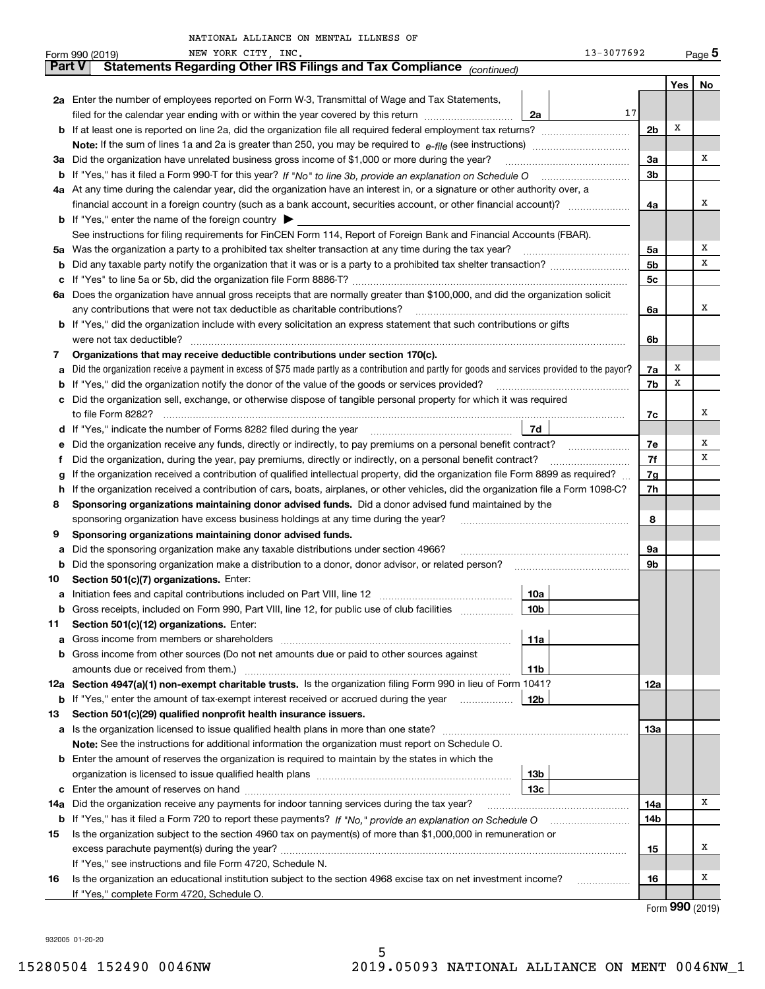|               | 13-3077692<br>NEW YORK CITY, INC.<br>Form 990 (2019)                                                                                            |                |     | Page 5 |  |  |  |  |  |  |
|---------------|-------------------------------------------------------------------------------------------------------------------------------------------------|----------------|-----|--------|--|--|--|--|--|--|
| <b>Part V</b> | Statements Regarding Other IRS Filings and Tax Compliance (continued)                                                                           |                |     |        |  |  |  |  |  |  |
|               |                                                                                                                                                 |                | Yes | No     |  |  |  |  |  |  |
|               | 2a Enter the number of employees reported on Form W-3, Transmittal of Wage and Tax Statements,                                                  | 17             |     |        |  |  |  |  |  |  |
|               | filed for the calendar year ending with or within the year covered by this return<br>2a                                                         |                | х   |        |  |  |  |  |  |  |
|               | <b>b</b> If at least one is reported on line 2a, did the organization file all required federal employment tax returns?                         | 2 <sub>b</sub> |     |        |  |  |  |  |  |  |
|               |                                                                                                                                                 |                |     |        |  |  |  |  |  |  |
|               | 3a Did the organization have unrelated business gross income of \$1,000 or more during the year?                                                | За             |     | х      |  |  |  |  |  |  |
|               | 4a At any time during the calendar year, did the organization have an interest in, or a signature or other authority over, a                    | 3b             |     |        |  |  |  |  |  |  |
|               | financial account in a foreign country (such as a bank account, securities account, or other financial account)?                                |                |     |        |  |  |  |  |  |  |
|               | <b>b</b> If "Yes," enter the name of the foreign country $\triangleright$                                                                       | 4a             |     | x      |  |  |  |  |  |  |
|               | See instructions for filing requirements for FinCEN Form 114, Report of Foreign Bank and Financial Accounts (FBAR).                             |                |     |        |  |  |  |  |  |  |
|               | 5a Was the organization a party to a prohibited tax shelter transaction at any time during the tax year?                                        | 5а             |     | х      |  |  |  |  |  |  |
| b             |                                                                                                                                                 | 5b             |     | х      |  |  |  |  |  |  |
| с             |                                                                                                                                                 | 5c             |     |        |  |  |  |  |  |  |
|               | 6a Does the organization have annual gross receipts that are normally greater than \$100,000, and did the organization solicit                  |                |     |        |  |  |  |  |  |  |
|               | any contributions that were not tax deductible as charitable contributions?                                                                     | 6a             |     | x      |  |  |  |  |  |  |
|               | <b>b</b> If "Yes," did the organization include with every solicitation an express statement that such contributions or gifts                   |                |     |        |  |  |  |  |  |  |
|               | were not tax deductible?                                                                                                                        | 6b             |     |        |  |  |  |  |  |  |
| 7             | Organizations that may receive deductible contributions under section 170(c).                                                                   |                |     |        |  |  |  |  |  |  |
| а             | Did the organization receive a payment in excess of \$75 made partly as a contribution and partly for goods and services provided to the payor? | 7a             | x   |        |  |  |  |  |  |  |
| b             | If "Yes," did the organization notify the donor of the value of the goods or services provided?                                                 | 7b             | X   |        |  |  |  |  |  |  |
| с             | Did the organization sell, exchange, or otherwise dispose of tangible personal property for which it was required                               |                |     |        |  |  |  |  |  |  |
|               |                                                                                                                                                 | 7с             |     | x      |  |  |  |  |  |  |
| d             | 7d                                                                                                                                              |                |     |        |  |  |  |  |  |  |
| е             | Did the organization receive any funds, directly or indirectly, to pay premiums on a personal benefit contract?                                 | 7e             |     | Х      |  |  |  |  |  |  |
| f             | Did the organization, during the year, pay premiums, directly or indirectly, on a personal benefit contract?                                    | 7f             |     | х      |  |  |  |  |  |  |
| g             | If the organization received a contribution of qualified intellectual property, did the organization file Form 8899 as required?                | 7g             |     |        |  |  |  |  |  |  |
| h.            | If the organization received a contribution of cars, boats, airplanes, or other vehicles, did the organization file a Form 1098-C?              | 7h             |     |        |  |  |  |  |  |  |
| 8             | Sponsoring organizations maintaining donor advised funds. Did a donor advised fund maintained by the                                            |                |     |        |  |  |  |  |  |  |
|               | sponsoring organization have excess business holdings at any time during the year?                                                              | 8              |     |        |  |  |  |  |  |  |
| 9             | Sponsoring organizations maintaining donor advised funds.                                                                                       |                |     |        |  |  |  |  |  |  |
| а             | Did the sponsoring organization make any taxable distributions under section 4966?                                                              | 9а             |     |        |  |  |  |  |  |  |
| b             | Did the sponsoring organization make a distribution to a donor, donor advisor, or related person?                                               | 9b             |     |        |  |  |  |  |  |  |
| 10            | Section 501(c)(7) organizations. Enter:                                                                                                         |                |     |        |  |  |  |  |  |  |
| а             | 10a<br> 10b                                                                                                                                     |                |     |        |  |  |  |  |  |  |
|               | Gross receipts, included on Form 990, Part VIII, line 12, for public use of club facilities                                                     |                |     |        |  |  |  |  |  |  |
| 11            | Section 501(c)(12) organizations. Enter:<br>11a<br><b>a</b> Gross income from members or shareholders                                           |                |     |        |  |  |  |  |  |  |
|               | b Gross income from other sources (Do not net amounts due or paid to other sources against                                                      |                |     |        |  |  |  |  |  |  |
|               | 11b                                                                                                                                             |                |     |        |  |  |  |  |  |  |
|               | 12a Section 4947(a)(1) non-exempt charitable trusts. Is the organization filing Form 990 in lieu of Form 1041?                                  | 12a            |     |        |  |  |  |  |  |  |
|               | 12b<br><b>b</b> If "Yes," enter the amount of tax-exempt interest received or accrued during the year <i>manument</i> of                        |                |     |        |  |  |  |  |  |  |
| 13            | Section 501(c)(29) qualified nonprofit health insurance issuers.                                                                                |                |     |        |  |  |  |  |  |  |
| а             | Is the organization licensed to issue qualified health plans in more than one state?                                                            | 13а            |     |        |  |  |  |  |  |  |
|               | Note: See the instructions for additional information the organization must report on Schedule O.                                               |                |     |        |  |  |  |  |  |  |
| b             | Enter the amount of reserves the organization is required to maintain by the states in which the                                                |                |     |        |  |  |  |  |  |  |
|               | 13b                                                                                                                                             |                |     |        |  |  |  |  |  |  |
| с             | 13с                                                                                                                                             |                |     |        |  |  |  |  |  |  |
| 14a           | Did the organization receive any payments for indoor tanning services during the tax year?                                                      | 14a            |     | x      |  |  |  |  |  |  |
|               | <b>b</b> If "Yes," has it filed a Form 720 to report these payments? If "No," provide an explanation on Schedule O                              | 14b            |     |        |  |  |  |  |  |  |
| 15            | Is the organization subject to the section 4960 tax on payment(s) of more than \$1,000,000 in remuneration or                                   |                |     |        |  |  |  |  |  |  |
|               |                                                                                                                                                 | 15             |     | x      |  |  |  |  |  |  |
|               | If "Yes," see instructions and file Form 4720, Schedule N.                                                                                      |                |     |        |  |  |  |  |  |  |
| 16            | Is the organization an educational institution subject to the section 4968 excise tax on net investment income?                                 | 16             |     | x      |  |  |  |  |  |  |
|               | If "Yes," complete Form 4720, Schedule O.                                                                                                       |                |     |        |  |  |  |  |  |  |

Form (2019) **990**

932005 01-20-20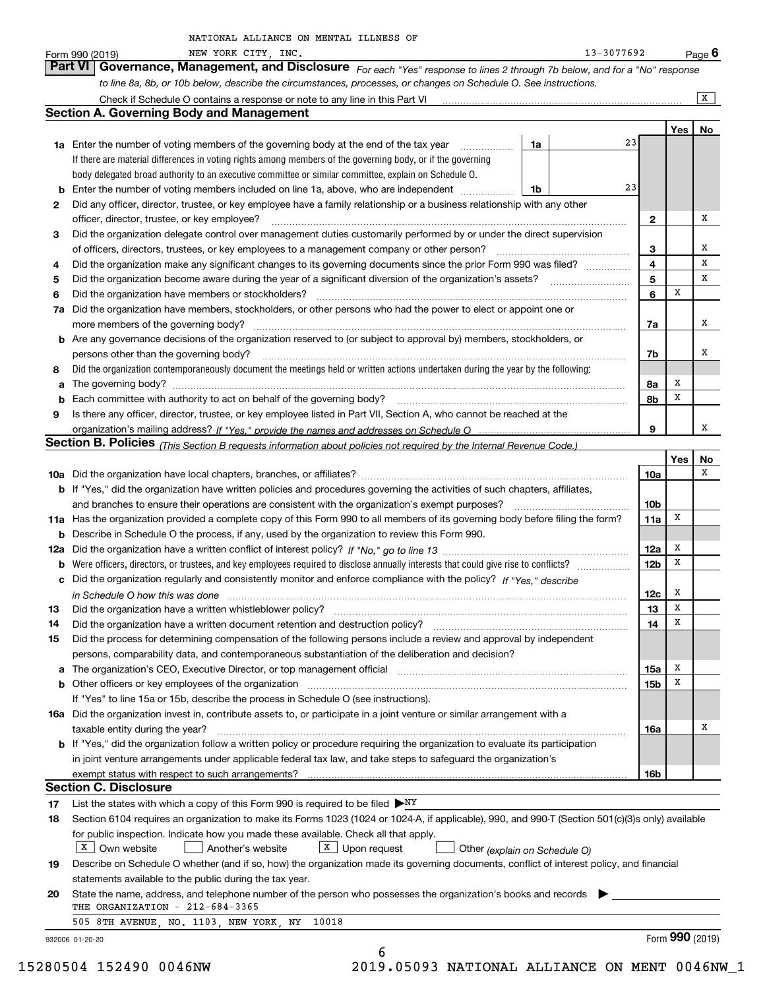| NATIONAL ALLIANCE ON MENTAL ILLNESS OF |  |
|----------------------------------------|--|
|----------------------------------------|--|

|     | NEW YORK CITY, INC.<br>Form 990 (2019)                                                                                                                                                         |    | 13-3077692 |                 |        | <u>Pag</u> e 6  |
|-----|------------------------------------------------------------------------------------------------------------------------------------------------------------------------------------------------|----|------------|-----------------|--------|-----------------|
|     | Part VI   Governance, Management, and Disclosure For each "Yes" response to lines 2 through 7b below, and for a "No" response                                                                  |    |            |                 |        |                 |
|     | to line 8a, 8b, or 10b below, describe the circumstances, processes, or changes on Schedule O. See instructions.                                                                               |    |            |                 |        |                 |
|     | Check if Schedule O contains a response or note to any line in this Part VI                                                                                                                    |    |            |                 |        | $\mathbf{X}$    |
|     | <b>Section A. Governing Body and Management</b>                                                                                                                                                |    |            |                 |        |                 |
|     |                                                                                                                                                                                                |    |            |                 |        | Yes   No        |
|     | <b>1a</b> Enter the number of voting members of the governing body at the end of the tax year                                                                                                  | 1a | 23         |                 |        |                 |
|     | If there are material differences in voting rights among members of the governing body, or if the governing                                                                                    |    |            |                 |        |                 |
|     | body delegated broad authority to an executive committee or similar committee, explain on Schedule O.                                                                                          |    |            |                 |        |                 |
| b   | Enter the number of voting members included on line 1a, above, who are independent                                                                                                             | 1b | 23         |                 |        |                 |
| 2   | Did any officer, director, trustee, or key employee have a family relationship or a business relationship with any other                                                                       |    |            |                 |        |                 |
|     | officer, director, trustee, or key employee?                                                                                                                                                   |    |            | 2               |        | х               |
| 3   | Did the organization delegate control over management duties customarily performed by or under the direct supervision                                                                          |    |            |                 |        |                 |
|     | of officers, directors, trustees, or key employees to a management company or other person?                                                                                                    |    |            | 3               |        | x               |
| 4   | Did the organization make any significant changes to its governing documents since the prior Form 990 was filed?                                                                               |    |            | 4               |        | х               |
| 5   |                                                                                                                                                                                                |    |            | 5               |        | х               |
| 6   | Did the organization have members or stockholders?                                                                                                                                             |    |            | 6               | х      |                 |
| 7a  | Did the organization have members, stockholders, or other persons who had the power to elect or appoint one or                                                                                 |    |            |                 |        |                 |
|     | more members of the governing body?                                                                                                                                                            |    |            | 7a              |        | х               |
| b   | Are any governance decisions of the organization reserved to (or subject to approval by) members, stockholders, or                                                                             |    |            |                 |        |                 |
|     | persons other than the governing body?                                                                                                                                                         |    |            | 7b              |        | х               |
| 8   | Did the organization contemporaneously document the meetings held or written actions undertaken during the year by the following:                                                              |    |            |                 |        |                 |
| a   |                                                                                                                                                                                                |    |            | 8a              | х      |                 |
| b   |                                                                                                                                                                                                |    |            | 8b              | х      |                 |
| 9   | Is there any officer, director, trustee, or key employee listed in Part VII, Section A, who cannot be reached at the                                                                           |    |            |                 |        |                 |
|     |                                                                                                                                                                                                |    |            | 9               |        | х               |
|     | Section B. Policies (This Section B requests information about policies not required by the Internal Revenue Code.)                                                                            |    |            |                 |        |                 |
|     |                                                                                                                                                                                                |    |            |                 | Yes    | No              |
|     |                                                                                                                                                                                                |    |            | 10a             |        | х               |
|     | b If "Yes," did the organization have written policies and procedures governing the activities of such chapters, affiliates,                                                                   |    |            |                 |        |                 |
|     | and branches to ensure their operations are consistent with the organization's exempt purposes?                                                                                                |    |            | 10 <sub>b</sub> |        |                 |
|     | 11a Has the organization provided a complete copy of this Form 990 to all members of its governing body before filing the form?                                                                |    |            | 11a             | x      |                 |
| b   | Describe in Schedule O the process, if any, used by the organization to review this Form 990.                                                                                                  |    |            |                 |        |                 |
| 12a |                                                                                                                                                                                                |    |            | 12a             | x      |                 |
| b   |                                                                                                                                                                                                |    |            | 12 <sub>b</sub> | Х      |                 |
|     | c Did the organization regularly and consistently monitor and enforce compliance with the policy? If "Yes," describe                                                                           |    |            |                 |        |                 |
|     | in Schedule O how this was done measurement contracts and contact the state of the state of the state of the s                                                                                 |    |            | 12c             | x<br>X |                 |
|     |                                                                                                                                                                                                |    |            | 13              |        |                 |
| 14  | Did the organization have a written document retention and destruction policy?                                                                                                                 |    |            | 14              | Х      |                 |
| 15  | Did the process for determining compensation of the following persons include a review and approval by independent                                                                             |    |            |                 |        |                 |
|     | persons, comparability data, and contemporaneous substantiation of the deliberation and decision?                                                                                              |    |            |                 | x      |                 |
| a   | The organization's CEO, Executive Director, or top management official manufactured contains and contained a support of the organization's CEO, Executive Director, or top management official |    |            | 15a<br>15b      | x      |                 |
| b   | If "Yes" to line 15a or 15b, describe the process in Schedule O (see instructions).                                                                                                            |    |            |                 |        |                 |
|     | 16a Did the organization invest in, contribute assets to, or participate in a joint venture or similar arrangement with a                                                                      |    |            |                 |        |                 |
|     | taxable entity during the year?                                                                                                                                                                |    |            | 16a             |        | х               |
|     | b If "Yes," did the organization follow a written policy or procedure requiring the organization to evaluate its participation                                                                 |    |            |                 |        |                 |
|     | in joint venture arrangements under applicable federal tax law, and take steps to safeguard the organization's                                                                                 |    |            |                 |        |                 |
|     | exempt status with respect to such arrangements?                                                                                                                                               |    |            | 16b             |        |                 |
|     | <b>Section C. Disclosure</b>                                                                                                                                                                   |    |            |                 |        |                 |
| 17  | List the states with which a copy of this Form 990 is required to be filed $\triangleright_{\rm{NY}}$                                                                                          |    |            |                 |        |                 |
| 18  | Section 6104 requires an organization to make its Forms 1023 (1024 or 1024-A, if applicable), 990, and 990-T (Section 501(c)(3)s only) available                                               |    |            |                 |        |                 |
|     | for public inspection. Indicate how you made these available. Check all that apply.                                                                                                            |    |            |                 |        |                 |
|     | $X$ Own website<br>$X$ Upon request<br>Another's website<br>Other (explain on Schedule O)                                                                                                      |    |            |                 |        |                 |
| 19  | Describe on Schedule O whether (and if so, how) the organization made its governing documents, conflict of interest policy, and financial                                                      |    |            |                 |        |                 |
|     | statements available to the public during the tax year.                                                                                                                                        |    |            |                 |        |                 |
| 20  | State the name, address, and telephone number of the person who possesses the organization's books and records                                                                                 |    |            |                 |        |                 |
|     | THE ORGANIZATION - 212-684-3365                                                                                                                                                                |    |            |                 |        |                 |
|     | 505 8TH AVENUE, NO. 1103, NEW YORK, NY<br>10018                                                                                                                                                |    |            |                 |        |                 |
|     | 932006 01-20-20                                                                                                                                                                                |    |            |                 |        | Form 990 (2019) |
|     | 6                                                                                                                                                                                              |    |            |                 |        |                 |

15280504 152490 0046NW 2019.05093 NATIONAL ALLIANCE ON MENT 0046NW\_1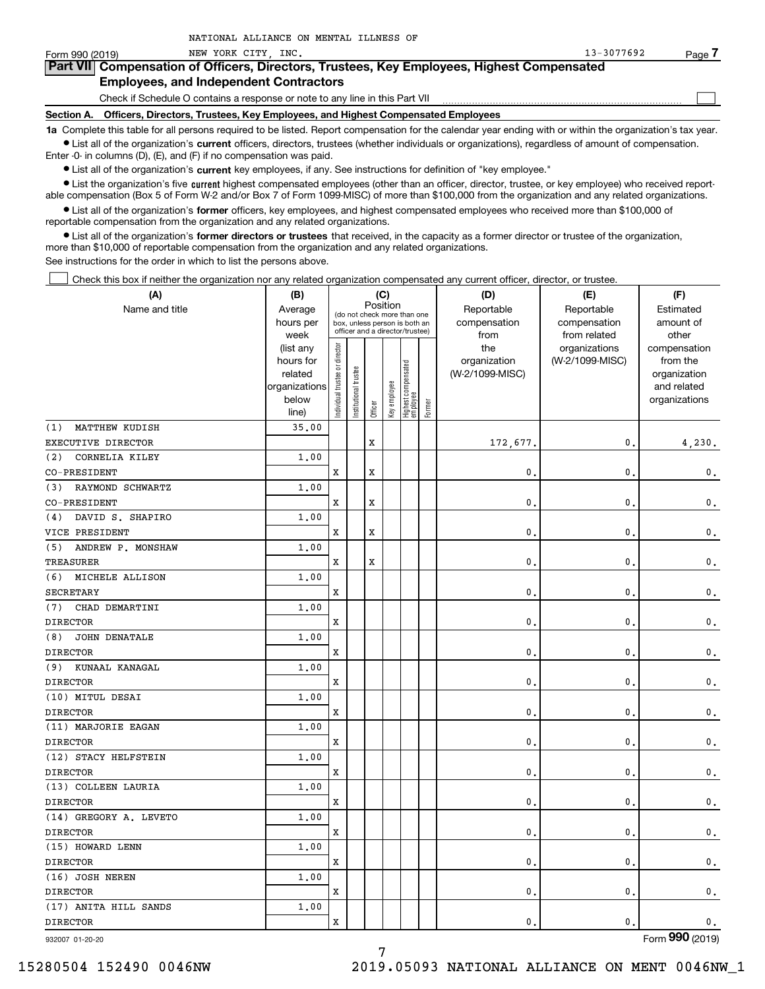| Form 990 (2019) | NEW YORK CITY INC.                                                                                                                                         | 13-3077692 | Page |
|-----------------|------------------------------------------------------------------------------------------------------------------------------------------------------------|------------|------|
|                 | Part VII Compensation of Officers, Directors, Trustees, Key Employees, Highest Compensated                                                                 |            |      |
|                 | <b>Employees, and Independent Contractors</b>                                                                                                              |            |      |
|                 | Check if Schedule O contains a response or note to any line in this Part VII                                                                               |            |      |
|                 | Section A. Officers, Directors, Trustees, Key Employees, and Highest Compensated Employees                                                                 |            |      |
|                 | 1a Complete this table for all persons required to be listed. Report compensation for the calendar year ending with or within the organization's tax year. |            |      |

**•** List all of the organization's current officers, directors, trustees (whether individuals or organizations), regardless of amount of compensation. Enter -0- in columns (D), (E), and (F) if no compensation was paid.

 $\bullet$  List all of the organization's  $\,$ current key employees, if any. See instructions for definition of "key employee."

NATIONAL ALLIANCE ON MENTAL ILLNESS OF

**•** List the organization's five current highest compensated employees (other than an officer, director, trustee, or key employee) who received reportable compensation (Box 5 of Form W-2 and/or Box 7 of Form 1099-MISC) of more than \$100,000 from the organization and any related organizations.

**•** List all of the organization's former officers, key employees, and highest compensated employees who received more than \$100,000 of reportable compensation from the organization and any related organizations.

**former directors or trustees**  ¥ List all of the organization's that received, in the capacity as a former director or trustee of the organization, more than \$10,000 of reportable compensation from the organization and any related organizations.

See instructions for the order in which to list the persons above.

Check this box if neither the organization nor any related organization compensated any current officer, director, or trustee.  $\mathcal{L}^{\text{max}}$ 

| (A)                          | (B)<br>(C)        |                               |                                                                  |                                         |                      |                                  |                    | (D)             | (E)             | (F)             |            |           |
|------------------------------|-------------------|-------------------------------|------------------------------------------------------------------|-----------------------------------------|----------------------|----------------------------------|--------------------|-----------------|-----------------|-----------------|------------|-----------|
| Name and title               | Average           |                               |                                                                  | Position<br>(do not check more than one |                      |                                  |                    |                 |                 | Reportable      | Reportable | Estimated |
|                              | hours per<br>week |                               | box, unless person is both an<br>officer and a director/trustee) |                                         | compensation<br>from | compensation<br>from related     | amount of<br>other |                 |                 |                 |            |           |
|                              | (list any         |                               |                                                                  |                                         |                      |                                  |                    | the             | organizations   | compensation    |            |           |
|                              | hours for         |                               |                                                                  |                                         |                      |                                  |                    | organization    | (W-2/1099-MISC) | from the        |            |           |
|                              | related           |                               |                                                                  |                                         |                      |                                  |                    | (W-2/1099-MISC) |                 | organization    |            |           |
|                              | organizations     |                               |                                                                  |                                         |                      |                                  |                    |                 |                 | and related     |            |           |
|                              | below             | ndividual trustee or director | nstitutional trustee                                             | Officer                                 | Key employee         | Highest compensated<br> employee | Former             |                 |                 | organizations   |            |           |
| (1)<br><b>MATTHEW KUDISH</b> | line)<br>35.00    |                               |                                                                  |                                         |                      |                                  |                    |                 |                 |                 |            |           |
| EXECUTIVE DIRECTOR           |                   |                               |                                                                  | X                                       |                      |                                  |                    | 172,677.        | 0.              | 4,230.          |            |           |
| CORNELIA KILEY<br>(2)        | 1.00              |                               |                                                                  |                                         |                      |                                  |                    |                 |                 |                 |            |           |
| CO-PRESIDENT                 |                   | x                             |                                                                  | $\mathbf x$                             |                      |                                  |                    | 0.              | $\mathbf{0}$ .  | $\mathbf 0$ .   |            |           |
| RAYMOND SCHWARTZ<br>(3)      | 1.00              |                               |                                                                  |                                         |                      |                                  |                    |                 |                 |                 |            |           |
| CO-PRESIDENT                 |                   | x                             |                                                                  | $\mathbf x$                             |                      |                                  |                    | $\mathbf{0}$ .  | $\mathbf{0}$ .  | $\mathbf 0$ .   |            |           |
| DAVID S. SHAPIRO<br>(4)      | 1.00              |                               |                                                                  |                                         |                      |                                  |                    |                 |                 |                 |            |           |
| VICE PRESIDENT               |                   | x                             |                                                                  | $\mathbf x$                             |                      |                                  |                    | $\mathbf{0}$ .  | $\mathbf{0}$ .  | $\mathbf 0$ .   |            |           |
| (5)<br>ANDREW P. MONSHAW     | 1.00              |                               |                                                                  |                                         |                      |                                  |                    |                 |                 |                 |            |           |
| <b>TREASURER</b>             |                   | x                             |                                                                  | $\mathbf x$                             |                      |                                  |                    | 0.              | $\mathbf{0}$ .  | $\mathbf 0$ .   |            |           |
| MICHELE ALLISON<br>(6)       | 1.00              |                               |                                                                  |                                         |                      |                                  |                    |                 |                 |                 |            |           |
| <b>SECRETARY</b>             |                   | x                             |                                                                  |                                         |                      |                                  |                    | $\mathbf{0}$ .  | $\mathbf{0}$ .  | $\mathbf 0$ .   |            |           |
| CHAD DEMARTINI<br>(7)        | 1.00              |                               |                                                                  |                                         |                      |                                  |                    |                 |                 |                 |            |           |
| <b>DIRECTOR</b>              |                   | x                             |                                                                  |                                         |                      |                                  |                    | $\mathbf{0}$ .  | $\mathbf{0}$ .  | $\mathbf 0$ .   |            |           |
| <b>JOHN DENATALE</b><br>(8)  | 1.00              |                               |                                                                  |                                         |                      |                                  |                    |                 |                 |                 |            |           |
| <b>DIRECTOR</b>              |                   | x                             |                                                                  |                                         |                      |                                  |                    | $\mathbf{0}$ .  | $\mathbf{0}$ .  | $\mathbf 0$ .   |            |           |
| KUNAAL KANAGAL<br>(9)        | 1.00              |                               |                                                                  |                                         |                      |                                  |                    |                 |                 |                 |            |           |
| <b>DIRECTOR</b>              |                   | x                             |                                                                  |                                         |                      |                                  |                    | $\mathbf{0}$ .  | $\mathbf{0}$ .  | $\mathbf 0$ .   |            |           |
| (10) MITUL DESAI             | 1.00              |                               |                                                                  |                                         |                      |                                  |                    |                 |                 |                 |            |           |
| <b>DIRECTOR</b>              |                   | x                             |                                                                  |                                         |                      |                                  |                    | $\mathbf{0}$ .  | $\mathbf{0}$ .  | $\mathsf{0}\,.$ |            |           |
| (11) MARJORIE EAGAN          | 1.00              |                               |                                                                  |                                         |                      |                                  |                    |                 |                 |                 |            |           |
| <b>DIRECTOR</b>              |                   | x                             |                                                                  |                                         |                      |                                  |                    | $\mathbf{0}$ .  | $\mathbf{0}$ .  | $\mathsf{0}\,.$ |            |           |
| (12) STACY HELFSTEIN         | 1.00              |                               |                                                                  |                                         |                      |                                  |                    |                 |                 |                 |            |           |
| <b>DIRECTOR</b>              |                   | X                             |                                                                  |                                         |                      |                                  |                    | $\mathbf{0}$ .  | $\mathbf{0}$ .  | $\mathsf{0}\,.$ |            |           |
| (13) COLLEEN LAURIA          | 1.00              |                               |                                                                  |                                         |                      |                                  |                    |                 |                 |                 |            |           |
| <b>DIRECTOR</b>              |                   | X                             |                                                                  |                                         |                      |                                  |                    | $\mathbf{0}$ .  | $\mathbf{0}$ .  | $\mathbf 0$ .   |            |           |
| (14) GREGORY A. LEVETO       | 1.00              |                               |                                                                  |                                         |                      |                                  |                    |                 |                 |                 |            |           |
| <b>DIRECTOR</b>              |                   | X                             |                                                                  |                                         |                      |                                  |                    | $\mathbf{0}$ .  | $\mathbf{0}$ .  | $\mathsf{0}\,.$ |            |           |
| (15) HOWARD LENN             | 1,00              |                               |                                                                  |                                         |                      |                                  |                    |                 |                 |                 |            |           |
| <b>DIRECTOR</b>              |                   | X                             |                                                                  |                                         |                      |                                  |                    | $\mathbf{0}$ .  | $\mathbf{0}$ .  | $\mathsf{0}\,.$ |            |           |
| (16) JOSH NEREN              | 1.00              |                               |                                                                  |                                         |                      |                                  |                    |                 |                 |                 |            |           |
| <b>DIRECTOR</b>              |                   | X                             |                                                                  |                                         |                      |                                  |                    | $\mathbf{0}$ .  | $\mathbf{0}$ .  | $\mathsf{0}\,.$ |            |           |
| (17) ANITA HILL SANDS        | 1.00              |                               |                                                                  |                                         |                      |                                  |                    |                 |                 |                 |            |           |
| <b>DIRECTOR</b>              |                   | X                             |                                                                  |                                         |                      |                                  |                    | $\mathbf{0}$ .  | $\mathbf{0}$ .  | $\mathbf 0$ .   |            |           |

932007 01-20-20

Form (2019) **990**

15280504 152490 0046NW 2019.05093 NATIONAL ALLIANCE ON MENT 0046NW\_1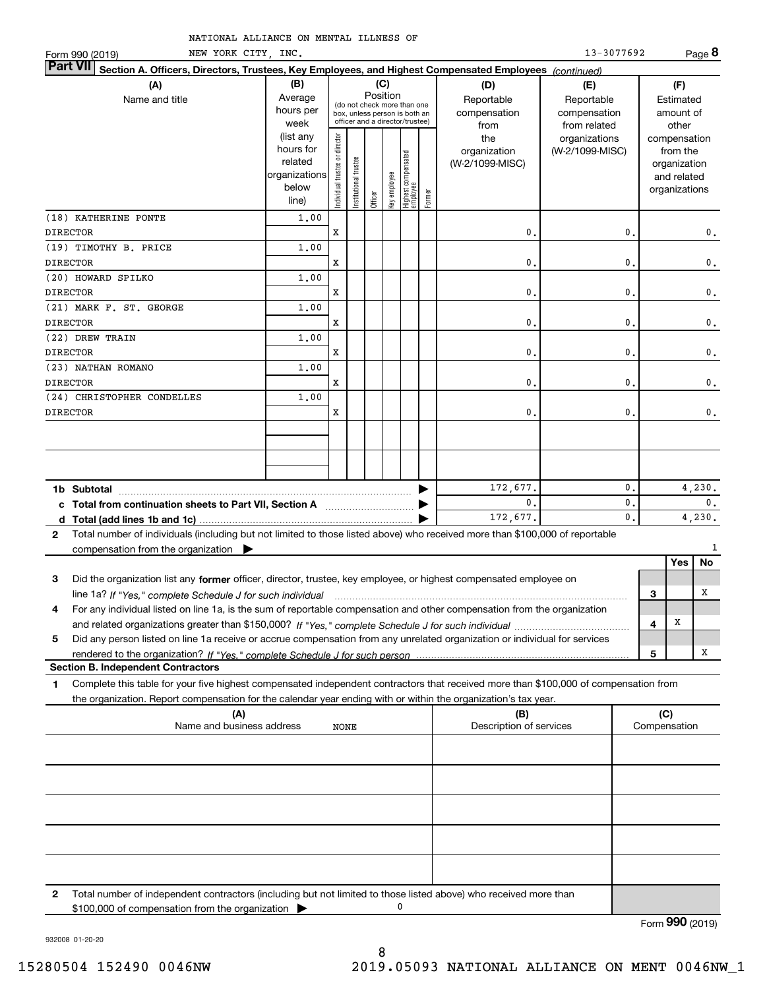| Form 990 (2019) | NEW YORK CITY, INC.                                                                                                                                                                      |                        |                                |                       |          |              |                                   |        |                                 | 13-3077692      |   |                          | Page 8                   |
|-----------------|------------------------------------------------------------------------------------------------------------------------------------------------------------------------------------------|------------------------|--------------------------------|-----------------------|----------|--------------|-----------------------------------|--------|---------------------------------|-----------------|---|--------------------------|--------------------------|
| Part VII        | Section A. Officers, Directors, Trustees, Key Employees, and Highest Compensated Employees (continued)                                                                                   |                        |                                |                       |          |              |                                   |        |                                 |                 |   |                          |                          |
|                 | (A)                                                                                                                                                                                      | (B)                    |                                |                       |          | (C)          |                                   |        | (D)                             | (E)             |   | (F)                      |                          |
|                 | Name and title                                                                                                                                                                           | Average                |                                |                       | Position |              | (do not check more than one       |        | Reportable                      | Reportable      |   | Estimated                |                          |
|                 |                                                                                                                                                                                          | hours per              |                                |                       |          |              | box, unless person is both an     |        | compensation                    | compensation    |   | amount of                |                          |
|                 |                                                                                                                                                                                          | week                   |                                |                       |          |              | officer and a director/trustee)   |        | from                            | from related    |   | other                    |                          |
|                 |                                                                                                                                                                                          | (list any<br>hours for |                                |                       |          |              |                                   |        | the                             | organizations   |   | compensation             |                          |
|                 |                                                                                                                                                                                          | related                |                                |                       |          |              |                                   |        | organization<br>(W-2/1099-MISC) | (W-2/1099-MISC) |   | from the<br>organization |                          |
|                 |                                                                                                                                                                                          | organizations          |                                |                       |          |              |                                   |        |                                 |                 |   | and related              |                          |
|                 |                                                                                                                                                                                          | below                  | Individual trustee or director | Institutional trustee |          | Key employee |                                   |        |                                 |                 |   | organizations            |                          |
|                 |                                                                                                                                                                                          | line)                  |                                |                       | Officer  |              | Highest compensated<br>  employee | Former |                                 |                 |   |                          |                          |
|                 | (18) KATHERINE PONTE                                                                                                                                                                     | 1,00                   |                                |                       |          |              |                                   |        |                                 |                 |   |                          |                          |
| <b>DIRECTOR</b> |                                                                                                                                                                                          |                        | x                              |                       |          |              |                                   |        | 0.                              | $\mathbf{0}$ .  |   |                          | 0.                       |
|                 | (19) TIMOTHY B. PRICE                                                                                                                                                                    | 1.00                   |                                |                       |          |              |                                   |        |                                 |                 |   |                          |                          |
| <b>DIRECTOR</b> |                                                                                                                                                                                          |                        | x                              |                       |          |              |                                   |        | 0.                              | 0.              |   |                          | 0.                       |
|                 | (20) HOWARD SPILKO                                                                                                                                                                       | 1.00                   |                                |                       |          |              |                                   |        |                                 |                 |   |                          |                          |
| <b>DIRECTOR</b> |                                                                                                                                                                                          |                        | x                              |                       |          |              |                                   |        | 0.                              | 0.              |   |                          | 0.                       |
|                 | (21) MARK F. ST. GEORGE                                                                                                                                                                  | 1.00                   |                                |                       |          |              |                                   |        |                                 |                 |   |                          |                          |
| <b>DIRECTOR</b> |                                                                                                                                                                                          |                        | x                              |                       |          |              |                                   |        | 0.                              | 0.              |   |                          | 0.                       |
|                 | (22) DREW TRAIN                                                                                                                                                                          | 1.00                   |                                |                       |          |              |                                   |        |                                 |                 |   |                          |                          |
| <b>DIRECTOR</b> |                                                                                                                                                                                          |                        | x                              |                       |          |              |                                   |        | 0.                              | 0.              |   |                          | 0.                       |
|                 | (23) NATHAN ROMANO                                                                                                                                                                       | 1.00                   |                                |                       |          |              |                                   |        |                                 |                 |   |                          |                          |
| <b>DIRECTOR</b> |                                                                                                                                                                                          |                        | x                              |                       |          |              |                                   |        | 0.                              | 0.              |   |                          | 0.                       |
|                 | (24) CHRISTOPHER CONDELLES                                                                                                                                                               | 1,00                   |                                |                       |          |              |                                   |        |                                 |                 |   |                          |                          |
| <b>DIRECTOR</b> |                                                                                                                                                                                          |                        | х                              |                       |          |              |                                   |        | 0.                              | 0.              |   |                          | 0.                       |
|                 |                                                                                                                                                                                          |                        |                                |                       |          |              |                                   |        |                                 |                 |   |                          |                          |
|                 |                                                                                                                                                                                          |                        |                                |                       |          |              |                                   |        |                                 |                 |   |                          |                          |
|                 |                                                                                                                                                                                          |                        |                                |                       |          |              |                                   |        |                                 |                 |   |                          |                          |
|                 |                                                                                                                                                                                          |                        |                                |                       |          |              |                                   |        |                                 | $\mathbf{0}$ .  |   |                          |                          |
|                 |                                                                                                                                                                                          |                        |                                |                       |          |              |                                   |        | 172,677.<br>$\mathbf{0}$ .      | $\mathbf{0}$ .  |   |                          | 4,230.<br>$\mathbf{0}$ . |
|                 | c Total from continuation sheets to Part VII, Section A                                                                                                                                  |                        |                                |                       |          |              |                                   |        | 172,677.                        | 0.              |   |                          | 4,230.                   |
|                 |                                                                                                                                                                                          |                        |                                |                       |          |              |                                   |        |                                 |                 |   |                          |                          |
| 2               | Total number of individuals (including but not limited to those listed above) who received more than \$100,000 of reportable<br>compensation from the organization $\blacktriangleright$ |                        |                                |                       |          |              |                                   |        |                                 |                 |   |                          | 1                        |
|                 |                                                                                                                                                                                          |                        |                                |                       |          |              |                                   |        |                                 |                 |   | Yes                      | No                       |
| з               | Did the organization list any former officer, director, trustee, key employee, or highest compensated employee on                                                                        |                        |                                |                       |          |              |                                   |        |                                 |                 |   |                          |                          |
|                 | line 1a? If "Yes," complete Schedule J for such individual manufactured contained and the Ves," complete Schedule J for such individual                                                  |                        |                                |                       |          |              |                                   |        |                                 |                 | 3 |                          | Χ                        |
| 4               | For any individual listed on line 1a, is the sum of reportable compensation and other compensation from the organization                                                                 |                        |                                |                       |          |              |                                   |        |                                 |                 |   |                          |                          |
|                 |                                                                                                                                                                                          |                        |                                |                       |          |              |                                   |        |                                 |                 | 4 | X                        |                          |
| 5               | Did any person listed on line 1a receive or accrue compensation from any unrelated organization or individual for services                                                               |                        |                                |                       |          |              |                                   |        |                                 |                 |   |                          |                          |
|                 |                                                                                                                                                                                          |                        |                                |                       |          |              |                                   |        |                                 |                 | 5 |                          | Χ                        |
|                 | <b>Section B. Independent Contractors</b>                                                                                                                                                |                        |                                |                       |          |              |                                   |        |                                 |                 |   |                          |                          |
| 1               | Complete this table for your five highest compensated independent contractors that received more than \$100,000 of compensation from                                                     |                        |                                |                       |          |              |                                   |        |                                 |                 |   |                          |                          |
|                 | the organization. Report compensation for the calendar year ending with or within the organization's tax year.                                                                           |                        |                                |                       |          |              |                                   |        |                                 |                 |   |                          |                          |
|                 |                                                                                                                                                                                          |                        |                                |                       |          |              |                                   |        |                                 |                 |   |                          |                          |

|              | (A)                                                                                                              | (B)                     | (C)          |
|--------------|------------------------------------------------------------------------------------------------------------------|-------------------------|--------------|
|              | Name and business address<br>NONE                                                                                | Description of services | Compensation |
|              |                                                                                                                  |                         |              |
|              |                                                                                                                  |                         |              |
|              |                                                                                                                  |                         |              |
|              |                                                                                                                  |                         |              |
|              |                                                                                                                  |                         |              |
|              |                                                                                                                  |                         |              |
|              |                                                                                                                  |                         |              |
|              |                                                                                                                  |                         |              |
|              |                                                                                                                  |                         |              |
|              |                                                                                                                  |                         |              |
| $\mathbf{2}$ | Total number of independent contractors (including but not limited to those listed above) who received more than |                         |              |
|              | \$100,000 of compensation from the organization                                                                  |                         |              |

932008 01-20-20

Form (2019) **990**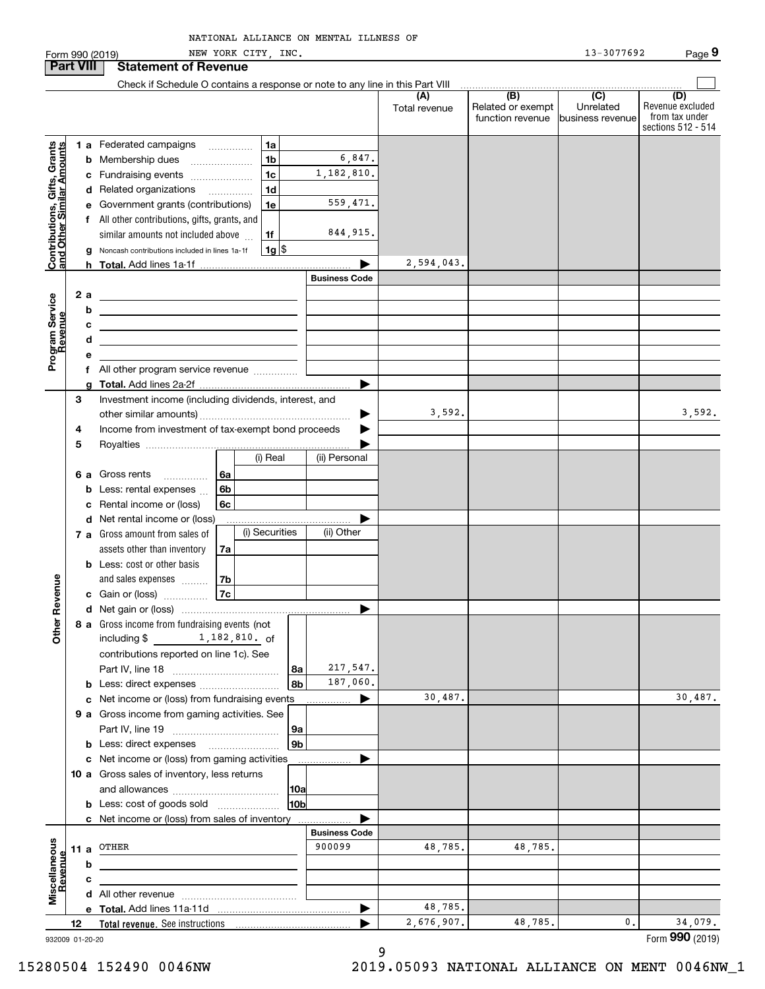|                                                           |      |                 | NEW YORK CITY, INC.<br>Form 990 (2019)                                                   |                 |                      |                       |                                                           | 13-3077692                                         | Page 9                                                          |
|-----------------------------------------------------------|------|-----------------|------------------------------------------------------------------------------------------|-----------------|----------------------|-----------------------|-----------------------------------------------------------|----------------------------------------------------|-----------------------------------------------------------------|
| <b>Part VIII</b>                                          |      |                 | <b>Statement of Revenue</b>                                                              |                 |                      |                       |                                                           |                                                    |                                                                 |
|                                                           |      |                 | Check if Schedule O contains a response or note to any line in this Part VIII            |                 |                      |                       |                                                           |                                                    |                                                                 |
|                                                           |      |                 |                                                                                          |                 |                      | (A)<br>Total revenue  | $\overline{(B)}$<br>Related or exempt<br>function revenue | $\overline{(C)}$<br>Unrelated<br>Ibusiness revenue | (D)<br>Revenue excluded<br>from tax under<br>sections 512 - 514 |
|                                                           |      |                 | 1 a Federated campaigns<br>1a                                                            |                 |                      |                       |                                                           |                                                    |                                                                 |
|                                                           |      |                 | 1 <sub>b</sub><br><b>b</b> Membership dues                                               |                 | 6,847.               |                       |                                                           |                                                    |                                                                 |
|                                                           |      |                 | 1 <sub>c</sub><br>c Fundraising events                                                   |                 | 1,182,810.           |                       |                                                           |                                                    |                                                                 |
|                                                           |      |                 | 1 <sub>d</sub><br>d Related organizations                                                |                 |                      |                       |                                                           |                                                    |                                                                 |
|                                                           |      |                 | e Government grants (contributions)<br>1e                                                |                 | 559,471.             |                       |                                                           |                                                    |                                                                 |
|                                                           |      |                 | f All other contributions, gifts, grants, and                                            |                 |                      |                       |                                                           |                                                    |                                                                 |
|                                                           |      |                 | similar amounts not included above<br>1f                                                 |                 | 844, 915.            |                       |                                                           |                                                    |                                                                 |
| Contributions, Gifts, Grants<br>and Other Similar Amounts |      |                 | $1g$ \$<br>g Noncash contributions included in lines 1a-1f                               |                 |                      |                       |                                                           |                                                    |                                                                 |
|                                                           |      |                 |                                                                                          |                 |                      | 2,594,043.            |                                                           |                                                    |                                                                 |
|                                                           |      |                 |                                                                                          |                 | <b>Business Code</b> |                       |                                                           |                                                    |                                                                 |
|                                                           |      | 2a              |                                                                                          |                 |                      |                       |                                                           |                                                    |                                                                 |
|                                                           |      | b               | <u> 1989 - Johann Barbara, martxa alemaniar arg</u>                                      |                 |                      |                       |                                                           |                                                    |                                                                 |
| Revenue                                                   |      | с<br>d          | <u> 1989 - Johann Barbara, martxa alemaniar a</u>                                        |                 |                      |                       |                                                           |                                                    |                                                                 |
| Program Service                                           |      |                 |                                                                                          |                 |                      |                       |                                                           |                                                    |                                                                 |
|                                                           |      |                 | All other program service revenue <i>mimimini</i>                                        |                 |                      |                       |                                                           |                                                    |                                                                 |
|                                                           |      |                 |                                                                                          |                 | ▶                    |                       |                                                           |                                                    |                                                                 |
|                                                           | 3    |                 | Investment income (including dividends, interest, and                                    |                 |                      |                       |                                                           |                                                    |                                                                 |
|                                                           |      |                 |                                                                                          |                 | ▶                    | 3,592.                |                                                           |                                                    | 3,592.                                                          |
|                                                           | 4    |                 | Income from investment of tax-exempt bond proceeds                                       |                 |                      |                       |                                                           |                                                    |                                                                 |
|                                                           | 5    |                 |                                                                                          |                 |                      |                       |                                                           |                                                    |                                                                 |
|                                                           |      |                 | (i) Real                                                                                 |                 | (ii) Personal        |                       |                                                           |                                                    |                                                                 |
|                                                           |      | 6а              | Gross rents<br>6a<br>.                                                                   |                 |                      |                       |                                                           |                                                    |                                                                 |
|                                                           |      | b               | 6b<br>Less: rental expenses                                                              |                 |                      |                       |                                                           |                                                    |                                                                 |
|                                                           |      | c               | Rental income or (loss)<br><b>6c</b>                                                     |                 |                      |                       |                                                           |                                                    |                                                                 |
|                                                           |      |                 | d Net rental income or (loss)<br>(i) Securities<br><b>7 a</b> Gross amount from sales of |                 | (ii) Other           |                       |                                                           |                                                    |                                                                 |
|                                                           |      |                 | assets other than inventory<br>7a                                                        |                 |                      |                       |                                                           |                                                    |                                                                 |
|                                                           |      |                 | <b>b</b> Less: cost or other basis                                                       |                 |                      |                       |                                                           |                                                    |                                                                 |
|                                                           |      |                 | and sales expenses<br>7b                                                                 |                 |                      |                       |                                                           |                                                    |                                                                 |
| venue                                                     |      |                 | 7c<br><b>c</b> Gain or (loss)                                                            |                 |                      |                       |                                                           |                                                    |                                                                 |
|                                                           |      |                 |                                                                                          |                 |                      |                       |                                                           |                                                    |                                                                 |
| Other Re                                                  |      |                 | 8 a Gross income from fundraising events (not                                            |                 |                      |                       |                                                           |                                                    |                                                                 |
|                                                           |      |                 | including \$ 1, 182, 810. of                                                             |                 |                      |                       |                                                           |                                                    |                                                                 |
|                                                           |      |                 | contributions reported on line 1c). See                                                  |                 |                      |                       |                                                           |                                                    |                                                                 |
|                                                           |      |                 |                                                                                          | 8а              | 217,547.             |                       |                                                           |                                                    |                                                                 |
|                                                           |      |                 |                                                                                          | 8b              | 187,060.             |                       |                                                           |                                                    |                                                                 |
|                                                           |      |                 | c Net income or (loss) from fundraising events                                           |                 |                      | 30,487.               |                                                           |                                                    | 30,487.                                                         |
|                                                           |      |                 | 9 a Gross income from gaming activities. See                                             |                 |                      |                       |                                                           |                                                    |                                                                 |
|                                                           |      |                 |                                                                                          | <b>9a</b><br>9b |                      |                       |                                                           |                                                    |                                                                 |
|                                                           |      |                 | c Net income or (loss) from gaming activities                                            |                 |                      |                       |                                                           |                                                    |                                                                 |
|                                                           |      |                 | 10 a Gross sales of inventory, less returns                                              |                 |                      |                       |                                                           |                                                    |                                                                 |
|                                                           |      |                 |                                                                                          | 10a             |                      |                       |                                                           |                                                    |                                                                 |
|                                                           |      |                 | <b>b</b> Less: cost of goods sold                                                        | 10b             |                      |                       |                                                           |                                                    |                                                                 |
|                                                           |      |                 | c Net income or (loss) from sales of inventory                                           |                 |                      |                       |                                                           |                                                    |                                                                 |
|                                                           |      |                 |                                                                                          |                 | <b>Business Code</b> |                       |                                                           |                                                    |                                                                 |
|                                                           | 11 a |                 | OTHER                                                                                    |                 | 900099               | 48,785.               | 48,785.                                                   |                                                    |                                                                 |
| Revenue                                                   |      | b               |                                                                                          |                 |                      |                       |                                                           |                                                    |                                                                 |
| Miscellaneous                                             |      | с               |                                                                                          |                 |                      |                       |                                                           |                                                    |                                                                 |
|                                                           |      |                 |                                                                                          |                 |                      |                       |                                                           |                                                    |                                                                 |
|                                                           |      |                 |                                                                                          |                 |                      | 48,785.<br>2,676,907. | 48,785.                                                   | $\mathbf{0}$ .                                     | 34,079.                                                         |
|                                                           | 12   | 932009 01-20-20 |                                                                                          |                 |                      |                       |                                                           |                                                    | Form 990 (2019)                                                 |

932009 01-20-20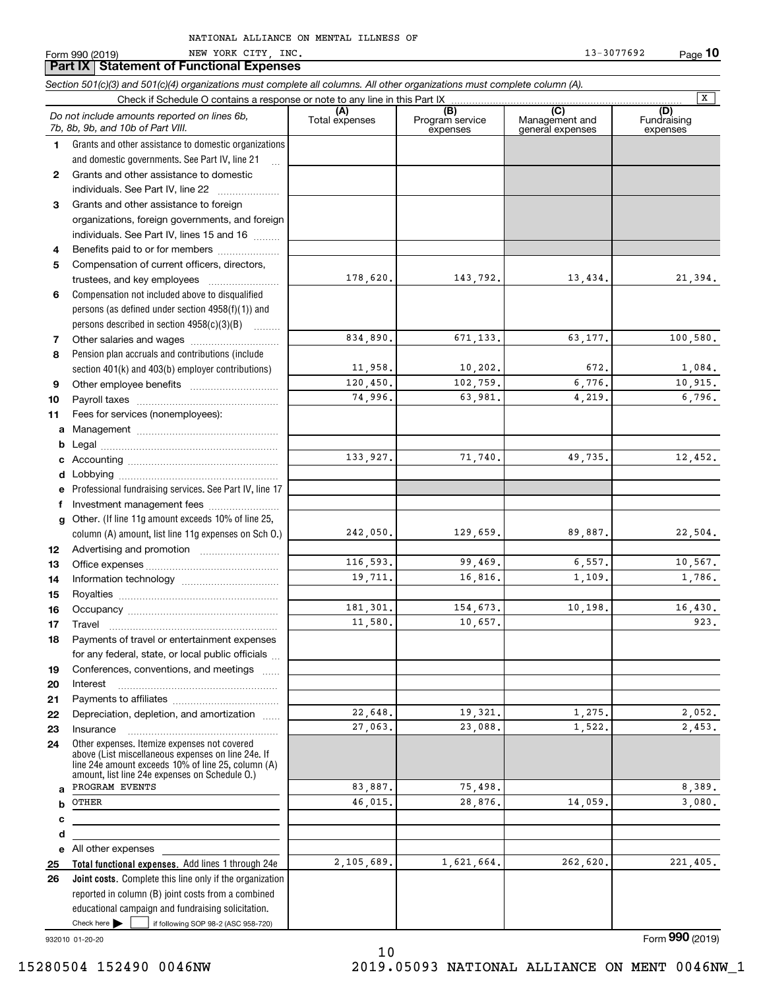|              | Section 501(c)(3) and 501(c)(4) organizations must complete all columns. All other organizations must complete column (A).                                                                                 |                       |                                    |                                           |                                |  |  |  |
|--------------|------------------------------------------------------------------------------------------------------------------------------------------------------------------------------------------------------------|-----------------------|------------------------------------|-------------------------------------------|--------------------------------|--|--|--|
|              | Check if Schedule O contains a response or note to any line in this Part IX                                                                                                                                |                       |                                    |                                           | x                              |  |  |  |
|              | Do not include amounts reported on lines 6b,<br>7b, 8b, 9b, and 10b of Part VIII.                                                                                                                          | (A)<br>Total expenses | (B)<br>Program service<br>expenses | (C)<br>Management and<br>general expenses | (D)<br>Fundraising<br>expenses |  |  |  |
| 1            | Grants and other assistance to domestic organizations                                                                                                                                                      |                       |                                    |                                           |                                |  |  |  |
|              | and domestic governments. See Part IV, line 21                                                                                                                                                             |                       |                                    |                                           |                                |  |  |  |
| $\mathbf{2}$ | Grants and other assistance to domestic                                                                                                                                                                    |                       |                                    |                                           |                                |  |  |  |
|              | individuals. See Part IV, line 22                                                                                                                                                                          |                       |                                    |                                           |                                |  |  |  |
| 3            | Grants and other assistance to foreign                                                                                                                                                                     |                       |                                    |                                           |                                |  |  |  |
|              | organizations, foreign governments, and foreign                                                                                                                                                            |                       |                                    |                                           |                                |  |  |  |
|              | individuals. See Part IV, lines 15 and 16                                                                                                                                                                  |                       |                                    |                                           |                                |  |  |  |
| 4            | Benefits paid to or for members                                                                                                                                                                            |                       |                                    |                                           |                                |  |  |  |
| 5            | Compensation of current officers, directors,                                                                                                                                                               |                       |                                    |                                           |                                |  |  |  |
|              | trustees, and key employees                                                                                                                                                                                | 178,620.              | 143,792.                           | 13,434.                                   | 21,394.                        |  |  |  |
| 6            | Compensation not included above to disqualified                                                                                                                                                            |                       |                                    |                                           |                                |  |  |  |
|              | persons (as defined under section $4958(f)(1)$ ) and                                                                                                                                                       |                       |                                    |                                           |                                |  |  |  |
|              | persons described in section $4958(c)(3)(B)$                                                                                                                                                               |                       |                                    |                                           |                                |  |  |  |
| 7            |                                                                                                                                                                                                            | 834,890.              | 671,133.                           | 63,177.                                   | 100,580.                       |  |  |  |
| 8            | Pension plan accruals and contributions (include                                                                                                                                                           |                       |                                    |                                           |                                |  |  |  |
|              | section 401(k) and 403(b) employer contributions)                                                                                                                                                          | 11,958.               | 10, 202.                           | 672.                                      | 1,084.                         |  |  |  |
| 9            |                                                                                                                                                                                                            | 120,450.              | 102,759.                           | 6,776.                                    | 10,915.                        |  |  |  |
| 10           |                                                                                                                                                                                                            | 74,996.               | 63,981.                            | 4,219.                                    | 6,796.                         |  |  |  |
| 11           | Fees for services (nonemployees):                                                                                                                                                                          |                       |                                    |                                           |                                |  |  |  |
| a            |                                                                                                                                                                                                            |                       |                                    |                                           |                                |  |  |  |
| b            |                                                                                                                                                                                                            |                       |                                    |                                           |                                |  |  |  |
| c            |                                                                                                                                                                                                            | 133,927.              | 71,740.                            | 49,735.                                   | 12,452.                        |  |  |  |
| d            |                                                                                                                                                                                                            |                       |                                    |                                           |                                |  |  |  |
| е            | Professional fundraising services. See Part IV, line 17                                                                                                                                                    |                       |                                    |                                           |                                |  |  |  |
| f            | Investment management fees                                                                                                                                                                                 |                       |                                    |                                           |                                |  |  |  |
| g            | Other. (If line 11g amount exceeds 10% of line 25,                                                                                                                                                         |                       |                                    |                                           |                                |  |  |  |
|              | column (A) amount, list line 11g expenses on Sch 0.)                                                                                                                                                       | 242,050.              | 129,659.                           | 89,887.                                   | 22,504.                        |  |  |  |
| 12           |                                                                                                                                                                                                            |                       |                                    |                                           |                                |  |  |  |
| 13           |                                                                                                                                                                                                            | 116,593.              | 99,469.                            | 6,557.                                    | 10,567.                        |  |  |  |
| 14           |                                                                                                                                                                                                            | 19,711.               | 16,816.                            | 1,109.                                    | 1,786.                         |  |  |  |
| 15           |                                                                                                                                                                                                            |                       |                                    |                                           |                                |  |  |  |
| 16           |                                                                                                                                                                                                            | 181,301.              | 154,673.                           | 10, 198.                                  | 16,430.                        |  |  |  |
| 17           |                                                                                                                                                                                                            | 11,580.               | 10,657.                            |                                           | 923.                           |  |  |  |
| 18           | Payments of travel or entertainment expenses                                                                                                                                                               |                       |                                    |                                           |                                |  |  |  |
|              | for any federal, state, or local public officials                                                                                                                                                          |                       |                                    |                                           |                                |  |  |  |
| 19           | Conferences, conventions, and meetings                                                                                                                                                                     |                       |                                    |                                           |                                |  |  |  |
| 20           | Interest                                                                                                                                                                                                   |                       |                                    |                                           |                                |  |  |  |
| 21           |                                                                                                                                                                                                            |                       |                                    |                                           |                                |  |  |  |
| 22           | Depreciation, depletion, and amortization                                                                                                                                                                  | 22,648.               | 19,321.                            | 1,275.                                    | 2,052.                         |  |  |  |
| 23           | Insurance                                                                                                                                                                                                  | 27,063.               | 23,088.                            | 1,522.                                    | 2,453.                         |  |  |  |
| 24           | Other expenses. Itemize expenses not covered<br>above (List miscellaneous expenses on line 24e. If<br>line 24e amount exceeds 10% of line 25, column (A)<br>amount, list line 24e expenses on Schedule O.) |                       |                                    |                                           |                                |  |  |  |
| a            | PROGRAM EVENTS                                                                                                                                                                                             | 83,887.               | 75,498.                            |                                           | 8,389.                         |  |  |  |
| b            | OTHER                                                                                                                                                                                                      | 46,015.               | 28,876.                            | 14,059.                                   | 3,080.                         |  |  |  |
| с            |                                                                                                                                                                                                            |                       |                                    |                                           |                                |  |  |  |
| d            |                                                                                                                                                                                                            |                       |                                    |                                           |                                |  |  |  |
| е            | All other expenses                                                                                                                                                                                         |                       |                                    |                                           |                                |  |  |  |
| 25           | Total functional expenses. Add lines 1 through 24e                                                                                                                                                         | 2,105,689.            | 1,621,664.                         | 262,620.                                  | 221,405.                       |  |  |  |
| 26           | Joint costs. Complete this line only if the organization                                                                                                                                                   |                       |                                    |                                           |                                |  |  |  |
|              | reported in column (B) joint costs from a combined                                                                                                                                                         |                       |                                    |                                           |                                |  |  |  |
|              | educational campaign and fundraising solicitation.                                                                                                                                                         |                       |                                    |                                           |                                |  |  |  |
|              | Check here $\blacktriangleright$<br>if following SOP 98-2 (ASC 958-720)                                                                                                                                    |                       |                                    |                                           |                                |  |  |  |

10

932010 01-20-20

Form (2019) **990**

15280504 152490 0046NW 2019.05093 NATIONAL ALLIANCE ON MENT 0046NW\_1

**10**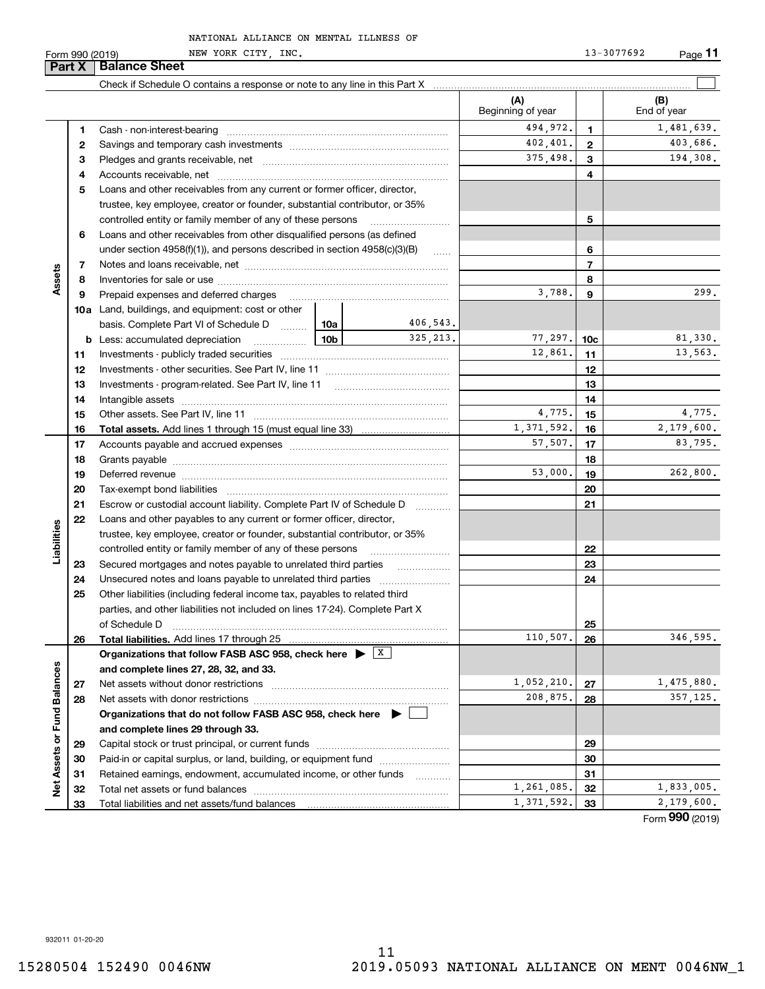Form 990 (2019) NEW YORK CITY,INC. 13-3077692 Page **11** NEW YORK CITY, INC. 13-3077692

|                             | Part X | <b>Balance Sheet</b>                                                                                                                                                                                                           |          |           |                          |                 |                    |
|-----------------------------|--------|--------------------------------------------------------------------------------------------------------------------------------------------------------------------------------------------------------------------------------|----------|-----------|--------------------------|-----------------|--------------------|
|                             |        |                                                                                                                                                                                                                                |          |           |                          |                 |                    |
|                             |        |                                                                                                                                                                                                                                |          |           | (A)<br>Beginning of year |                 | (B)<br>End of year |
|                             | 1      |                                                                                                                                                                                                                                |          |           | 494,972.                 | 1               | 1,481,639.         |
|                             | 2      |                                                                                                                                                                                                                                |          |           | 402,401.                 | $\mathbf{2}$    | 403,686.           |
|                             | з      |                                                                                                                                                                                                                                | 375,498. | 3         | 194,308.                 |                 |                    |
|                             | 4      |                                                                                                                                                                                                                                |          |           | 4                        |                 |                    |
|                             | 5      | Loans and other receivables from any current or former officer, director,                                                                                                                                                      |          |           |                          |                 |                    |
|                             |        | trustee, key employee, creator or founder, substantial contributor, or 35%                                                                                                                                                     |          |           |                          |                 |                    |
|                             |        | controlled entity or family member of any of these persons                                                                                                                                                                     |          | 5         |                          |                 |                    |
|                             | 6      | Loans and other receivables from other disqualified persons (as defined                                                                                                                                                        |          |           |                          |                 |                    |
|                             |        | under section $4958(f)(1)$ , and persons described in section $4958(c)(3)(B)$                                                                                                                                                  |          | 1.1.1.1.1 |                          | 6               |                    |
|                             | 7      |                                                                                                                                                                                                                                |          |           |                          | $\overline{7}$  |                    |
| Assets                      | 8      |                                                                                                                                                                                                                                |          |           |                          | 8               |                    |
|                             | 9      | Prepaid expenses and deferred charges                                                                                                                                                                                          |          |           | 3,788.                   | 9               | 299.               |
|                             |        | <b>10a</b> Land, buildings, and equipment: cost or other                                                                                                                                                                       |          |           |                          |                 |                    |
|                             |        | basis. Complete Part VI of Schedule D  10a                                                                                                                                                                                     |          | 406,543.  |                          |                 |                    |
|                             | b      | Less: accumulated depreciation<br>.                                                                                                                                                                                            | 10b      | 325.213.  | 77,297.                  | 10 <sub>c</sub> | 81,330.            |
|                             | 11     |                                                                                                                                                                                                                                |          |           | 12,861.                  | 11              | 13,563.            |
|                             | 12     |                                                                                                                                                                                                                                |          |           |                          | 12              |                    |
|                             | 13     |                                                                                                                                                                                                                                |          |           | 13                       |                 |                    |
|                             | 14     |                                                                                                                                                                                                                                |          | 14        |                          |                 |                    |
|                             | 15     |                                                                                                                                                                                                                                |          |           | 4,775.                   | 15              | 4,775.             |
|                             | 16     |                                                                                                                                                                                                                                |          |           | 1,371,592.               | 16              | 2,179,600.         |
|                             | 17     |                                                                                                                                                                                                                                |          |           | 57,507.                  | 17              | 83,795.            |
|                             | 18     |                                                                                                                                                                                                                                |          | 18        |                          |                 |                    |
|                             | 19     | Deferred revenue manual contracts and contracts are all the contracts and contracts are contracted and contracts are contracted and contract are contracted and contract are contracted and contract are contracted and contra |          |           | 53,000.                  | 19              | 262,800.           |
|                             | 20     |                                                                                                                                                                                                                                |          |           |                          | 20              |                    |
|                             | 21     | Escrow or custodial account liability. Complete Part IV of Schedule D                                                                                                                                                          |          | $\cdots$  |                          | 21              |                    |
|                             | 22     | Loans and other payables to any current or former officer, director,                                                                                                                                                           |          |           |                          |                 |                    |
| Liabilities                 |        | trustee, key employee, creator or founder, substantial contributor, or 35%                                                                                                                                                     |          |           |                          |                 |                    |
|                             |        | controlled entity or family member of any of these persons                                                                                                                                                                     |          |           |                          | 22              |                    |
|                             | 23     |                                                                                                                                                                                                                                |          |           |                          | 23              |                    |
|                             | 24     |                                                                                                                                                                                                                                |          |           |                          | 24              |                    |
|                             | 25     | Other liabilities (including federal income tax, payables to related third                                                                                                                                                     |          |           |                          |                 |                    |
|                             |        | parties, and other liabilities not included on lines 17-24). Complete Part X                                                                                                                                                   |          |           |                          |                 |                    |
|                             |        | of Schedule D                                                                                                                                                                                                                  |          |           | 110,507.                 | <b>25</b><br>26 | 346, 595.          |
|                             | 26     | Total liabilities. Add lines 17 through 25<br>Organizations that follow FASB ASC 958, check here $\blacktriangleright$ $\boxed{X}$                                                                                             |          |           |                          |                 |                    |
|                             |        | and complete lines 27, 28, 32, and 33.                                                                                                                                                                                         |          |           |                          |                 |                    |
|                             | 27     | Net assets without donor restrictions                                                                                                                                                                                          |          |           | 1,052,210.               | 27              | 1,475,880.         |
|                             | 28     |                                                                                                                                                                                                                                |          |           | 208,875.                 | 28              | 357, 125.          |
|                             |        | Organizations that do not follow FASB ASC 958, check here $\blacktriangleright$                                                                                                                                                |          |           |                          |                 |                    |
|                             |        | and complete lines 29 through 33.                                                                                                                                                                                              |          |           |                          |                 |                    |
|                             | 29     |                                                                                                                                                                                                                                |          |           |                          | 29              |                    |
|                             | 30     | Paid-in or capital surplus, or land, building, or equipment fund                                                                                                                                                               |          |           |                          | 30              |                    |
|                             | 31     | Retained earnings, endowment, accumulated income, or other funds                                                                                                                                                               |          |           |                          | 31              |                    |
| Net Assets or Fund Balances | 32     | Total net assets or fund balances                                                                                                                                                                                              |          |           | 1,261,085.               | 32              | 1,833,005.         |
|                             | 33     |                                                                                                                                                                                                                                |          |           | 1,371,592.               | 33              | 2,179,600.         |
|                             |        |                                                                                                                                                                                                                                |          |           |                          |                 | Form 990 (2019)    |

932011 01-20-20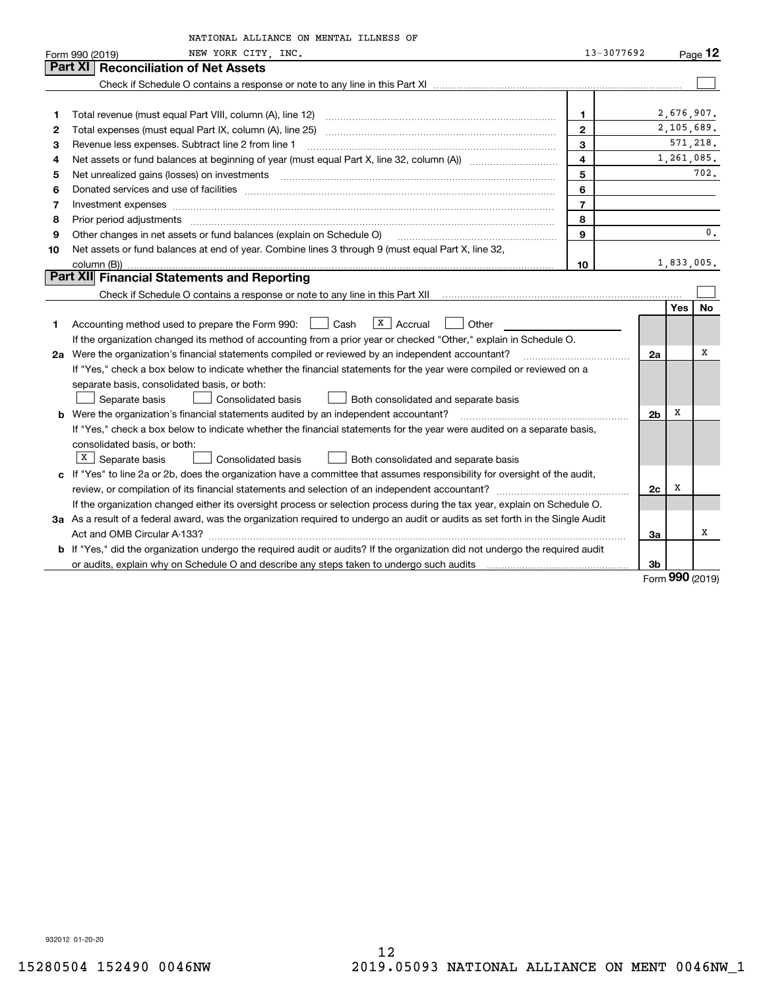|    | NATIONAL ALLIANCE ON MENTAL ILLNESS OF                                                                                                                                                                                        |                |                |            |                |
|----|-------------------------------------------------------------------------------------------------------------------------------------------------------------------------------------------------------------------------------|----------------|----------------|------------|----------------|
|    | NEW YORK CITY, INC.<br>Form 990 (2019)                                                                                                                                                                                        | 13-3077692     |                |            | Page $12$      |
|    | <b>Reconciliation of Net Assets</b><br><b>Part XI</b>                                                                                                                                                                         |                |                |            |                |
|    |                                                                                                                                                                                                                               |                |                |            |                |
|    |                                                                                                                                                                                                                               |                |                |            |                |
| 1  |                                                                                                                                                                                                                               | 1.             |                | 2,676,907. |                |
| 2  |                                                                                                                                                                                                                               | $\mathbf{2}$   |                | 2,105,689. |                |
| з  | Revenue less expenses. Subtract line 2 from line 1                                                                                                                                                                            | 3              |                |            | 571,218.       |
| 4  |                                                                                                                                                                                                                               | $\overline{4}$ |                | 1,261,085. |                |
| 5  | Net unrealized gains (losses) on investments                                                                                                                                                                                  | 5              |                |            | 702.           |
| 6  |                                                                                                                                                                                                                               | 6              |                |            |                |
| 7  | Investment expenses www.communication.communication.com/www.communication.com/www.communication.com                                                                                                                           | $\overline{7}$ |                |            |                |
| 8  | Prior period adjustments                                                                                                                                                                                                      | 8              |                |            |                |
| 9  | Other changes in net assets or fund balances (explain on Schedule O)                                                                                                                                                          | 9              |                |            | $\mathbf{0}$ . |
| 10 | Net assets or fund balances at end of year. Combine lines 3 through 9 (must equal Part X, line 32,                                                                                                                            |                |                |            |                |
|    |                                                                                                                                                                                                                               | 10             |                | 1,833,005. |                |
|    | Part XII Financial Statements and Reporting                                                                                                                                                                                   |                |                |            |                |
|    |                                                                                                                                                                                                                               |                |                |            |                |
|    |                                                                                                                                                                                                                               |                |                | Yes        | <b>No</b>      |
| 1  | $\vert$ X   Accrual<br>Accounting method used to prepare the Form 990: <u>June</u> Cash<br>  Other                                                                                                                            |                |                |            |                |
|    | If the organization changed its method of accounting from a prior year or checked "Other," explain in Schedule O.                                                                                                             |                |                |            |                |
|    | 2a Were the organization's financial statements compiled or reviewed by an independent accountant?                                                                                                                            |                | 2a             |            | x              |
|    | If "Yes," check a box below to indicate whether the financial statements for the year were compiled or reviewed on a                                                                                                          |                |                |            |                |
|    | separate basis, consolidated basis, or both:                                                                                                                                                                                  |                |                |            |                |
|    | Separate basis<br>Consolidated basis<br>Both consolidated and separate basis                                                                                                                                                  |                |                |            |                |
|    | <b>b</b> Were the organization's financial statements audited by an independent accountant?                                                                                                                                   |                | 2 <sub>b</sub> | X          |                |
|    | If "Yes," check a box below to indicate whether the financial statements for the year were audited on a separate basis,                                                                                                       |                |                |            |                |
|    | consolidated basis, or both:                                                                                                                                                                                                  |                |                |            |                |
|    | $X$ Separate basis<br><b>Consolidated basis</b><br>Both consolidated and separate basis                                                                                                                                       |                |                |            |                |
|    | c If "Yes" to line 2a or 2b, does the organization have a committee that assumes responsibility for oversight of the audit,                                                                                                   |                |                |            |                |
|    |                                                                                                                                                                                                                               |                | 2c             | X          |                |
|    | If the organization changed either its oversight process or selection process during the tax year, explain on Schedule O.                                                                                                     |                |                |            |                |
|    | 3a As a result of a federal award, was the organization required to undergo an audit or audits as set forth in the Single Audit                                                                                               |                |                |            |                |
|    |                                                                                                                                                                                                                               |                | 3a             |            | х              |
|    | b If "Yes," did the organization undergo the required audit or audits? If the organization did not undergo the required audit                                                                                                 |                |                |            |                |
|    | or audits, explain why on Schedule O and describe any steps taken to undergo such audits [11] contains the school of audits [11] or audits [11] or audits [11] or audits [11] or audits [11] or audits [11] or audits [11] or |                | 3b             | ההה        |                |

Form (2019) **990**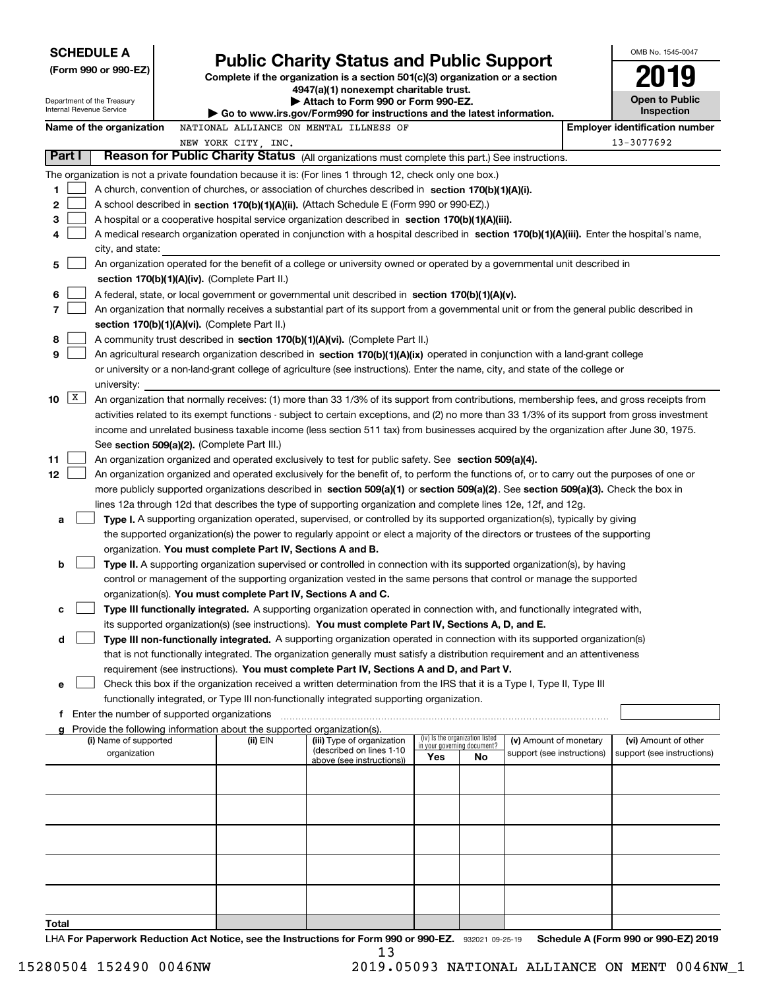| <b>SCHEDULE A</b><br>(Form 990 or 990-EZ) |                                                                                                                                                                                             | <b>Public Charity Status and Public Support</b>                                                                         |                                    |     |                            |  | OMB No. 1545-0047                                   |
|-------------------------------------------|---------------------------------------------------------------------------------------------------------------------------------------------------------------------------------------------|-------------------------------------------------------------------------------------------------------------------------|------------------------------------|-----|----------------------------|--|-----------------------------------------------------|
|                                           |                                                                                                                                                                                             | Complete if the organization is a section 501(c)(3) organization or a section<br>4947(a)(1) nonexempt charitable trust. |                                    |     |                            |  |                                                     |
| Department of the Treasury                |                                                                                                                                                                                             | Attach to Form 990 or Form 990-EZ.                                                                                      |                                    |     |                            |  | Open to Public                                      |
| Internal Revenue Service                  |                                                                                                                                                                                             | $\blacktriangleright$ Go to www.irs.gov/Form990 for instructions and the latest information.                            |                                    |     |                            |  | Inspection                                          |
| Name of the organization                  | NATIONAL ALLIANCE ON MENTAL ILLNESS OF<br>NEW YORK CITY, INC.                                                                                                                               |                                                                                                                         |                                    |     |                            |  | <b>Employer identification number</b><br>13-3077692 |
| Part I                                    | Reason for Public Charity Status (All organizations must complete this part.) See instructions.                                                                                             |                                                                                                                         |                                    |     |                            |  |                                                     |
|                                           | The organization is not a private foundation because it is: (For lines 1 through 12, check only one box.)                                                                                   |                                                                                                                         |                                    |     |                            |  |                                                     |
| 1                                         | A church, convention of churches, or association of churches described in section 170(b)(1)(A)(i).                                                                                          |                                                                                                                         |                                    |     |                            |  |                                                     |
| 2                                         | A school described in section 170(b)(1)(A)(ii). (Attach Schedule E (Form 990 or 990-EZ).)                                                                                                   |                                                                                                                         |                                    |     |                            |  |                                                     |
| 3                                         | A hospital or a cooperative hospital service organization described in section 170(b)(1)(A)(iii).                                                                                           |                                                                                                                         |                                    |     |                            |  |                                                     |
| 4                                         | A medical research organization operated in conjunction with a hospital described in section 170(b)(1)(A)(iii). Enter the hospital's name,                                                  |                                                                                                                         |                                    |     |                            |  |                                                     |
| city, and state:                          |                                                                                                                                                                                             |                                                                                                                         |                                    |     |                            |  |                                                     |
| 5                                         | An organization operated for the benefit of a college or university owned or operated by a governmental unit described in                                                                   |                                                                                                                         |                                    |     |                            |  |                                                     |
|                                           | section 170(b)(1)(A)(iv). (Complete Part II.)                                                                                                                                               |                                                                                                                         |                                    |     |                            |  |                                                     |
| 6<br>7                                    | A federal, state, or local government or governmental unit described in section 170(b)(1)(A)(v).                                                                                            |                                                                                                                         |                                    |     |                            |  |                                                     |
|                                           | An organization that normally receives a substantial part of its support from a governmental unit or from the general public described in<br>section 170(b)(1)(A)(vi). (Complete Part II.)  |                                                                                                                         |                                    |     |                            |  |                                                     |
| 8                                         | A community trust described in section 170(b)(1)(A)(vi). (Complete Part II.)                                                                                                                |                                                                                                                         |                                    |     |                            |  |                                                     |
| 9                                         | An agricultural research organization described in section 170(b)(1)(A)(ix) operated in conjunction with a land-grant college                                                               |                                                                                                                         |                                    |     |                            |  |                                                     |
|                                           | or university or a non-land-grant college of agriculture (see instructions). Enter the name, city, and state of the college or                                                              |                                                                                                                         |                                    |     |                            |  |                                                     |
| university:                               |                                                                                                                                                                                             |                                                                                                                         |                                    |     |                            |  |                                                     |
| $\mathbf{X}$<br>10                        | An organization that normally receives: (1) more than 33 1/3% of its support from contributions, membership fees, and gross receipts from                                                   |                                                                                                                         |                                    |     |                            |  |                                                     |
|                                           | activities related to its exempt functions - subject to certain exceptions, and (2) no more than 33 1/3% of its support from gross investment                                               |                                                                                                                         |                                    |     |                            |  |                                                     |
|                                           | income and unrelated business taxable income (less section 511 tax) from businesses acquired by the organization after June 30, 1975.                                                       |                                                                                                                         |                                    |     |                            |  |                                                     |
| 11                                        | See section 509(a)(2). (Complete Part III.)<br>An organization organized and operated exclusively to test for public safety. See section 509(a)(4).                                         |                                                                                                                         |                                    |     |                            |  |                                                     |
| 12                                        | An organization organized and operated exclusively for the benefit of, to perform the functions of, or to carry out the purposes of one or                                                  |                                                                                                                         |                                    |     |                            |  |                                                     |
|                                           | more publicly supported organizations described in section 509(a)(1) or section 509(a)(2). See section 509(a)(3). Check the box in                                                          |                                                                                                                         |                                    |     |                            |  |                                                     |
|                                           | lines 12a through 12d that describes the type of supporting organization and complete lines 12e, 12f, and 12g.                                                                              |                                                                                                                         |                                    |     |                            |  |                                                     |
| а                                         | Type I. A supporting organization operated, supervised, or controlled by its supported organization(s), typically by giving                                                                 |                                                                                                                         |                                    |     |                            |  |                                                     |
|                                           | the supported organization(s) the power to regularly appoint or elect a majority of the directors or trustees of the supporting                                                             |                                                                                                                         |                                    |     |                            |  |                                                     |
|                                           | organization. You must complete Part IV, Sections A and B.                                                                                                                                  |                                                                                                                         |                                    |     |                            |  |                                                     |
| b                                         | Type II. A supporting organization supervised or controlled in connection with its supported organization(s), by having                                                                     |                                                                                                                         |                                    |     |                            |  |                                                     |
|                                           | control or management of the supporting organization vested in the same persons that control or manage the supported                                                                        |                                                                                                                         |                                    |     |                            |  |                                                     |
|                                           | organization(s). You must complete Part IV, Sections A and C.<br>Type III functionally integrated. A supporting organization operated in connection with, and functionally integrated with, |                                                                                                                         |                                    |     |                            |  |                                                     |
| с                                         | its supported organization(s) (see instructions). You must complete Part IV, Sections A, D, and E.                                                                                          |                                                                                                                         |                                    |     |                            |  |                                                     |
| d                                         | Type III non-functionally integrated. A supporting organization operated in connection with its supported organization(s)                                                                   |                                                                                                                         |                                    |     |                            |  |                                                     |
|                                           | that is not functionally integrated. The organization generally must satisfy a distribution requirement and an attentiveness                                                                |                                                                                                                         |                                    |     |                            |  |                                                     |
|                                           | requirement (see instructions). You must complete Part IV, Sections A and D, and Part V.                                                                                                    |                                                                                                                         |                                    |     |                            |  |                                                     |
| е                                         | Check this box if the organization received a written determination from the IRS that it is a Type I, Type II, Type III                                                                     |                                                                                                                         |                                    |     |                            |  |                                                     |
|                                           | functionally integrated, or Type III non-functionally integrated supporting organization.                                                                                                   |                                                                                                                         |                                    |     |                            |  |                                                     |
| f                                         | Enter the number of supported organizations                                                                                                                                                 |                                                                                                                         |                                    |     |                            |  |                                                     |
| (i) Name of supported                     | Provide the following information about the supported organization(s).<br>(ii) EIN                                                                                                          | (iii) Type of organization                                                                                              | (iv) Is the organization listed    |     | (v) Amount of monetary     |  | (vi) Amount of other                                |
| organization                              |                                                                                                                                                                                             | (described on lines 1-10<br>above (see instructions))                                                                   | in your governing document?<br>Yes | No. | support (see instructions) |  | support (see instructions)                          |
|                                           |                                                                                                                                                                                             |                                                                                                                         |                                    |     |                            |  |                                                     |
|                                           |                                                                                                                                                                                             |                                                                                                                         |                                    |     |                            |  |                                                     |
|                                           |                                                                                                                                                                                             |                                                                                                                         |                                    |     |                            |  |                                                     |
|                                           |                                                                                                                                                                                             |                                                                                                                         |                                    |     |                            |  |                                                     |
|                                           |                                                                                                                                                                                             |                                                                                                                         |                                    |     |                            |  |                                                     |
|                                           |                                                                                                                                                                                             |                                                                                                                         |                                    |     |                            |  |                                                     |
|                                           |                                                                                                                                                                                             |                                                                                                                         |                                    |     |                            |  |                                                     |
|                                           |                                                                                                                                                                                             |                                                                                                                         |                                    |     |                            |  |                                                     |
|                                           |                                                                                                                                                                                             |                                                                                                                         |                                    |     |                            |  |                                                     |
| Total                                     |                                                                                                                                                                                             |                                                                                                                         |                                    |     |                            |  |                                                     |
|                                           | LHA For Panerwork Reduction Act Notice, see the Instructions for Form 990 or 990-F7 (222021 09-25-19) Schedule Δ (Form 990 or 990-F7) 2019                                                  |                                                                                                                         |                                    |     |                            |  |                                                     |

932021 09-25-19 **For Paperwork Reduction Act Notice, see the Instructions for Form 990 or 990-EZ. Schedule A (Form 990 or 990-EZ) 2019** LHA **For Pap**  $\frac{13}{13}$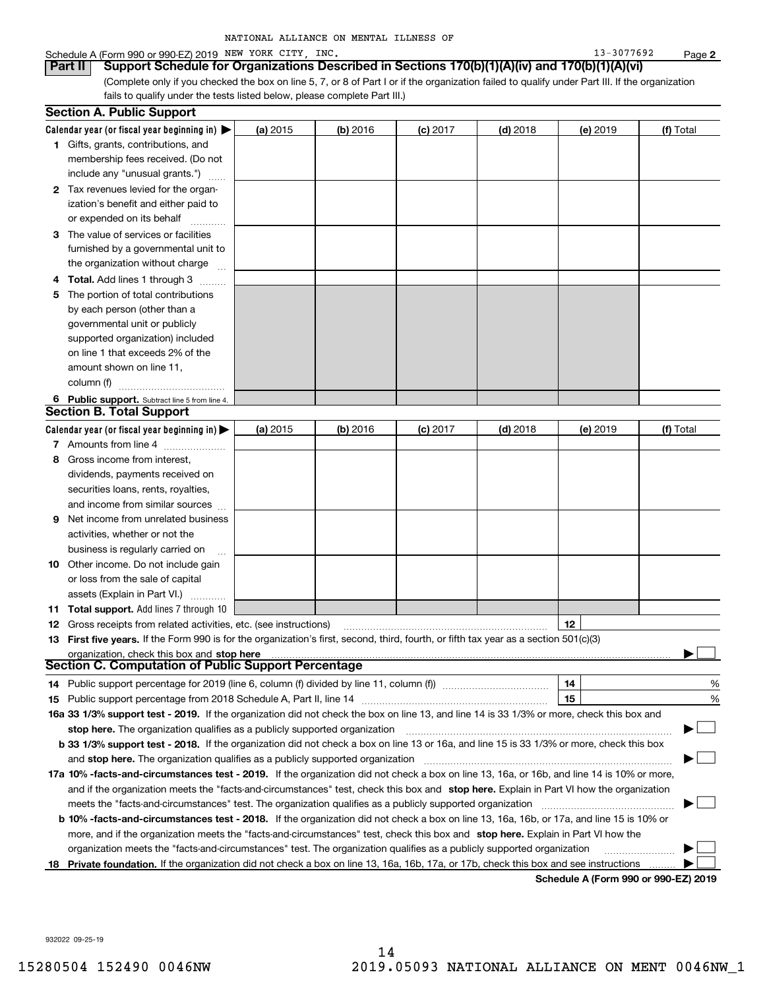| NATIONAL ALLIANCE ON MENTAL ILLNESS OF |  |
|----------------------------------------|--|
|----------------------------------------|--|

#### Schedule A (Form 990 or 990-EZ) 2019 Page NEW YORK CITY, INC. 13-3077692

(Complete only if you checked the box on line 5, 7, or 8 of Part I or if the organization failed to qualify under Part III. If the organization **Part II Support Schedule for Organizations Described in Sections 170(b)(1)(A)(iv) and 170(b)(1)(A)(vi)**

fails to qualify under the tests listed below, please complete Part III.)

|    | <b>Section A. Public Support</b>                                                                                                               |          |            |            |            |          |           |
|----|------------------------------------------------------------------------------------------------------------------------------------------------|----------|------------|------------|------------|----------|-----------|
|    | Calendar year (or fiscal year beginning in) $\blacktriangleright$                                                                              | (a) 2015 | $(b)$ 2016 | $(c)$ 2017 | $(d)$ 2018 | (e) 2019 | (f) Total |
|    | 1 Gifts, grants, contributions, and                                                                                                            |          |            |            |            |          |           |
|    | membership fees received. (Do not                                                                                                              |          |            |            |            |          |           |
|    | include any "unusual grants.")                                                                                                                 |          |            |            |            |          |           |
|    | 2 Tax revenues levied for the organ-                                                                                                           |          |            |            |            |          |           |
|    | ization's benefit and either paid to                                                                                                           |          |            |            |            |          |           |
|    | or expended on its behalf                                                                                                                      |          |            |            |            |          |           |
|    | 3 The value of services or facilities                                                                                                          |          |            |            |            |          |           |
|    | furnished by a governmental unit to                                                                                                            |          |            |            |            |          |           |
|    | the organization without charge                                                                                                                |          |            |            |            |          |           |
|    | 4 Total. Add lines 1 through 3                                                                                                                 |          |            |            |            |          |           |
| 5. | The portion of total contributions                                                                                                             |          |            |            |            |          |           |
|    | by each person (other than a                                                                                                                   |          |            |            |            |          |           |
|    | governmental unit or publicly                                                                                                                  |          |            |            |            |          |           |
|    | supported organization) included                                                                                                               |          |            |            |            |          |           |
|    | on line 1 that exceeds 2% of the                                                                                                               |          |            |            |            |          |           |
|    | amount shown on line 11,                                                                                                                       |          |            |            |            |          |           |
|    | column (f)                                                                                                                                     |          |            |            |            |          |           |
|    | 6 Public support. Subtract line 5 from line 4.                                                                                                 |          |            |            |            |          |           |
|    | <b>Section B. Total Support</b>                                                                                                                |          |            |            |            |          |           |
|    | Calendar year (or fiscal year beginning in) $\blacktriangleright$                                                                              | (a) 2015 | (b) 2016   | $(c)$ 2017 | $(d)$ 2018 | (e) 2019 | (f) Total |
|    | 7 Amounts from line 4                                                                                                                          |          |            |            |            |          |           |
| 8  | Gross income from interest,                                                                                                                    |          |            |            |            |          |           |
|    | dividends, payments received on                                                                                                                |          |            |            |            |          |           |
|    | securities loans, rents, royalties,                                                                                                            |          |            |            |            |          |           |
|    | and income from similar sources                                                                                                                |          |            |            |            |          |           |
| 9. | Net income from unrelated business                                                                                                             |          |            |            |            |          |           |
|    | activities, whether or not the                                                                                                                 |          |            |            |            |          |           |
|    | business is regularly carried on                                                                                                               |          |            |            |            |          |           |
|    | <b>10</b> Other income. Do not include gain                                                                                                    |          |            |            |            |          |           |
|    | or loss from the sale of capital                                                                                                               |          |            |            |            |          |           |
|    | assets (Explain in Part VI.)                                                                                                                   |          |            |            |            |          |           |
|    | <b>11 Total support.</b> Add lines 7 through 10                                                                                                |          |            |            |            |          |           |
|    | <b>12</b> Gross receipts from related activities, etc. (see instructions)                                                                      |          |            |            |            | 12       |           |
|    | 13 First five years. If the Form 990 is for the organization's first, second, third, fourth, or fifth tax year as a section 501(c)(3)          |          |            |            |            |          |           |
|    | organization, check this box and stop here                                                                                                     |          |            |            |            |          |           |
|    | Section C. Computation of Public Support Percentage                                                                                            |          |            |            |            |          |           |
|    | 14 Public support percentage for 2019 (line 6, column (f) divided by line 11, column (f) <i>mummention</i>                                     |          |            |            |            | 14       | %         |
|    |                                                                                                                                                |          |            |            |            | 15       | %         |
|    | 16a 33 1/3% support test - 2019. If the organization did not check the box on line 13, and line 14 is 33 1/3% or more, check this box and      |          |            |            |            |          |           |
|    | stop here. The organization qualifies as a publicly supported organization                                                                     |          |            |            |            |          | ▔▁▏       |
|    | b 33 1/3% support test - 2018. If the organization did not check a box on line 13 or 16a, and line 15 is 33 1/3% or more, check this box       |          |            |            |            |          |           |
|    | and stop here. The organization qualifies as a publicly supported organization                                                                 |          |            |            |            |          |           |
|    | 17a 10% -facts-and-circumstances test - 2019. If the organization did not check a box on line 13, 16a, or 16b, and line 14 is 10% or more,     |          |            |            |            |          |           |
|    | and if the organization meets the "facts-and-circumstances" test, check this box and stop here. Explain in Part VI how the organization        |          |            |            |            |          |           |
|    | meets the "facts-and-circumstances" test. The organization qualifies as a publicly supported organization                                      |          |            |            |            |          |           |
|    | <b>b 10% -facts-and-circumstances test - 2018.</b> If the organization did not check a box on line 13, 16a, 16b, or 17a, and line 15 is 10% or |          |            |            |            |          |           |
|    | more, and if the organization meets the "facts-and-circumstances" test, check this box and stop here. Explain in Part VI how the               |          |            |            |            |          |           |
|    | organization meets the "facts-and-circumstances" test. The organization qualifies as a publicly supported organization                         |          |            |            |            |          |           |
| 18 | Private foundation. If the organization did not check a box on line 13, 16a, 16b, 17a, or 17b, check this box and see instructions             |          |            |            |            |          |           |
|    |                                                                                                                                                |          |            |            |            |          |           |

**Schedule A (Form 990 or 990-EZ) 2019**

932022 09-25-19

**2**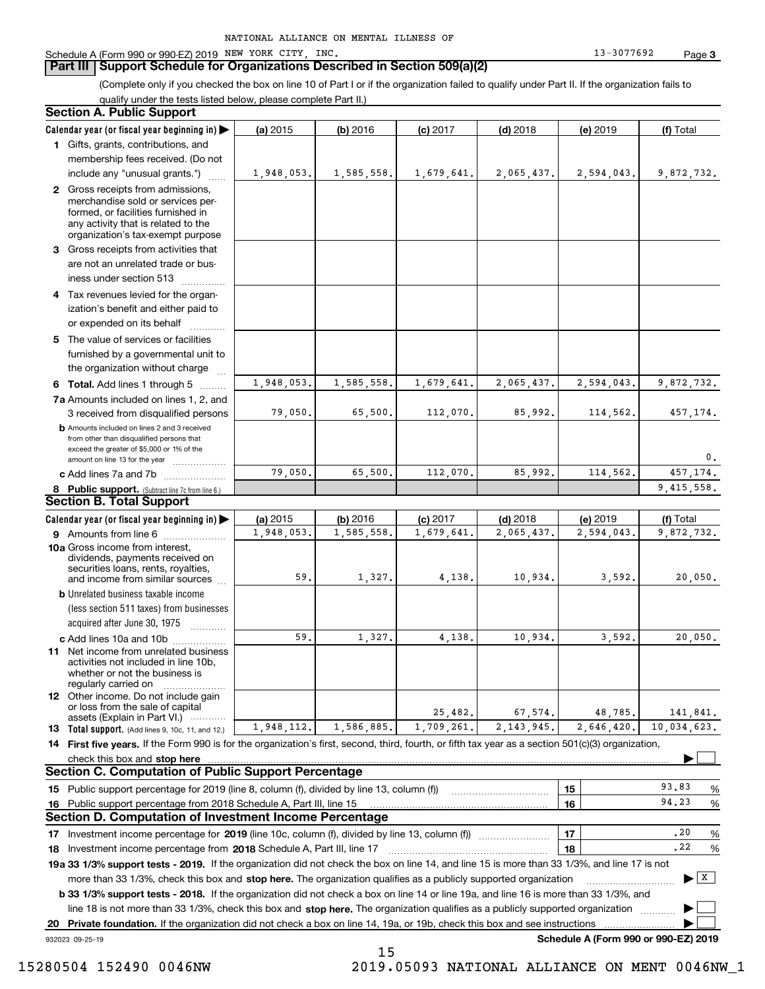#### **Part III Support Schedule for Organizations Described in Section 509(a)(2)**

(Complete only if you checked the box on line 10 of Part I or if the organization failed to qualify under Part II. If the organization fails to qualify under the tests listed below, please complete Part II.)

#### **8 Public support.** (Subtract line 7c from line 6.) **b** Amounts included on lines 2 and 3 received from other than disqualified persons that exceed the greater of \$5,000 or 1% of the amount on line 13 for the year  $\ldots$ ............... **13 Total support.** (Add lines 9, 10c, 11, and 12.) 932023 09-25-19 **Calendar year (or fiscal year beginning in) | Calendar year (or fiscal year beginning in) | (a)** 2015 **| (b)** 2016 **| (c)** 2017 **| (d)** 2018 **| (e)** 2019 **| (f) 1**Gifts, grants, contributions, and **2** Gross receipts from admissions, **3** Gross receipts from activities that **4**Tax revenues levied for the organ-**5** The value of services or facilities **6 Total.** Add lines 1 through 5  $\,\ldots\ldots\,$ **7a**Amounts included on lines 1, 2, and **c** Add lines 7a and 7b  $\ldots$   $\ldots$   $\ldots$  ... **(a)** 2015 **| (b)** 2016 **| (c)** 2017 **| (d)** 2018 **| (e)** 2019 **| (f) 9** Amounts from line 6  $^{10}$ **10a**Gross income from interest, **b** Unrelated business taxable income **c** Add lines 10a and 10b  $^{100}$ **11** Net income from unrelated business **12** Other income. Do not include gain **14 First five years.** If the Form 990 is for the organization's first, second, third, fourth, or fifth tax year as a section 501(c)(3) organization, **stop here** check this box and | **151615161718 2018** Investment income percentage from Schedule A, Part III, line 17 ~~~~~~~~~~~~~~~~~~**19a 33 1/3% support tests - 2019.** If the organization did not check the box on line 14, and line 15 is more than 33 1/3%, and line 17 is not **20Private foundation.**  If the organization did not check a box on line 14, 19a, or 19b, check this box and see instructions | Investment income percentage for 2019 (line 10c, column (f), divided by line 13, column (f)) **1718b33 1/3% support tests - 2018.**  If the organization did not check a box on line 14 or line 19a, and line 16 is more than 33 1/3%, and more than 33 1/3%, check this box and stop here. The organization qualifies as a publicly supported organization *manimumment* line 18 is not more than 33 1/3%, check this box and stop here. The organization qualifies as a publicly supported organization  $\Box$ **Schedule A (Form 990 or 990-EZ) 2019** (less section 511 taxes) from businesses acquired after June 30, 1975 (a) 2015 15 **| (b)** 2016 **| (c)** 2017 **| (d)** 2018 **| (e)** 2019 **| (f)** Total membership fees received. (Do not include any "unusual grants.") merchandise sold or services performed, or facilities furnished in any activity that is related to the organization's tax-exempt purpose are not an unrelated trade or business under section 513  $\quad$ ization's benefit and either paid to or expended on its behalf  $^{+}_{-}\,$   $^{+}\,$   $^{+}\,$ furnished by a governmental unit to the organization without charge 3 received from disqualified persons (a) 2015 15 **| (b)** 2016 **| (c)** 2017 **| (d)** 2018 **| (e)** 2019 **| (f)** Total dividends, payments received on securities loans, rents, royalties, and income from similar sources activities not included in line 10b, whether or not the business is regularly carried on or loss from the sale of capital assets (Explain in Part VI.) ............ Public support percentage for 2019 (line 8, column (f), divided by line 13, column (f)) Public support percentage from 2018 Schedule A, Part III, line 15 % 93.83...... | 16 |  $\sim$  94.23 %  $\ldots$  | 17 |  $\ldots$   $\ldots$  | 17 | and  $\sim$  18 |  $\sim$   $\sim$   $\sim$   $22$  % **Section A. Public Support Section B. Total Support Section C. Computation of Public Support Percentage Section D. Computation of Investment Income Percentage**  $\mathcal{L}^{\text{max}}$  $\boxed{\mathbf{X}}$  $\mathcal{L}^{\text{max}}$  $\mathcal{L}^{\text{max}}$ 1,948,053. 1,585,558. 1,679,641. 2,065,437. 2,594,043. 9,872,732. 1,948,053. 1,585,558. 1,679,641. 2,065,437. 2,594,043. 9,872,732. 1,948,053. 1,585,558. 1,679,641. 2,065,437. 2,594,043. 9,872,732. 79,050. 65,500. 112,070. 85,992. 114,562. 457,174. 0.79,050. 65,500. 112,070. 85,992. 114,562. 457,174. 9,415,558. 59.9.| 1,327.| 4,138.| 10,934.| 3,592.| 20,050. 59.9.| 1,327.| 4,138.| 10,934.| 3,592.| 20,050. 25,482. 67,574. 48,785. 141,841. 10,034,623. 94.23.20.221,948,112. 1,586,885. 1,709,261. 2,143,945. 2,646,420.

15

15280504 152490 0046NW 2019.05093 NATIONAL ALLIANCE ON MENT 0046NW\_1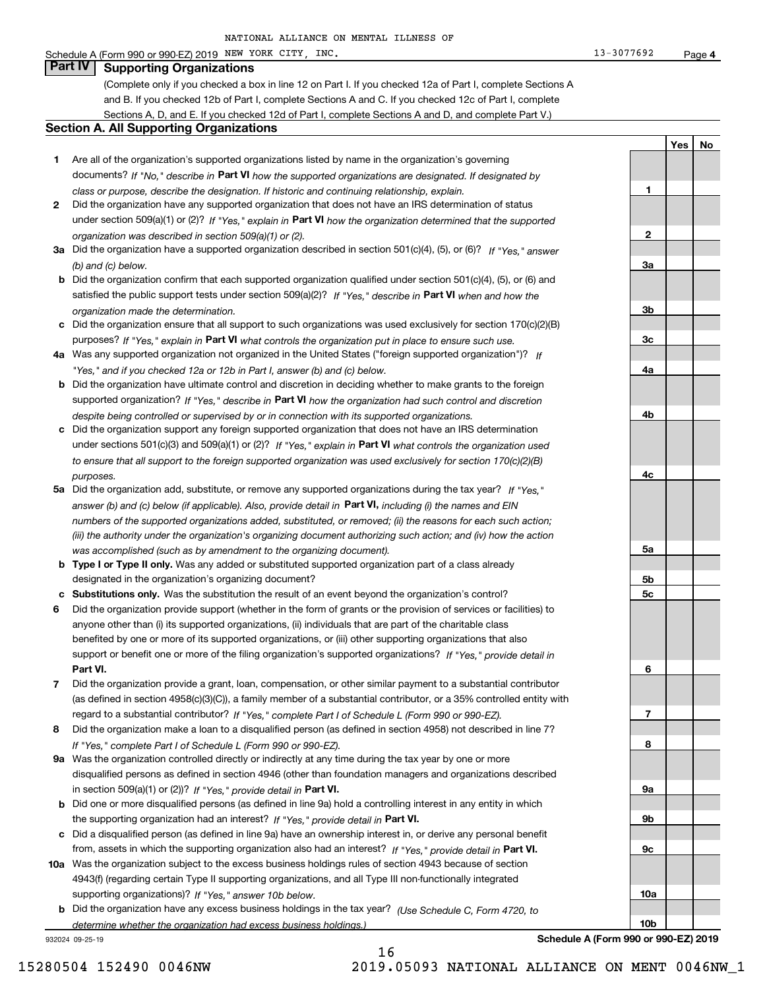#### Schedule A (Form 990 or 990-EZ) 2019 Page NEW YORK CITY, INC. 13-3077692

### **Part IV Supporting Organizations**

(Complete only if you checked a box in line 12 on Part I. If you checked 12a of Part I, complete Sections A and B. If you checked 12b of Part I, complete Sections A and C. If you checked 12c of Part I, complete Sections A, D, and E. If you checked 12d of Part I, complete Sections A and D, and complete Part V.)

#### **Section A. All Supporting Organizations**

- **1** Are all of the organization's supported organizations listed by name in the organization's governing documents? If "No," describe in **Part VI** how the supported organizations are designated. If designated by *class or purpose, describe the designation. If historic and continuing relationship, explain.*
- **2** Did the organization have any supported organization that does not have an IRS determination of status under section 509(a)(1) or (2)? If "Yes," explain in Part VI how the organization determined that the supported *organization was described in section 509(a)(1) or (2).*
- **3a** Did the organization have a supported organization described in section 501(c)(4), (5), or (6)? If "Yes," answer *(b) and (c) below.*
- **b** Did the organization confirm that each supported organization qualified under section 501(c)(4), (5), or (6) and satisfied the public support tests under section 509(a)(2)? If "Yes," describe in **Part VI** when and how the *organization made the determination.*
- **c**Did the organization ensure that all support to such organizations was used exclusively for section 170(c)(2)(B) purposes? If "Yes," explain in **Part VI** what controls the organization put in place to ensure such use.
- **4a***If* Was any supported organization not organized in the United States ("foreign supported organization")? *"Yes," and if you checked 12a or 12b in Part I, answer (b) and (c) below.*
- **b** Did the organization have ultimate control and discretion in deciding whether to make grants to the foreign supported organization? If "Yes," describe in **Part VI** how the organization had such control and discretion *despite being controlled or supervised by or in connection with its supported organizations.*
- **c** Did the organization support any foreign supported organization that does not have an IRS determination under sections 501(c)(3) and 509(a)(1) or (2)? If "Yes," explain in **Part VI** what controls the organization used *to ensure that all support to the foreign supported organization was used exclusively for section 170(c)(2)(B) purposes.*
- **5a***If "Yes,"* Did the organization add, substitute, or remove any supported organizations during the tax year? answer (b) and (c) below (if applicable). Also, provide detail in **Part VI,** including (i) the names and EIN *numbers of the supported organizations added, substituted, or removed; (ii) the reasons for each such action; (iii) the authority under the organization's organizing document authorizing such action; and (iv) how the action was accomplished (such as by amendment to the organizing document).*
- **b** Type I or Type II only. Was any added or substituted supported organization part of a class already designated in the organization's organizing document?
- **cSubstitutions only.**  Was the substitution the result of an event beyond the organization's control?
- **6** Did the organization provide support (whether in the form of grants or the provision of services or facilities) to **Part VI.** *If "Yes," provide detail in* support or benefit one or more of the filing organization's supported organizations? anyone other than (i) its supported organizations, (ii) individuals that are part of the charitable class benefited by one or more of its supported organizations, or (iii) other supporting organizations that also
- **7**Did the organization provide a grant, loan, compensation, or other similar payment to a substantial contributor *If "Yes," complete Part I of Schedule L (Form 990 or 990-EZ).* regard to a substantial contributor? (as defined in section 4958(c)(3)(C)), a family member of a substantial contributor, or a 35% controlled entity with
- **8** Did the organization make a loan to a disqualified person (as defined in section 4958) not described in line 7? *If "Yes," complete Part I of Schedule L (Form 990 or 990-EZ).*
- **9a** Was the organization controlled directly or indirectly at any time during the tax year by one or more in section 509(a)(1) or (2))? If "Yes," *provide detail in* <code>Part VI.</code> disqualified persons as defined in section 4946 (other than foundation managers and organizations described
- **b** Did one or more disqualified persons (as defined in line 9a) hold a controlling interest in any entity in which the supporting organization had an interest? If "Yes," provide detail in P**art VI**.
- **c**Did a disqualified person (as defined in line 9a) have an ownership interest in, or derive any personal benefit from, assets in which the supporting organization also had an interest? If "Yes," provide detail in P**art VI.**
- **10a** Was the organization subject to the excess business holdings rules of section 4943 because of section supporting organizations)? If "Yes," answer 10b below. 4943(f) (regarding certain Type II supporting organizations, and all Type III non-functionally integrated
- **b** Did the organization have any excess business holdings in the tax year? (Use Schedule C, Form 4720, to *determine whether the organization had excess business holdings.)*

16

932024 09-25-19

# **10a10b**

**4**

**YesNo**

**1**

**2**

**3a**

**3b**

**3c**

**4a**

**4b**

**4c**

**5a**

**5b5c**

**6**

**7**

**8**

**9a**

**9b**

**9c**

**Schedule A (Form 990 or 990-EZ) 2019**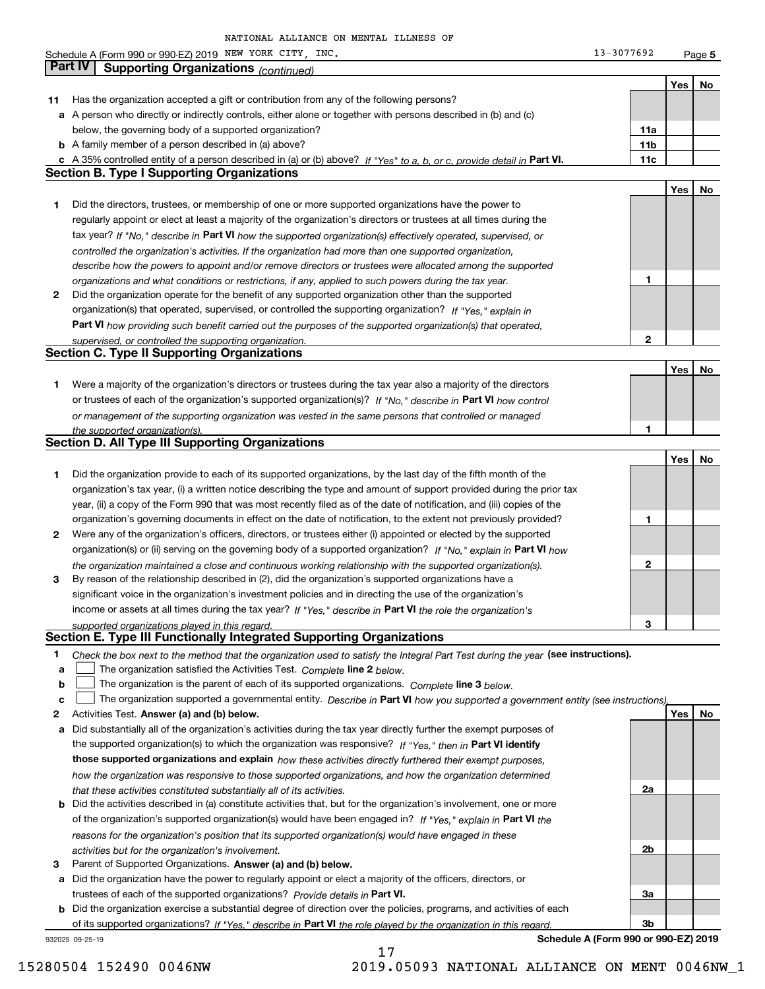**5Yes No 11** Has the organization accepted a gift or contribution from any of the following persons? **a** A person who directly or indirectly controls, either alone or together with persons described in (b) and (c) **b** A family member of a person described in (a) above? **c** A 35% controlled entity of a person described in (a) or (b) above? If "Yes" to a, b, or c, provide detail in Part VI. **11c 11a11bYes No 1** Did the directors, trustees, or membership of one or more supported organizations have the power to **2** Did the organization operate for the benefit of any supported organization other than the supported tax year? If "No," describe in Part VI how the supported organization(s) effectively operated, supervised, or **12Part VI**  *how providing such benefit carried out the purposes of the supported organization(s) that operated,* **Yes No 1** Were a majority of the organization's directors or trustees during the tax year also a majority of the directors or trustees of each of the organization's supported organization(s)? If "No," describe in **Part VI** how control **1Yes No 1** Did the organization provide to each of its supported organizations, by the last day of the fifth month of the **2** Were any of the organization's officers, directors, or trustees either (i) appointed or elected by the supported **3123**organization(s) or (ii) serving on the governing body of a supported organization? If "No," explain in **Part VI** how income or assets at all times during the tax year? If "Yes," describe in **Part VI** the role the organization's **12Answer (a) and (b) below. Yes No** Activities Test. **3** Parent of Supported Organizations. Answer (a) and (b) below. Check the box next to the method that the organization used to satisfy the Integral Part Test during the year (see instructions). **abclinupy** The organization satisfied the Activities Test. Complete line 2 below. The organization is the parent of each of its supported organizations. *Complete* line 3 *below.* The organization supported a governmental entity. *Describe in* Part **VI** how you supported a government entity (see instructions), **a** Did substantially all of the organization's activities during the tax year directly further the exempt purposes of **b** Did the activities described in (a) constitute activities that, but for the organization's involvement, one or more **a** Did the organization have the power to regularly appoint or elect a majority of the officers, directors, or the supported organization(s) to which the organization was responsive? If "Yes," then in **Part VI identify those supported organizations and explain**  *how these activities directly furthered their exempt purposes,* **2a 2b3a**of the organization's supported organization(s) would have been engaged in? If "Yes," explain in **Part VI** the trustees of each of the supported organizations? *Provide details in* Part VI. *controlled the organization's activities. If the organization had more than one supported organization, describe how the powers to appoint and/or remove directors or trustees were allocated among the supported organizations and what conditions or restrictions, if any, applied to such powers during the tax year. If "Yes," explain in* organization(s) that operated, supervised, or controlled the supporting organization? *supervised, or controlled the supporting organization. or management of the supporting organization was vested in the same persons that controlled or managed the supported organization(s). the organization maintained a close and continuous working relationship with the supported organization(s). supported organizations played in this regard. how the organization was responsive to those supported organizations, and how the organization determined that these activities constituted substantially all of its activities. reasons for the organization's position that its supported organization(s) would have engaged in these activities but for the organization's involvement.* Schedule A (Form 990 or 990-EZ) 2019 Page NEW YORK CITY, INC. 13-3077692 below, the governing body of a supported organization? regularly appoint or elect at least a majority of the organization's directors or trustees at all times during the organization's tax year, (i) a written notice describing the type and amount of support provided during the prior tax year, (ii) a copy of the Form 990 that was most recently filed as of the date of notification, and (iii) copies of the organization's governing documents in effect on the date of notification, to the extent not previously provided? By reason of the relationship described in (2), did the organization's supported organizations have a significant voice in the organization's investment policies and in directing the use of the organization's **Part IV Supporting Organizations** *(continued)* **Section B. Type I Supporting Organizations Section C. Type II Supporting Organizations Section D. All Type III Supporting Organizations Section E. Type III Functionally Integrated Supporting Organizations**  $\mathcal{L}^{\text{max}}$  $\mathcal{L}^{\text{max}}$ 

**b** Did the organization exercise a substantial degree of direction over the policies, programs, and activities of each of its supported organizations? If "Yes," describe in Part VI the role played by the organization in this regard.

17

932025 09-25-19

**Schedule A (Form 990 or 990-EZ) 2019**

**3b**

15280504 152490 0046NW 2019.05093 NATIONAL ALLIANCE ON MENT 0046NW\_1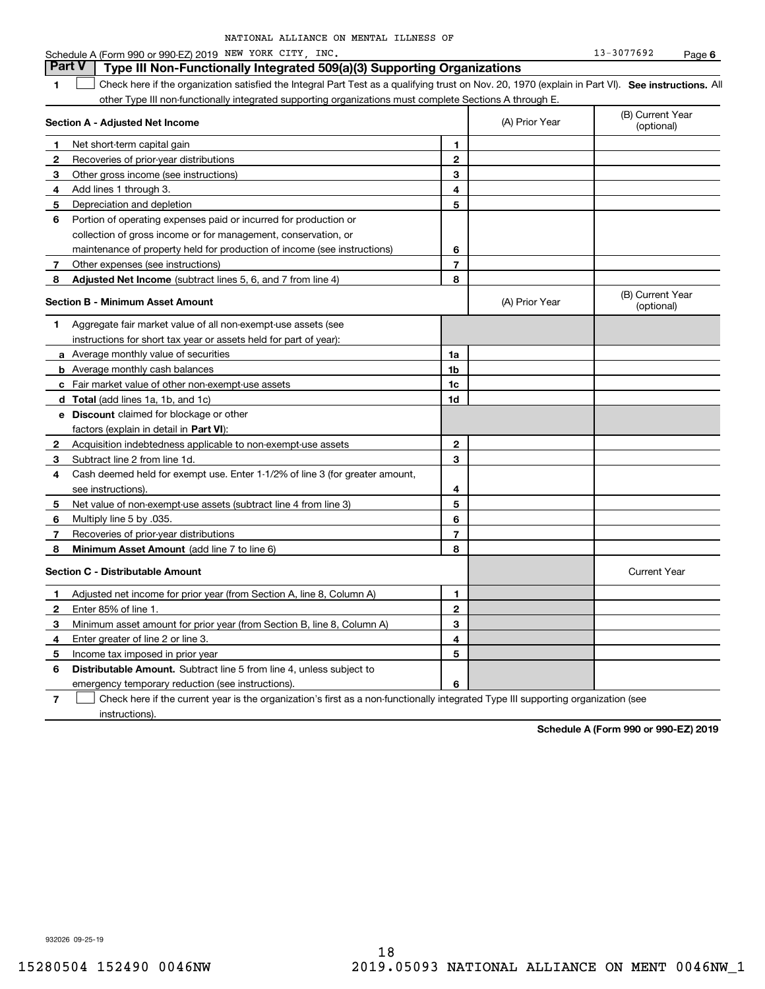| NATIONAL ALLIANCE ON MENTAL ILLNESS OF |  |
|----------------------------------------|--|
|----------------------------------------|--|

|              | <b>Part V</b><br>Type III Non-Functionally Integrated 509(a)(3) Supporting Organizations                                                          |                |                |                                |
|--------------|---------------------------------------------------------------------------------------------------------------------------------------------------|----------------|----------------|--------------------------------|
| 1            | Check here if the organization satisfied the Integral Part Test as a qualifying trust on Nov. 20, 1970 (explain in Part VI). See instructions. Al |                |                |                                |
|              | other Type III non-functionally integrated supporting organizations must complete Sections A through E.                                           |                |                |                                |
|              | Section A - Adjusted Net Income                                                                                                                   |                | (A) Prior Year | (B) Current Year<br>(optional) |
| 1            | Net short-term capital gain                                                                                                                       | 1              |                |                                |
| $\mathbf{2}$ | Recoveries of prior-year distributions                                                                                                            | $\mathbf{2}$   |                |                                |
| 3            | Other gross income (see instructions)                                                                                                             | 3              |                |                                |
| 4            | Add lines 1 through 3.                                                                                                                            | 4              |                |                                |
| 5            | Depreciation and depletion                                                                                                                        | 5              |                |                                |
| 6            | Portion of operating expenses paid or incurred for production or                                                                                  |                |                |                                |
|              | collection of gross income or for management, conservation, or                                                                                    |                |                |                                |
|              | maintenance of property held for production of income (see instructions)                                                                          | 6              |                |                                |
| 7            | Other expenses (see instructions)                                                                                                                 | $\overline{7}$ |                |                                |
| 8            | <b>Adjusted Net Income</b> (subtract lines 5, 6, and 7 from line 4)                                                                               | 8              |                |                                |
|              | <b>Section B - Minimum Asset Amount</b>                                                                                                           |                | (A) Prior Year | (B) Current Year<br>(optional) |
| 1            | Aggregate fair market value of all non-exempt-use assets (see                                                                                     |                |                |                                |
|              | instructions for short tax year or assets held for part of year):                                                                                 |                |                |                                |
|              | a Average monthly value of securities                                                                                                             | 1a             |                |                                |
|              | <b>b</b> Average monthly cash balances                                                                                                            | 1 <sub>b</sub> |                |                                |
|              | c Fair market value of other non-exempt-use assets                                                                                                | 1c             |                |                                |
|              | d Total (add lines 1a, 1b, and 1c)                                                                                                                | 1d             |                |                                |
|              | e Discount claimed for blockage or other                                                                                                          |                |                |                                |
|              | factors (explain in detail in Part VI):                                                                                                           |                |                |                                |
| $\mathbf{2}$ | Acquisition indebtedness applicable to non-exempt-use assets                                                                                      | $\mathbf{2}$   |                |                                |
| 3            | Subtract line 2 from line 1d.                                                                                                                     | 3              |                |                                |
| 4            | Cash deemed held for exempt use. Enter 1-1/2% of line 3 (for greater amount,                                                                      |                |                |                                |
|              | see instructions).                                                                                                                                | 4              |                |                                |
| 5.           | Net value of non-exempt-use assets (subtract line 4 from line 3)                                                                                  | 5              |                |                                |
| 6            | Multiply line 5 by .035.                                                                                                                          | 6              |                |                                |
| 7            | Recoveries of prior-year distributions                                                                                                            | $\overline{7}$ |                |                                |
| 8            | Minimum Asset Amount (add line 7 to line 6)                                                                                                       | 8              |                |                                |
|              | <b>Section C - Distributable Amount</b>                                                                                                           |                |                | <b>Current Year</b>            |
| 1            | Adjusted net income for prior year (from Section A, line 8, Column A)                                                                             | 1              |                |                                |
| 2            | Enter 85% of line 1.                                                                                                                              | $\mathbf{2}$   |                |                                |
| З            | Minimum asset amount for prior year (from Section B, line 8, Column A)                                                                            | 3              |                |                                |
| 4            | Enter greater of line 2 or line 3.                                                                                                                | 4              |                |                                |
| 5            | Income tax imposed in prior year                                                                                                                  | 5              |                |                                |
| 6            | <b>Distributable Amount.</b> Subtract line 5 from line 4, unless subject to                                                                       |                |                |                                |
|              | emergency temporary reduction (see instructions).                                                                                                 | 6              |                |                                |

**7** Check here if the current year is the organization's first as a non-functionally integrated Type III supporting organization (see instructions).

**Schedule A (Form 990 or 990-EZ) 2019**

932026 09-25-19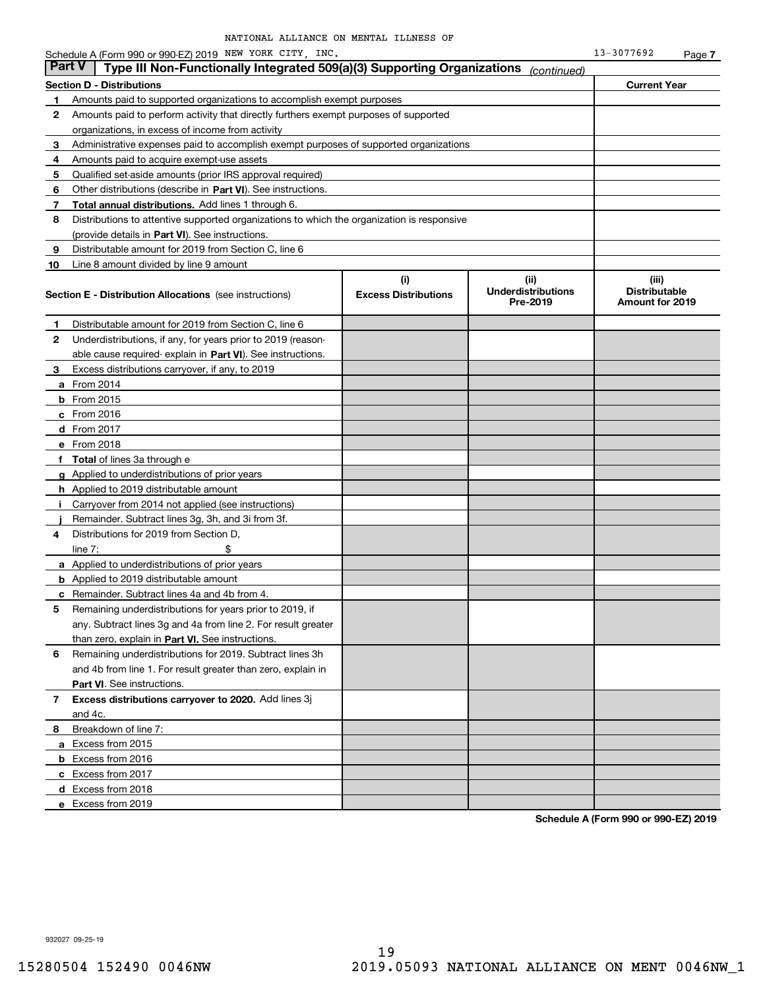|        | Schedule A (Form 990 or 990-EZ) 2019 NEW YORK CITY, INC.                                   |                                    |                                               | 13-3077692                                       | Page 7 |
|--------|--------------------------------------------------------------------------------------------|------------------------------------|-----------------------------------------------|--------------------------------------------------|--------|
| Part V | Type III Non-Functionally Integrated 509(a)(3) Supporting Organizations                    |                                    | (continued)                                   |                                                  |        |
|        | <b>Section D - Distributions</b>                                                           |                                    |                                               | <b>Current Year</b>                              |        |
| 1      | Amounts paid to supported organizations to accomplish exempt purposes                      |                                    |                                               |                                                  |        |
| 2      | Amounts paid to perform activity that directly furthers exempt purposes of supported       |                                    |                                               |                                                  |        |
|        | organizations, in excess of income from activity                                           |                                    |                                               |                                                  |        |
| 3      | Administrative expenses paid to accomplish exempt purposes of supported organizations      |                                    |                                               |                                                  |        |
| 4      | Amounts paid to acquire exempt-use assets                                                  |                                    |                                               |                                                  |        |
| 5      | Qualified set-aside amounts (prior IRS approval required)                                  |                                    |                                               |                                                  |        |
| 6      | Other distributions (describe in Part VI). See instructions.                               |                                    |                                               |                                                  |        |
| 7      | Total annual distributions. Add lines 1 through 6.                                         |                                    |                                               |                                                  |        |
| 8      | Distributions to attentive supported organizations to which the organization is responsive |                                    |                                               |                                                  |        |
|        | (provide details in Part VI). See instructions.                                            |                                    |                                               |                                                  |        |
| 9      | Distributable amount for 2019 from Section C, line 6                                       |                                    |                                               |                                                  |        |
| 10     | Line 8 amount divided by line 9 amount                                                     |                                    |                                               |                                                  |        |
|        | <b>Section E - Distribution Allocations</b> (see instructions)                             | (i)<br><b>Excess Distributions</b> | (ii)<br><b>Underdistributions</b><br>Pre-2019 | (iii)<br><b>Distributable</b><br>Amount for 2019 |        |
| 1      | Distributable amount for 2019 from Section C, line 6                                       |                                    |                                               |                                                  |        |
| 2      | Underdistributions, if any, for years prior to 2019 (reason-                               |                                    |                                               |                                                  |        |
|        | able cause required-explain in Part VI). See instructions.                                 |                                    |                                               |                                                  |        |
| 3      | Excess distributions carryover, if any, to 2019                                            |                                    |                                               |                                                  |        |
|        | <b>a</b> From 2014                                                                         |                                    |                                               |                                                  |        |
|        | $b$ From 2015                                                                              |                                    |                                               |                                                  |        |
|        | $c$ From 2016                                                                              |                                    |                                               |                                                  |        |
|        | <b>d</b> From 2017                                                                         |                                    |                                               |                                                  |        |
|        | e From 2018                                                                                |                                    |                                               |                                                  |        |
|        | f Total of lines 3a through e                                                              |                                    |                                               |                                                  |        |
|        | g Applied to underdistributions of prior years                                             |                                    |                                               |                                                  |        |
|        | <b>h</b> Applied to 2019 distributable amount                                              |                                    |                                               |                                                  |        |
| j.     | Carryover from 2014 not applied (see instructions)                                         |                                    |                                               |                                                  |        |
|        | Remainder. Subtract lines 3g, 3h, and 3i from 3f.                                          |                                    |                                               |                                                  |        |
| 4      | Distributions for 2019 from Section D,                                                     |                                    |                                               |                                                  |        |
|        | \$<br>line $7:$                                                                            |                                    |                                               |                                                  |        |
|        | <b>a</b> Applied to underdistributions of prior years                                      |                                    |                                               |                                                  |        |
|        | <b>b</b> Applied to 2019 distributable amount                                              |                                    |                                               |                                                  |        |
|        | <b>c</b> Remainder. Subtract lines 4a and 4b from 4.                                       |                                    |                                               |                                                  |        |
|        | Remaining underdistributions for years prior to 2019, if                                   |                                    |                                               |                                                  |        |
|        | any. Subtract lines 3g and 4a from line 2. For result greater                              |                                    |                                               |                                                  |        |
|        | than zero, explain in Part VI. See instructions.                                           |                                    |                                               |                                                  |        |
| 6      | Remaining underdistributions for 2019. Subtract lines 3h                                   |                                    |                                               |                                                  |        |
|        | and 4b from line 1. For result greater than zero, explain in                               |                                    |                                               |                                                  |        |
|        | Part VI. See instructions.                                                                 |                                    |                                               |                                                  |        |
| 7      | Excess distributions carryover to 2020. Add lines 3j                                       |                                    |                                               |                                                  |        |
|        | and 4c.                                                                                    |                                    |                                               |                                                  |        |
| 8      | Breakdown of line 7:                                                                       |                                    |                                               |                                                  |        |
|        | a Excess from 2015                                                                         |                                    |                                               |                                                  |        |
|        | <b>b</b> Excess from 2016                                                                  |                                    |                                               |                                                  |        |
|        | c Excess from 2017                                                                         |                                    |                                               |                                                  |        |
|        | d Excess from 2018                                                                         |                                    |                                               |                                                  |        |
|        | e Excess from 2019                                                                         |                                    |                                               |                                                  |        |
|        |                                                                                            |                                    |                                               |                                                  |        |

**Schedule A (Form 990 or 990-EZ) 2019**

932027 09-25-19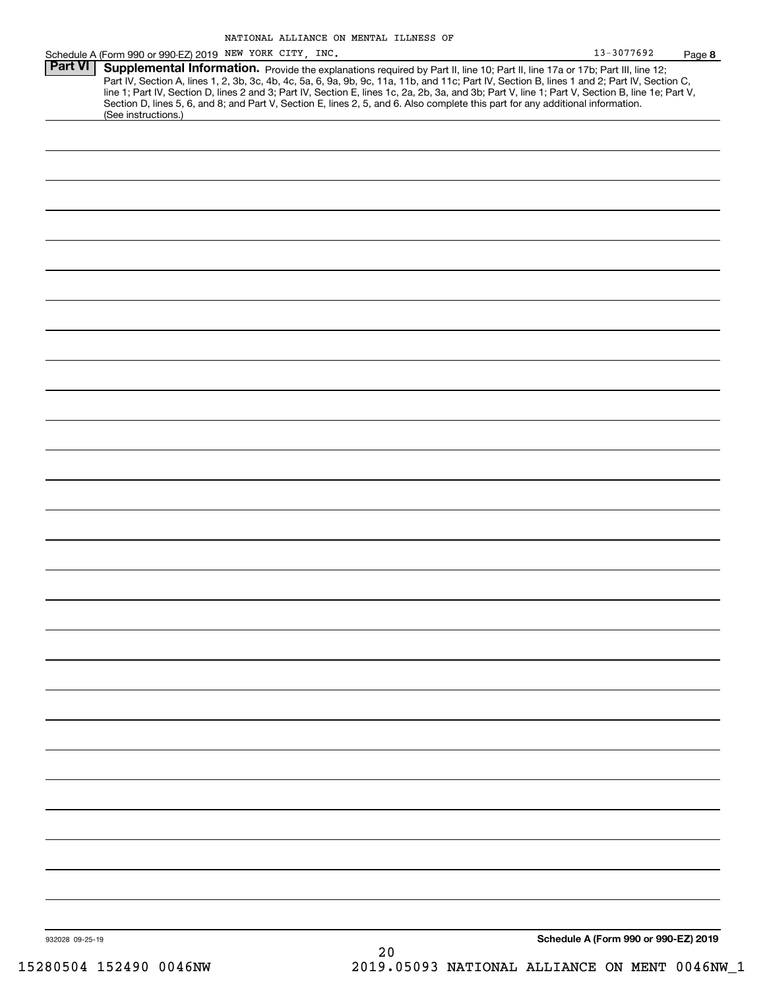| 13-3077692 | Page 8 |
|------------|--------|
|------------|--------|

| Schedule A (Form 990 or 990-EZ) 2019 NEW YORK CITY, INC.                                                                                         | 13-3077692 | Page |
|--------------------------------------------------------------------------------------------------------------------------------------------------|------------|------|
| <b>Part VI   Supplemental Information.</b> Provide the explanations required by Part II, line 10; Part II, line 17a or 17b; Part III, line 12;   |            |      |
| Part IV, Section A, lines 1, 2, 3b, 3c, 4b, 4c, 5a, 6, 9a, 9b, 9c, 11a, 11b, and 11c; Part IV, Section B, lines 1 and 2; Part IV, Section C,     |            |      |
| line 1; Part IV, Section D, lines 2 and 3; Part IV, Section E, lines 1c, 2a, 2b, 3a, and 3b; Part V, line 1; Part V, Section B, line 1e; Part V, |            |      |
| Section D, lines 5, 6, and 8; and Part V, Section E, lines 2, 5, and 6. Also complete this part for any additional information.                  |            |      |
| (See instructions.)                                                                                                                              |            |      |
|                                                                                                                                                  |            |      |
|                                                                                                                                                  |            |      |

932028 09-25-19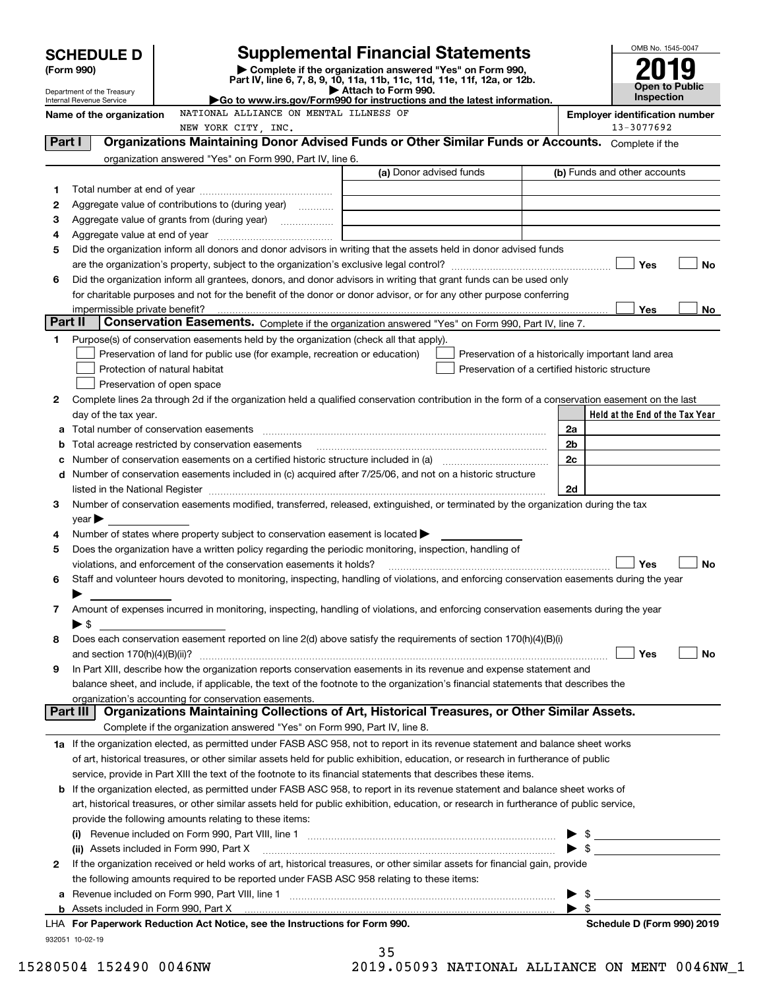|          | <b>SCHEDULE D</b>              |                                                                                                                                                       | <b>Supplemental Financial Statements</b>                                                        |                          | OMB No. 1545-0047                                   |           |
|----------|--------------------------------|-------------------------------------------------------------------------------------------------------------------------------------------------------|-------------------------------------------------------------------------------------------------|--------------------------|-----------------------------------------------------|-----------|
|          | (Form 990)                     |                                                                                                                                                       | Complete if the organization answered "Yes" on Form 990,                                        |                          |                                                     |           |
|          | Department of the Treasury     |                                                                                                                                                       | Part IV, line 6, 7, 8, 9, 10, 11a, 11b, 11c, 11d, 11e, 11f, 12a, or 12b.<br>Attach to Form 990. |                          | Open to Public                                      |           |
|          | Internal Revenue Service       |                                                                                                                                                       | Go to www.irs.gov/Form990 for instructions and the latest information.                          |                          | <b>Inspection</b>                                   |           |
|          | Name of the organization       | NATIONAL ALLIANCE ON MENTAL ILLNESS OF                                                                                                                |                                                                                                 |                          | <b>Employer identification number</b>               |           |
| Part I   |                                | NEW YORK CITY, INC.<br>Organizations Maintaining Donor Advised Funds or Other Similar Funds or Accounts. Complete if the                              |                                                                                                 |                          | 13-3077692                                          |           |
|          |                                | organization answered "Yes" on Form 990, Part IV, line 6.                                                                                             |                                                                                                 |                          |                                                     |           |
|          |                                |                                                                                                                                                       | (a) Donor advised funds                                                                         |                          | (b) Funds and other accounts                        |           |
| 1        |                                |                                                                                                                                                       |                                                                                                 |                          |                                                     |           |
| 2        |                                | Aggregate value of contributions to (during year)                                                                                                     |                                                                                                 |                          |                                                     |           |
| 3        |                                |                                                                                                                                                       |                                                                                                 |                          |                                                     |           |
| 4        |                                |                                                                                                                                                       |                                                                                                 |                          |                                                     |           |
| 5        |                                | Did the organization inform all donors and donor advisors in writing that the assets held in donor advised funds                                      |                                                                                                 |                          |                                                     |           |
|          |                                |                                                                                                                                                       |                                                                                                 |                          | Yes                                                 | No        |
| 6        |                                | Did the organization inform all grantees, donors, and donor advisors in writing that grant funds can be used only                                     |                                                                                                 |                          |                                                     |           |
|          |                                | for charitable purposes and not for the benefit of the donor or donor advisor, or for any other purpose conferring                                    |                                                                                                 |                          |                                                     |           |
|          | impermissible private benefit? |                                                                                                                                                       |                                                                                                 |                          | Yes                                                 | No l      |
| Part II  |                                | Conservation Easements. Complete if the organization answered "Yes" on Form 990, Part IV, line 7.                                                     |                                                                                                 |                          |                                                     |           |
| 1        |                                | Purpose(s) of conservation easements held by the organization (check all that apply).                                                                 |                                                                                                 |                          |                                                     |           |
|          |                                | Preservation of land for public use (for example, recreation or education)                                                                            | Preservation of a historically important land area                                              |                          |                                                     |           |
|          |                                | Protection of natural habitat                                                                                                                         | Preservation of a certified historic structure                                                  |                          |                                                     |           |
|          |                                | Preservation of open space                                                                                                                            |                                                                                                 |                          |                                                     |           |
| 2        |                                | Complete lines 2a through 2d if the organization held a qualified conservation contribution in the form of a conservation easement on the last        |                                                                                                 |                          | Held at the End of the Tax Year                     |           |
| a        | day of the tax year.           |                                                                                                                                                       |                                                                                                 | 2a                       |                                                     |           |
| b        |                                | Total acreage restricted by conservation easements                                                                                                    |                                                                                                 | 2 <sub>b</sub>           |                                                     |           |
| с        |                                |                                                                                                                                                       |                                                                                                 | 2c                       |                                                     |           |
|          |                                | d Number of conservation easements included in (c) acquired after 7/25/06, and not on a historic structure                                            |                                                                                                 |                          |                                                     |           |
|          |                                |                                                                                                                                                       |                                                                                                 | 2d                       |                                                     |           |
| 3        |                                | Number of conservation easements modified, transferred, released, extinguished, or terminated by the organization during the tax                      |                                                                                                 |                          |                                                     |           |
|          | $\mathsf{year}$                |                                                                                                                                                       |                                                                                                 |                          |                                                     |           |
| 4        |                                | Number of states where property subject to conservation easement is located $\blacktriangleright$                                                     |                                                                                                 |                          |                                                     |           |
| 5        |                                | Does the organization have a written policy regarding the periodic monitoring, inspection, handling of                                                |                                                                                                 |                          |                                                     |           |
|          |                                | violations, and enforcement of the conservation easements it holds?                                                                                   |                                                                                                 |                          | Yes                                                 | <b>No</b> |
| 6        |                                | Staff and volunteer hours devoted to monitoring, inspecting, handling of violations, and enforcing conservation easements during the year             |                                                                                                 |                          |                                                     |           |
|          |                                |                                                                                                                                                       |                                                                                                 |                          |                                                     |           |
| 7        |                                | Amount of expenses incurred in monitoring, inspecting, handling of violations, and enforcing conservation easements during the year                   |                                                                                                 |                          |                                                     |           |
|          | $\blacktriangleright$ \$       |                                                                                                                                                       |                                                                                                 |                          |                                                     |           |
| 8        |                                | Does each conservation easement reported on line 2(d) above satisfy the requirements of section 170(h)(4)(B)(i)                                       |                                                                                                 |                          |                                                     |           |
|          |                                |                                                                                                                                                       |                                                                                                 |                          | Yes                                                 | No        |
| 9        |                                | In Part XIII, describe how the organization reports conservation easements in its revenue and expense statement and                                   |                                                                                                 |                          |                                                     |           |
|          |                                | balance sheet, and include, if applicable, the text of the footnote to the organization's financial statements that describes the                     |                                                                                                 |                          |                                                     |           |
| Part III |                                | organization's accounting for conservation easements.<br>Organizations Maintaining Collections of Art, Historical Treasures, or Other Similar Assets. |                                                                                                 |                          |                                                     |           |
|          |                                | Complete if the organization answered "Yes" on Form 990, Part IV, line 8.                                                                             |                                                                                                 |                          |                                                     |           |
|          |                                | 1a If the organization elected, as permitted under FASB ASC 958, not to report in its revenue statement and balance sheet works                       |                                                                                                 |                          |                                                     |           |
|          |                                | of art, historical treasures, or other similar assets held for public exhibition, education, or research in furtherance of public                     |                                                                                                 |                          |                                                     |           |
|          |                                | service, provide in Part XIII the text of the footnote to its financial statements that describes these items.                                        |                                                                                                 |                          |                                                     |           |
|          |                                | <b>b</b> If the organization elected, as permitted under FASB ASC 958, to report in its revenue statement and balance sheet works of                  |                                                                                                 |                          |                                                     |           |
|          |                                | art, historical treasures, or other similar assets held for public exhibition, education, or research in furtherance of public service,               |                                                                                                 |                          |                                                     |           |
|          |                                | provide the following amounts relating to these items:                                                                                                |                                                                                                 |                          |                                                     |           |
|          |                                |                                                                                                                                                       |                                                                                                 |                          | $\frac{1}{2}$                                       |           |
|          |                                | (ii) Assets included in Form 990, Part X                                                                                                              |                                                                                                 |                          | $\blacktriangleright$ \$                            |           |
| 2        |                                | If the organization received or held works of art, historical treasures, or other similar assets for financial gain, provide                          |                                                                                                 |                          |                                                     |           |
|          |                                | the following amounts required to be reported under FASB ASC 958 relating to these items:                                                             |                                                                                                 |                          |                                                     |           |
| а        |                                |                                                                                                                                                       |                                                                                                 | - \$                     | <u> 1989 - Johann Barbara, martin amerikan basa</u> |           |
|          |                                |                                                                                                                                                       |                                                                                                 | $\blacktriangleright$ \$ |                                                     |           |
|          |                                | LHA For Paperwork Reduction Act Notice, see the Instructions for Form 990.                                                                            |                                                                                                 |                          | Schedule D (Form 990) 2019                          |           |
|          | 932051 10-02-19                |                                                                                                                                                       | 35                                                                                              |                          |                                                     |           |

| ر ر |               |
|-----|---------------|
|     | A5093 NATTONA |

15280504 152490 0046NW 2019.05093 NATIONAL ALLIANCE ON MENT 0046NW\_1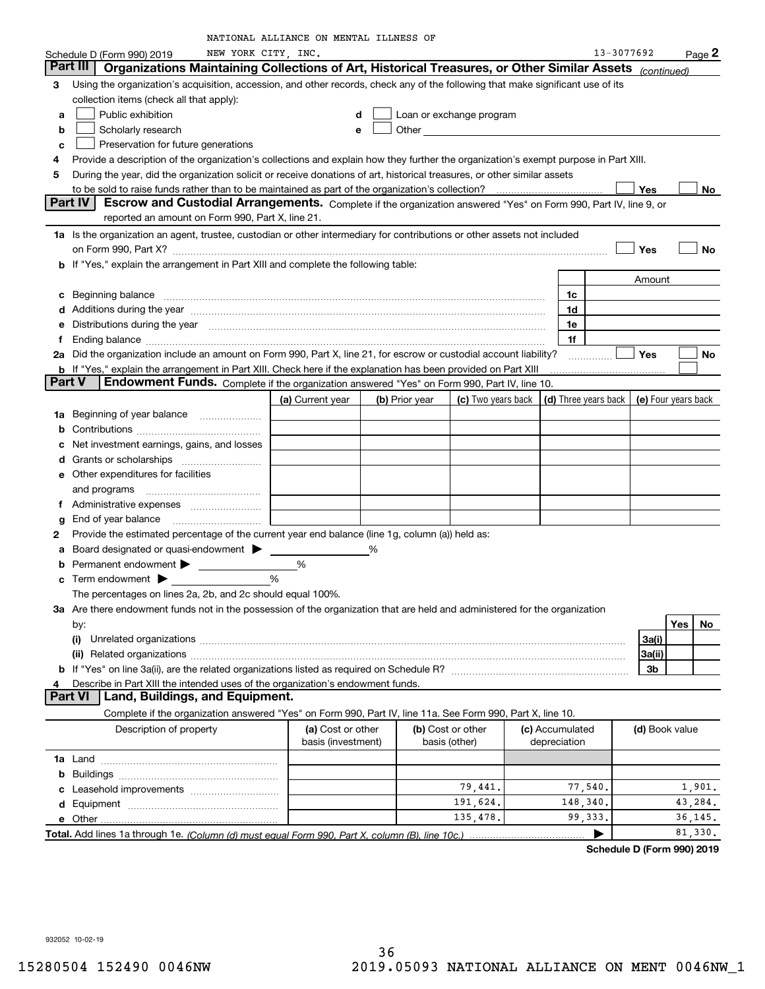|               |                                                                                                                                                                                                                                      | NATIONAL ALLIANCE ON MENTAL ILLNESS OF |   |                |                          |                                            |            |                |           |
|---------------|--------------------------------------------------------------------------------------------------------------------------------------------------------------------------------------------------------------------------------------|----------------------------------------|---|----------------|--------------------------|--------------------------------------------|------------|----------------|-----------|
|               | NEW YORK CITY, INC.<br>Schedule D (Form 990) 2019                                                                                                                                                                                    |                                        |   |                |                          |                                            | 13-3077692 |                | Page 2    |
|               | Part III  <br>Organizations Maintaining Collections of Art, Historical Treasures, or Other Similar Assets (continued)                                                                                                                |                                        |   |                |                          |                                            |            |                |           |
| 3             | Using the organization's acquisition, accession, and other records, check any of the following that make significant use of its                                                                                                      |                                        |   |                |                          |                                            |            |                |           |
|               | collection items (check all that apply):                                                                                                                                                                                             |                                        |   |                |                          |                                            |            |                |           |
| a             | Public exhibition                                                                                                                                                                                                                    |                                        | d |                | Loan or exchange program |                                            |            |                |           |
| b             | Scholarly research                                                                                                                                                                                                                   |                                        | e |                |                          |                                            |            |                |           |
| с             | Preservation for future generations                                                                                                                                                                                                  |                                        |   |                |                          |                                            |            |                |           |
| 4             | Provide a description of the organization's collections and explain how they further the organization's exempt purpose in Part XIII.                                                                                                 |                                        |   |                |                          |                                            |            |                |           |
| 5             | During the year, did the organization solicit or receive donations of art, historical treasures, or other similar assets                                                                                                             |                                        |   |                |                          |                                            |            |                |           |
|               | to be sold to raise funds rather than to be maintained as part of the organization's collection?                                                                                                                                     |                                        |   |                |                          |                                            |            | Yes            | No        |
|               | Escrow and Custodial Arrangements. Complete if the organization answered "Yes" on Form 990, Part IV, line 9, or<br>Part IV                                                                                                           |                                        |   |                |                          |                                            |            |                |           |
|               | reported an amount on Form 990, Part X, line 21.                                                                                                                                                                                     |                                        |   |                |                          |                                            |            |                |           |
|               | 1a Is the organization an agent, trustee, custodian or other intermediary for contributions or other assets not included                                                                                                             |                                        |   |                |                          |                                            |            |                |           |
|               |                                                                                                                                                                                                                                      |                                        |   |                |                          |                                            |            | Yes            | No        |
|               | b If "Yes," explain the arrangement in Part XIII and complete the following table:                                                                                                                                                   |                                        |   |                |                          |                                            |            |                |           |
|               |                                                                                                                                                                                                                                      |                                        |   |                |                          |                                            |            |                |           |
|               |                                                                                                                                                                                                                                      |                                        |   |                |                          |                                            |            | Amount         |           |
| с             | Beginning balance <b>contract the contract of the contract of the contract of the contract of the contract of the contract of the contract of the contract of the contract of the contract of the contract of the contract of th</b> |                                        |   |                |                          | 1c                                         |            |                |           |
| d             | Additions during the year manufactured and an account of the state of the state of the state of the state of the state of the state of the state of the state of the state of the state of the state of the state of the state       |                                        |   |                |                          | 1d                                         |            |                |           |
| е             | Distributions during the year manufactured and an intervention of the state of the control of the year manufactured and the year manufactured and the year manufactured and the state of the state of the state of the state o       |                                        |   |                |                          | 1e                                         |            |                |           |
| f             |                                                                                                                                                                                                                                      |                                        |   |                |                          | 1f                                         |            |                |           |
|               | 2a Did the organization include an amount on Form 990, Part X, line 21, for escrow or custodial account liability?                                                                                                                   |                                        |   |                |                          |                                            |            | Yes            | No        |
|               | <b>b</b> If "Yes," explain the arrangement in Part XIII. Check here if the explanation has been provided on Part XIII                                                                                                                |                                        |   |                |                          |                                            |            |                |           |
| <b>Part V</b> | Endowment Funds. Complete if the organization answered "Yes" on Form 990, Part IV, line 10.                                                                                                                                          |                                        |   |                |                          |                                            |            |                |           |
|               |                                                                                                                                                                                                                                      | (a) Current year                       |   | (b) Prior year | (c) Two years back       | (d) Three years back   (e) Four years back |            |                |           |
| 1a            | Beginning of year balance                                                                                                                                                                                                            |                                        |   |                |                          |                                            |            |                |           |
| b             |                                                                                                                                                                                                                                      |                                        |   |                |                          |                                            |            |                |           |
| с             | Net investment earnings, gains, and losses                                                                                                                                                                                           |                                        |   |                |                          |                                            |            |                |           |
| d             |                                                                                                                                                                                                                                      |                                        |   |                |                          |                                            |            |                |           |
|               | <b>e</b> Other expenditures for facilities                                                                                                                                                                                           |                                        |   |                |                          |                                            |            |                |           |
|               | and programs                                                                                                                                                                                                                         |                                        |   |                |                          |                                            |            |                |           |
| f             |                                                                                                                                                                                                                                      |                                        |   |                |                          |                                            |            |                |           |
| g             | End of year balance                                                                                                                                                                                                                  |                                        |   |                |                          |                                            |            |                |           |
| 2             | Provide the estimated percentage of the current year end balance (line 1g, column (a)) held as:                                                                                                                                      |                                        |   |                |                          |                                            |            |                |           |
|               | Board designated or quasi-endowment >                                                                                                                                                                                                |                                        | ℅ |                |                          |                                            |            |                |           |
| a             |                                                                                                                                                                                                                                      |                                        |   |                |                          |                                            |            |                |           |
| b             |                                                                                                                                                                                                                                      | %                                      |   |                |                          |                                            |            |                |           |
|               |                                                                                                                                                                                                                                      | %                                      |   |                |                          |                                            |            |                |           |
|               | The percentages on lines 2a, 2b, and 2c should equal 100%.                                                                                                                                                                           |                                        |   |                |                          |                                            |            |                |           |
|               | 3a Are there endowment funds not in the possession of the organization that are held and administered for the organization                                                                                                           |                                        |   |                |                          |                                            |            |                |           |
|               | by:                                                                                                                                                                                                                                  |                                        |   |                |                          |                                            |            |                | Yes<br>No |
|               | (i)                                                                                                                                                                                                                                  |                                        |   |                |                          |                                            |            | 3a(i)          |           |
|               | (ii) Related organizations <b>constructions</b> and construction of the construction of the construction of the construction of the construction of the construction of the construction of the construction of the construction of  |                                        |   |                |                          |                                            |            | 3a(ii)         |           |
|               |                                                                                                                                                                                                                                      |                                        |   |                |                          |                                            |            | 3b             |           |
| 4             | Describe in Part XIII the intended uses of the organization's endowment funds.                                                                                                                                                       |                                        |   |                |                          |                                            |            |                |           |
|               | <b>Part VI</b><br>Land, Buildings, and Equipment.                                                                                                                                                                                    |                                        |   |                |                          |                                            |            |                |           |
|               | Complete if the organization answered "Yes" on Form 990, Part IV, line 11a. See Form 990, Part X, line 10.                                                                                                                           |                                        |   |                |                          |                                            |            |                |           |
|               | Description of property                                                                                                                                                                                                              | (a) Cost or other                      |   |                | (b) Cost or other        | (c) Accumulated                            |            | (d) Book value |           |
|               |                                                                                                                                                                                                                                      | basis (investment)                     |   |                | basis (other)            | depreciation                               |            |                |           |
|               |                                                                                                                                                                                                                                      |                                        |   |                |                          |                                            |            |                |           |
|               |                                                                                                                                                                                                                                      |                                        |   |                |                          |                                            |            |                |           |
|               |                                                                                                                                                                                                                                      |                                        |   |                | 79,441.                  | 77,540.                                    |            |                | 1,901.    |
|               |                                                                                                                                                                                                                                      |                                        |   |                | 191,624.                 | 148,340.                                   |            |                | 43,284.   |
|               |                                                                                                                                                                                                                                      |                                        |   |                | 135,478.                 | 99, 333.                                   |            |                | 36, 145.  |
|               |                                                                                                                                                                                                                                      |                                        |   |                |                          |                                            |            |                | 81,330.   |
|               |                                                                                                                                                                                                                                      |                                        |   |                |                          |                                            |            |                |           |

**Schedule D (Form 990) 2019**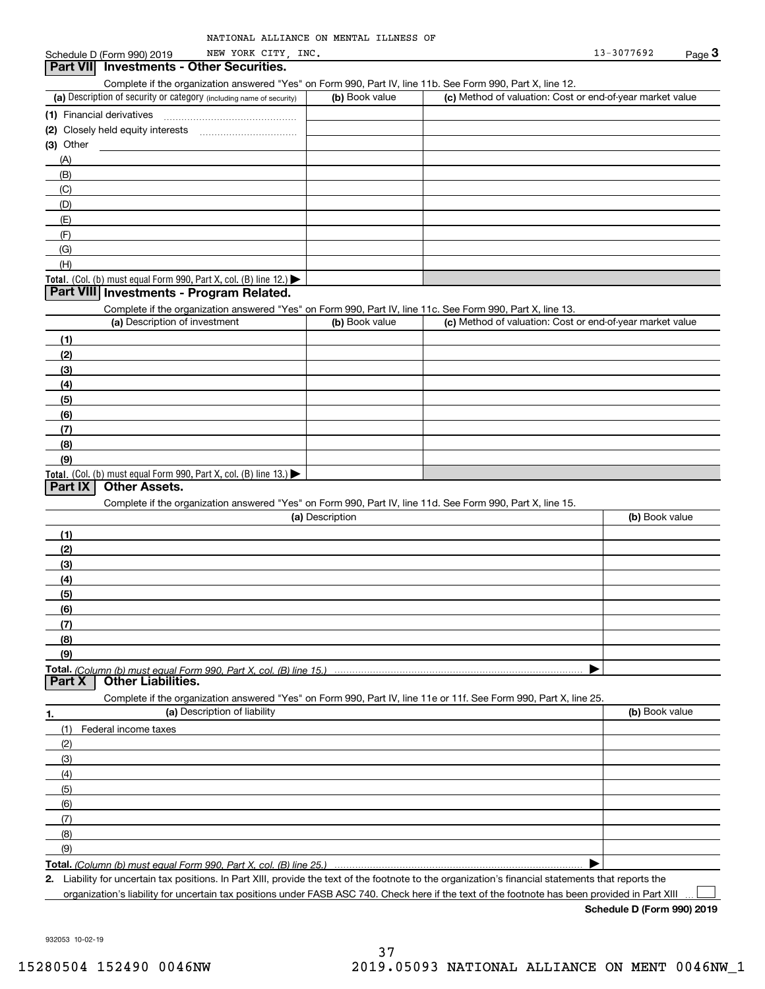| NATIONAL ALLIANCE ON MENTAL ILLNESS OF |
|----------------------------------------|
|                                        |

#### (a) Description of security or category (including name of security)  $\vert$  (b) Book value  $\vert$  (c) Total. (Col. (b) must equal Form 990, Part X, col. (B) line 12.) Total. (Col. (b) must equal Form 990, Part X, col. (B) line 13.) **(1)**Financial derivatives **(2)** Closely held equity interests **(3)** Other (a) Description of investment **b (b)** Book value **(1)(2) (3)(4) (5)(6)(7) (8)(9)(a) (b)**  Description**(1)(2) (3)(4)(5) (6)(7) (8)(9)Total.**  *(Column (b) must equal Form 990, Part X, col. (B) line 15.)* **1.(a)** Description of liability **Book value** Book value Book value Book value Book value Complete if the organization answered "Yes" on Form 990, Part IV, line 11b. See Form 990, Part X, line 12.  $(b)$  Book value  $\vert$  (c) Method of valuation: Cost or end-of-year market value ~~~~~~~~~~~~~~~(A)(B)(C)(D)(E)(F)(G)(H)Complete if the organization answered "Yes" on Form 990, Part IV, line 11c. See Form 990, Part X, line 13. (c) Method of valuation: Cost or end-of-year market value Complete if the organization answered "Yes" on Form 990, Part IV, line 11d. See Form 990, Part X, line 15. (b) Book value  $\blacktriangleright$ Complete if the organization answered "Yes" on Form 990, Part IV, line 11e or 11f. See Form 990, Part X, line 25. (1)Federal income taxes (2)(3)(4)(5)(6)(7)(8)(9) $\blacktriangleright$ **Part VII Investments - Other Securities. Part VIII Investments - Program Related. Part IX Other Assets. Part X Other Liabilities.**

**Total.**  *(Column (b) must equal Form 990, Part X, col. (B) line 25.)* 

**2.**Liability for uncertain tax positions. In Part XIII, provide the text of the footnote to the organization's financial statements that reports the organization's liability for uncertain tax positions under FASB ASC 740. Check here if the text of the footnote has been provided in Part XIII

**Schedule D (Form 990) 2019**

 $\mathcal{L}^{\text{max}}$ 

932053 10-02-19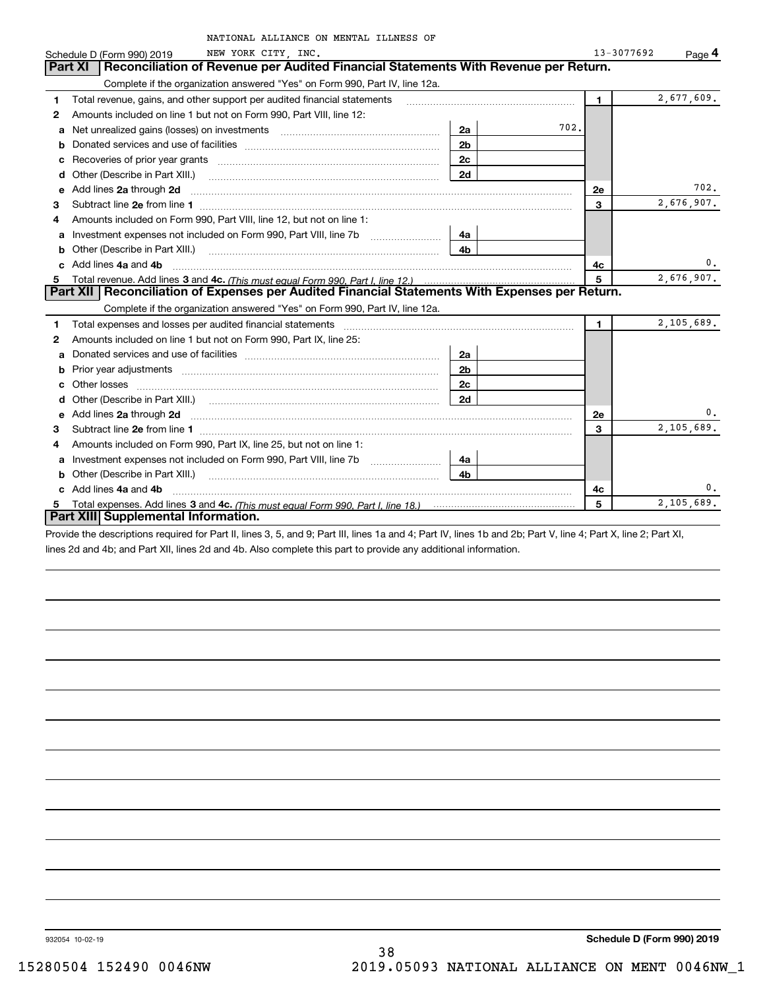|                                                                                 | NATIONAL ALLIANCE ON MENTAL ILLNESS OF                                                                                                                                                                                              |                |      |              |            |
|---------------------------------------------------------------------------------|-------------------------------------------------------------------------------------------------------------------------------------------------------------------------------------------------------------------------------------|----------------|------|--------------|------------|
| Schedule D (Form 990) 2019                                                      | NEW YORK CITY, INC.                                                                                                                                                                                                                 |                |      | 13-3077692   | Page 4     |
| Part XI                                                                         | Reconciliation of Revenue per Audited Financial Statements With Revenue per Return.                                                                                                                                                 |                |      |              |            |
|                                                                                 | Complete if the organization answered "Yes" on Form 990, Part IV, line 12a.                                                                                                                                                         |                |      |              |            |
| 1                                                                               | Total revenue, gains, and other support per audited financial statements                                                                                                                                                            |                |      | $\mathbf{1}$ | 2,677,609. |
| 2                                                                               | Amounts included on line 1 but not on Form 990, Part VIII, line 12:                                                                                                                                                                 |                |      |              |            |
| a                                                                               | Net unrealized gains (losses) on investments [11] matter contracts and the unrealized gains (losses) on investments                                                                                                                 | 2a             | 702. |              |            |
|                                                                                 |                                                                                                                                                                                                                                     | 2 <sub>b</sub> |      |              |            |
|                                                                                 |                                                                                                                                                                                                                                     | 2c             |      |              |            |
| d                                                                               | Other (Describe in Part XIII.) <b>Construction Contract Construction</b> Chemical Construction Chemical Chemical Chemical Chemical Chemical Chemical Chemical Chemical Chemical Chemical Chemical Chemical Chemical Chemical Chemic | 2d             |      |              |            |
| e                                                                               | Add lines 2a through 2d                                                                                                                                                                                                             |                |      | 2e           | 702.       |
| З                                                                               |                                                                                                                                                                                                                                     |                |      | 3            | 2,676,907. |
| 4                                                                               | Amounts included on Form 990, Part VIII, line 12, but not on line 1:                                                                                                                                                                |                |      |              |            |
| a                                                                               | Investment expenses not included on Form 990, Part VIII, line 7b                                                                                                                                                                    | 4a             |      |              |            |
| b                                                                               | Other (Describe in Part XIII.) <b>COLOGIST:</b> (2010)                                                                                                                                                                              | 4b             |      |              |            |
| Add lines 4a and 4b                                                             |                                                                                                                                                                                                                                     |                |      | 4с           | 0.         |
| Total revenue. Add lines 3 and 4c. (This must equal Form 990. Part I. line 12.) | 5                                                                                                                                                                                                                                   | 2,676,907.     |      |              |            |
|                                                                                 | Part XII   Reconciliation of Expenses per Audited Financial Statements With Expenses per Return.                                                                                                                                    |                |      |              |            |
|                                                                                 | Complete if the organization answered "Yes" on Form 990, Part IV, line 12a.                                                                                                                                                         |                |      |              |            |
| 1                                                                               | Total expenses and losses per audited financial statements                                                                                                                                                                          |                |      | 1.           | 2,105,689. |
| 2                                                                               | Amounts included on line 1 but not on Form 990, Part IX, line 25:                                                                                                                                                                   |                |      |              |            |
| a                                                                               |                                                                                                                                                                                                                                     | 2a             |      |              |            |
| b                                                                               | Prior year adjustments <i>www.www.www.www.www.www.www.www.www.</i> ww.                                                                                                                                                              | 2 <sub>b</sub> |      |              |            |
|                                                                                 |                                                                                                                                                                                                                                     | 2c             |      |              |            |
|                                                                                 |                                                                                                                                                                                                                                     | 2d             |      |              |            |
|                                                                                 | e Add lines 2a through 2d <b>contained a contract and a contract a</b> contract a contract a contract a contract a contract a contract a contract a contract a contract a contract a contract a contract a contract a contract a co |                |      | 2e           | 0.         |
| 3                                                                               |                                                                                                                                                                                                                                     |                |      | 3            | 2,105,689. |
| 4                                                                               | Amounts included on Form 990, Part IX, line 25, but not on line 1:                                                                                                                                                                  |                |      |              |            |
| a                                                                               | Investment expenses not included on Form 990, Part VIII, line 7b                                                                                                                                                                    | 4a             |      |              |            |
| b                                                                               | Other (Describe in Part XIII.)                                                                                                                                                                                                      | 4 <sub>b</sub> |      |              |            |
| c Add lines 4a and 4b                                                           |                                                                                                                                                                                                                                     |                |      | 4c           | 0.         |
|                                                                                 | Total expenses. Add lines 3 and 4c. (This must equal Form 990, Part I, line 18.) <b>Conservers</b> manufactured in the                                                                                                              |                |      | 5            | 2,105,689. |
|                                                                                 | Part XIII Supplemental Information.                                                                                                                                                                                                 |                |      |              |            |

Provide the descriptions required for Part II, lines 3, 5, and 9; Part III, lines 1a and 4; Part IV, lines 1b and 2b; Part V, line 4; Part X, line 2; Part XI, lines 2d and 4b; and Part XII, lines 2d and 4b. Also complete this part to provide any additional information.

932054 10-02-19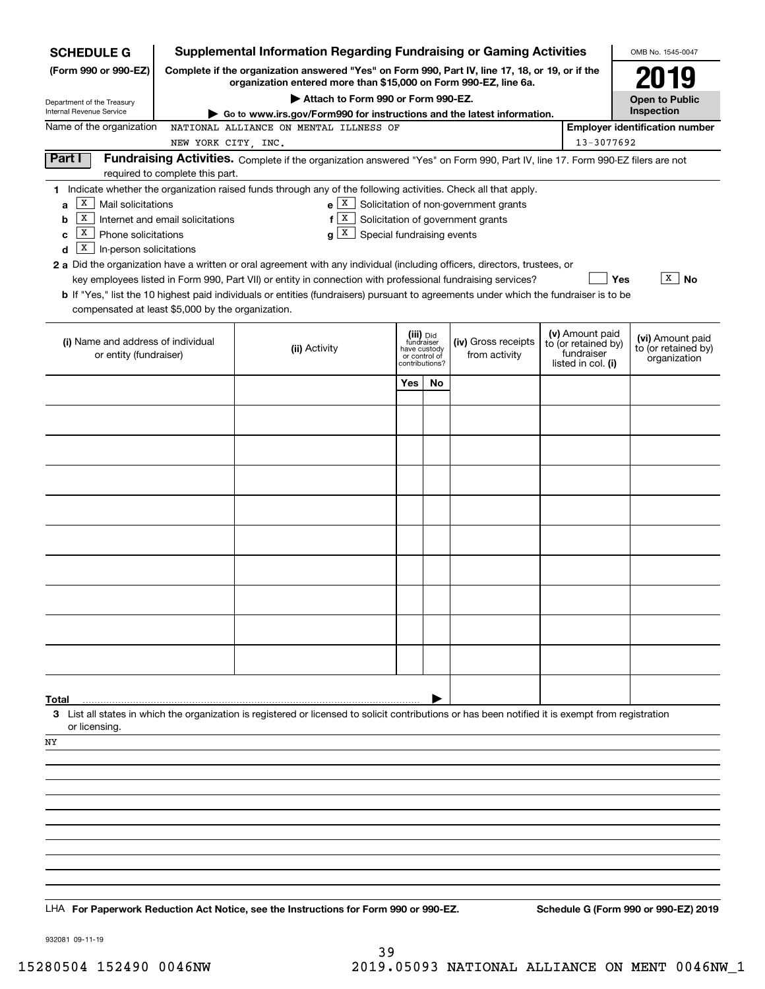| <b>SCHEDULE G</b>                                                                                                                                                                                                                                                                                                                                                                                                                                                                                      |                                                                                                                                                                     |  |                                                                                                                                                                                             |                                                                            |    | <b>Supplemental Information Regarding Fundraising or Gaming Activities</b>                                                    |  |                                                                            | OMB No. 1545-0047                                       |
|--------------------------------------------------------------------------------------------------------------------------------------------------------------------------------------------------------------------------------------------------------------------------------------------------------------------------------------------------------------------------------------------------------------------------------------------------------------------------------------------------------|---------------------------------------------------------------------------------------------------------------------------------------------------------------------|--|---------------------------------------------------------------------------------------------------------------------------------------------------------------------------------------------|----------------------------------------------------------------------------|----|-------------------------------------------------------------------------------------------------------------------------------|--|----------------------------------------------------------------------------|---------------------------------------------------------|
| (Form 990 or 990-EZ)                                                                                                                                                                                                                                                                                                                                                                                                                                                                                   | Complete if the organization answered "Yes" on Form 990, Part IV, line 17, 18, or 19, or if the<br>organization entered more than \$15,000 on Form 990-EZ, line 6a. |  |                                                                                                                                                                                             |                                                                            |    |                                                                                                                               |  |                                                                            | 2019                                                    |
| Department of the Treasury<br>Internal Revenue Service                                                                                                                                                                                                                                                                                                                                                                                                                                                 |                                                                                                                                                                     |  | Attach to Form 990 or Form 990-EZ.                                                                                                                                                          |                                                                            |    |                                                                                                                               |  |                                                                            | <b>Open to Public</b><br>Inspection                     |
| Name of the organization                                                                                                                                                                                                                                                                                                                                                                                                                                                                               |                                                                                                                                                                     |  | NATIONAL ALLIANCE ON MENTAL ILLNESS OF                                                                                                                                                      |                                                                            |    | Go to www.irs.gov/Form990 for instructions and the latest information.                                                        |  |                                                                            | <b>Employer identification number</b>                   |
|                                                                                                                                                                                                                                                                                                                                                                                                                                                                                                        | NEW YORK CITY, INC.                                                                                                                                                 |  |                                                                                                                                                                                             |                                                                            |    |                                                                                                                               |  | 13-3077692                                                                 |                                                         |
| Part I                                                                                                                                                                                                                                                                                                                                                                                                                                                                                                 | required to complete this part.                                                                                                                                     |  |                                                                                                                                                                                             |                                                                            |    | Fundraising Activities. Complete if the organization answered "Yes" on Form 990, Part IV, line 17. Form 990-EZ filers are not |  |                                                                            |                                                         |
| 1 Indicate whether the organization raised funds through any of the following activities. Check all that apply.<br>X<br>Mail solicitations<br>a<br>X<br>b<br>х<br>Phone solicitations<br>c<br>х<br>In-person solicitations<br>d<br>2 a Did the organization have a written or oral agreement with any individual (including officers, directors, trustees, or<br>b If "Yes," list the 10 highest paid individuals or entities (fundraisers) pursuant to agreements under which the fundraiser is to be | Internet and email solicitations                                                                                                                                    |  | $f[X]$ Solicitation of government grants<br>$g X$ Special fundraising events<br>key employees listed in Form 990, Part VII) or entity in connection with professional fundraising services? |                                                                            |    | $e X$ Solicitation of non-government grants                                                                                   |  | Yes                                                                        | $\overline{X}$ No                                       |
| compensated at least \$5,000 by the organization.                                                                                                                                                                                                                                                                                                                                                                                                                                                      |                                                                                                                                                                     |  |                                                                                                                                                                                             |                                                                            |    |                                                                                                                               |  |                                                                            |                                                         |
| (i) Name and address of individual<br>or entity (fundraiser)                                                                                                                                                                                                                                                                                                                                                                                                                                           |                                                                                                                                                                     |  | (ii) Activity                                                                                                                                                                               | (iii) Did<br>fundraiser<br>have custody<br>or control of<br>contributions? |    | (iv) Gross receipts<br>from activity                                                                                          |  | (v) Amount paid<br>to (or retained by)<br>fundraiser<br>listed in col. (i) | (vi) Amount paid<br>to (or retained by)<br>organization |
|                                                                                                                                                                                                                                                                                                                                                                                                                                                                                                        |                                                                                                                                                                     |  |                                                                                                                                                                                             | Yes                                                                        | No |                                                                                                                               |  |                                                                            |                                                         |
|                                                                                                                                                                                                                                                                                                                                                                                                                                                                                                        |                                                                                                                                                                     |  |                                                                                                                                                                                             |                                                                            |    |                                                                                                                               |  |                                                                            |                                                         |
|                                                                                                                                                                                                                                                                                                                                                                                                                                                                                                        |                                                                                                                                                                     |  |                                                                                                                                                                                             |                                                                            |    |                                                                                                                               |  |                                                                            |                                                         |
|                                                                                                                                                                                                                                                                                                                                                                                                                                                                                                        |                                                                                                                                                                     |  |                                                                                                                                                                                             |                                                                            |    |                                                                                                                               |  |                                                                            |                                                         |
|                                                                                                                                                                                                                                                                                                                                                                                                                                                                                                        |                                                                                                                                                                     |  |                                                                                                                                                                                             |                                                                            |    |                                                                                                                               |  |                                                                            |                                                         |
|                                                                                                                                                                                                                                                                                                                                                                                                                                                                                                        |                                                                                                                                                                     |  |                                                                                                                                                                                             |                                                                            |    |                                                                                                                               |  |                                                                            |                                                         |
|                                                                                                                                                                                                                                                                                                                                                                                                                                                                                                        |                                                                                                                                                                     |  |                                                                                                                                                                                             |                                                                            |    |                                                                                                                               |  |                                                                            |                                                         |
|                                                                                                                                                                                                                                                                                                                                                                                                                                                                                                        |                                                                                                                                                                     |  |                                                                                                                                                                                             |                                                                            |    |                                                                                                                               |  |                                                                            |                                                         |
|                                                                                                                                                                                                                                                                                                                                                                                                                                                                                                        |                                                                                                                                                                     |  |                                                                                                                                                                                             |                                                                            |    |                                                                                                                               |  |                                                                            |                                                         |
|                                                                                                                                                                                                                                                                                                                                                                                                                                                                                                        |                                                                                                                                                                     |  |                                                                                                                                                                                             |                                                                            |    |                                                                                                                               |  |                                                                            |                                                         |
|                                                                                                                                                                                                                                                                                                                                                                                                                                                                                                        |                                                                                                                                                                     |  |                                                                                                                                                                                             |                                                                            |    |                                                                                                                               |  |                                                                            |                                                         |
| Total                                                                                                                                                                                                                                                                                                                                                                                                                                                                                                  |                                                                                                                                                                     |  |                                                                                                                                                                                             |                                                                            |    |                                                                                                                               |  |                                                                            |                                                         |
| 3 List all states in which the organization is registered or licensed to solicit contributions or has been notified it is exempt from registration<br>or licensing.                                                                                                                                                                                                                                                                                                                                    |                                                                                                                                                                     |  |                                                                                                                                                                                             |                                                                            |    |                                                                                                                               |  |                                                                            |                                                         |
| ΝY                                                                                                                                                                                                                                                                                                                                                                                                                                                                                                     |                                                                                                                                                                     |  |                                                                                                                                                                                             |                                                                            |    |                                                                                                                               |  |                                                                            |                                                         |
|                                                                                                                                                                                                                                                                                                                                                                                                                                                                                                        |                                                                                                                                                                     |  |                                                                                                                                                                                             |                                                                            |    |                                                                                                                               |  |                                                                            |                                                         |
|                                                                                                                                                                                                                                                                                                                                                                                                                                                                                                        |                                                                                                                                                                     |  |                                                                                                                                                                                             |                                                                            |    |                                                                                                                               |  |                                                                            |                                                         |
|                                                                                                                                                                                                                                                                                                                                                                                                                                                                                                        |                                                                                                                                                                     |  |                                                                                                                                                                                             |                                                                            |    |                                                                                                                               |  |                                                                            |                                                         |
|                                                                                                                                                                                                                                                                                                                                                                                                                                                                                                        |                                                                                                                                                                     |  |                                                                                                                                                                                             |                                                                            |    |                                                                                                                               |  |                                                                            |                                                         |
|                                                                                                                                                                                                                                                                                                                                                                                                                                                                                                        |                                                                                                                                                                     |  |                                                                                                                                                                                             |                                                                            |    |                                                                                                                               |  |                                                                            |                                                         |
| LHA For Paperwork Reduction Act Notice, see the Instructions for Form 990 or 990-EZ.                                                                                                                                                                                                                                                                                                                                                                                                                   |                                                                                                                                                                     |  |                                                                                                                                                                                             |                                                                            |    |                                                                                                                               |  |                                                                            | Schedule G (Form 990 or 990-EZ) 2019                    |

932081 09-11-19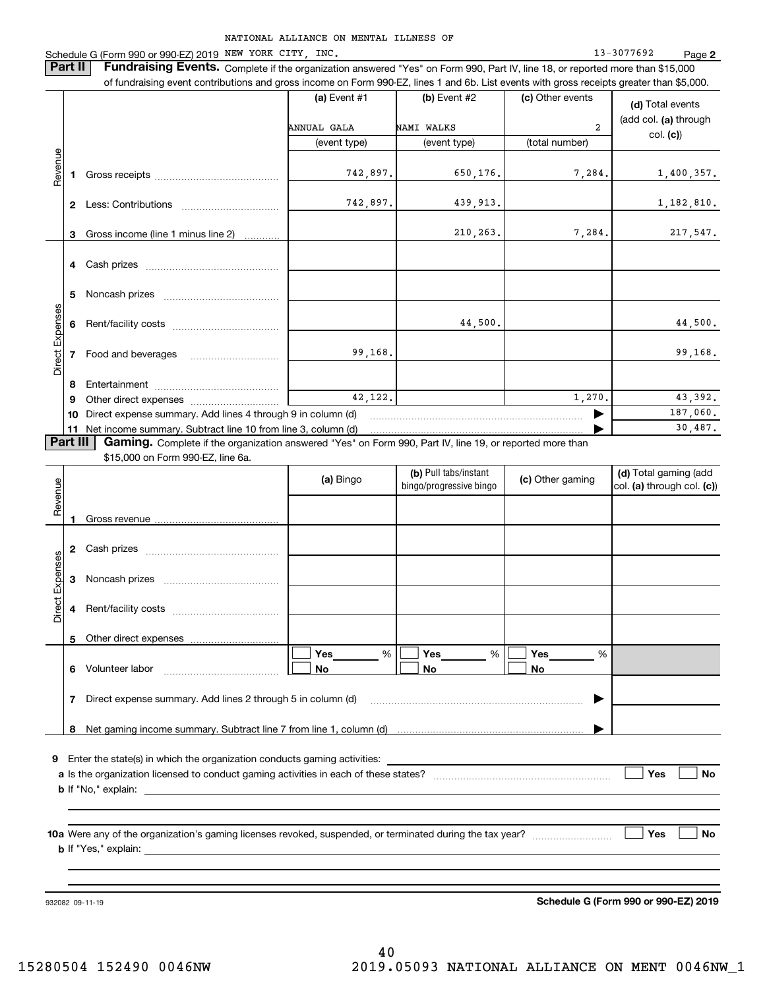NATIONAL ALLIANCE ON MENTAL ILLNESS OF Schedule G (Form 990 or 990-EZ) 2019 Page NEW YORK CITY, INC. 13-3077692 **2 Part II** | Fundraising Events. Complete if the organization answered "Yes" on Form 990, Part IV, line 18, or reported more than \$15,000 of fundraising event contributions and gross income on Form 990-EZ, lines 1 and 6b. List events with gross receipts greater than \$5,000. **(a)** Event #1  $\vert$  **(b)** Event #2 (c) Other events **(d)**  Total events (add col. **(a)** through ANNUAL GALA NAMI WALKS 2 col. **(c)**) (event type) (event type) (total number) Revenue Revenue 742,897. 650,176. 7,284. 1,400,357. **1**Gross receipts ~~~~~~~~~~~~~~ 742,897. 439,913. 1,182,810. **2** Less: Contributions ................................ 210,263. 7,284. Gross income (line 1 minus line 2) 217,547. **3**. . . . . . . . . . . . **4** Cash prizes <sub>……………………………………</sub> **5** Noncash prizes \_\_\_\_\_\_\_\_\_\_\_\_\_\_\_\_\_\_\_\_\_\_\_\_\_\_\_\_ Direct Expenses Direct Expense: 44,500. 44,500. **6**Rent/facility costs ~~~~~~~~~~~~99,168. 99,168. **7**Food and beverages **8**Entertainment ~~~~~~~~~~~~~~ Other direct expenses ~~~~~~~~~~ 42,122. 1,270. 43,392. **9**187,060.  $\blacktriangleright$ **10** Direct expense summary. Add lines 4 through 9 in column (d) 30,487. …… ▶ **11** Net income summary. Subtract line 10 from line 3, column (d)  $\sqrt{P}$ art III **Part III | Gaming.** Complete if the organization answered "Yes" on Form 990, Part IV, line 19, or reported more than \$15,000 on Form 990-EZ, line 6a. **(b)**  Pull tabs/instant **(d)**  Total gaming (add **(a)**  Revenue Bingo **Contract of Contract Contract Contract Contract Contract Contract Contract Contract Contract Contract Contract Contract Contract Contract Contract Contract Contract Contract Contract Contract Contract Contract Contr** Revenue bingo/progressive bingo col. **(a)** through col. **(c)**) Gross revenue **12** Cash prizes <sub>……………………………………</sub> Direct Expenses Direct Expenses **3**Noncash prizes ~~~~~~~~~~~~~ **4**Rent/facility costs ~~~~~~~~~~~~**5**Other direct expenses  $\boxed{\Box}$  Yes \_\_\_\_\_\_\_ %  $\boxed{\Box}$  Yes \_\_\_\_\_\_\_ %  $\boxed{\Box}$  $\mathcal{L}^{\text{max}}$ %**Yes Yes Yes** % %  $\mathcal{L}^{\text{max}}$ **No6** Volunteer labor  $\ldots$   $\ldots$   $\ldots$   $\ldots$   $\ldots$   $\ldots$   $\ldots$   $\ldots$  **No No** Direct expense summary. Add lines 2 through 5 in column (d) **7**~~~~~~~~~~~~~~~~~~~~~~~~ | Net gaming income summary. Subtract line 7 from line 1, column (d) **8**…… ▶ **9**Enter the state(s) in which the organization conducts gaming activities: **Yes**  $\mathcal{L}^{\text{max}}$ **a**Is the organization licensed to conduct gaming activities in each of these states? ~~~~~~~~~~~~~~~~~~~~ **No b**If "No," explain: **Yes No 10a**Were any of the organization's gaming licenses revoked, suspended, or terminated during the tax year? **b** If "Yes," explain:

932082 09-11-19

**Schedule G (Form 990 or 990-EZ) 2019**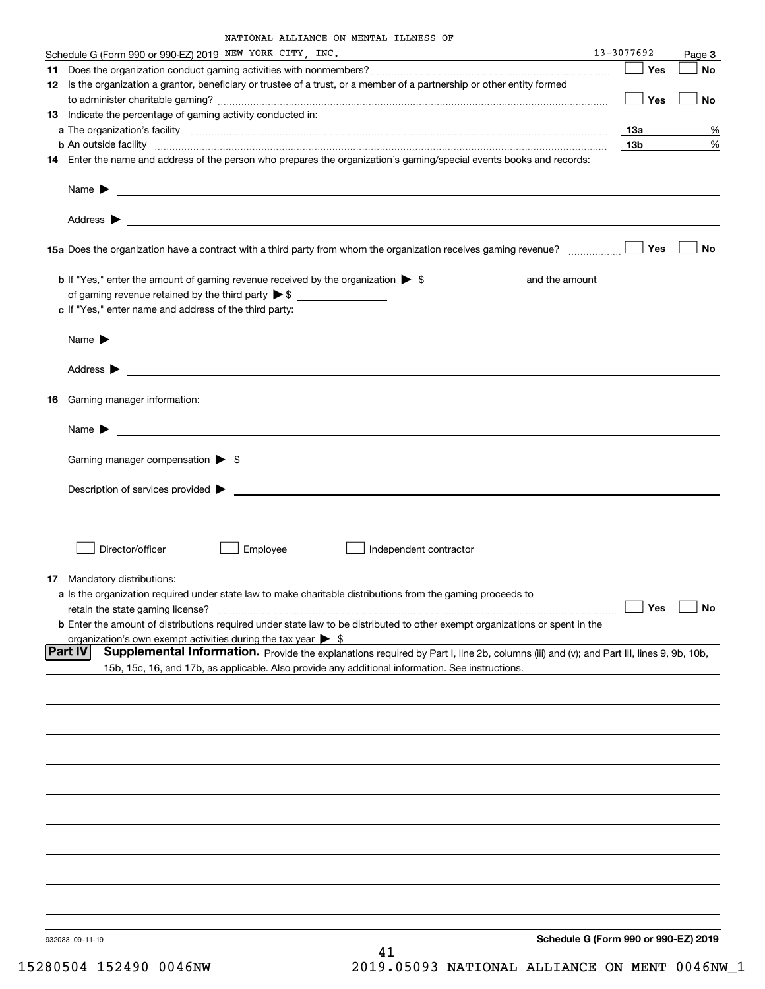| NATIONAL ALLIANCE ON MENTAL ILLNESS OF |  |  |
|----------------------------------------|--|--|
|                                        |  |  |

|     | Schedule G (Form 990 or 990-EZ) 2019 NEW YORK CITY, INC.                                                                                                                                                                                               | 13-3077692 |                 | Page 3    |
|-----|--------------------------------------------------------------------------------------------------------------------------------------------------------------------------------------------------------------------------------------------------------|------------|-----------------|-----------|
| 11. |                                                                                                                                                                                                                                                        |            | Yes             | No        |
|     | 12 Is the organization a grantor, beneficiary or trustee of a trust, or a member of a partnership or other entity formed                                                                                                                               |            |                 |           |
|     |                                                                                                                                                                                                                                                        |            | Yes             | No        |
|     | 13 Indicate the percentage of gaming activity conducted in:                                                                                                                                                                                            |            |                 |           |
|     |                                                                                                                                                                                                                                                        |            | <b>13a</b>      | %         |
|     | <b>b</b> An outside facility <i>www.communicality www.communicality.communicality www.communicality www.communicality.com</i>                                                                                                                          |            | 13 <sub>b</sub> | %         |
|     | 14 Enter the name and address of the person who prepares the organization's gaming/special events books and records:                                                                                                                                   |            |                 |           |
|     |                                                                                                                                                                                                                                                        |            |                 |           |
|     |                                                                                                                                                                                                                                                        |            |                 |           |
|     |                                                                                                                                                                                                                                                        |            | Yes             | No        |
|     |                                                                                                                                                                                                                                                        |            |                 |           |
|     |                                                                                                                                                                                                                                                        |            |                 |           |
|     | c If "Yes," enter name and address of the third party:                                                                                                                                                                                                 |            |                 |           |
|     | Name $\blacktriangleright$ $\lrcorner$                                                                                                                                                                                                                 |            |                 |           |
|     |                                                                                                                                                                                                                                                        |            |                 |           |
|     |                                                                                                                                                                                                                                                        |            |                 |           |
|     | 16 Gaming manager information:                                                                                                                                                                                                                         |            |                 |           |
|     | Name $\blacktriangleright$ $\lrcorner$                                                                                                                                                                                                                 |            |                 |           |
|     | Gaming manager compensation > \$                                                                                                                                                                                                                       |            |                 |           |
|     |                                                                                                                                                                                                                                                        |            |                 |           |
|     |                                                                                                                                                                                                                                                        |            |                 |           |
|     |                                                                                                                                                                                                                                                        |            |                 |           |
|     | Director/officer<br>Employee<br>Independent contractor                                                                                                                                                                                                 |            |                 |           |
|     |                                                                                                                                                                                                                                                        |            |                 |           |
|     | <b>17</b> Mandatory distributions:                                                                                                                                                                                                                     |            |                 |           |
|     | a Is the organization required under state law to make charitable distributions from the gaming proceeds to                                                                                                                                            |            |                 |           |
|     | retain the state gaming license?                                                                                                                                                                                                                       |            | $\Box$ Yes      | $\Box$ No |
|     | <b>b</b> Enter the amount of distributions required under state law to be distributed to other exempt organizations or spent in the                                                                                                                    |            |                 |           |
|     | organization's own exempt activities during the tax year $\triangleright$ \$                                                                                                                                                                           |            |                 |           |
|     | Supplemental Information. Provide the explanations required by Part I, line 2b, columns (iii) and (v); and Part III, lines 9, 9b, 10b,<br> Part IV<br>15b, 15c, 16, and 17b, as applicable. Also provide any additional information. See instructions. |            |                 |           |
|     |                                                                                                                                                                                                                                                        |            |                 |           |
|     |                                                                                                                                                                                                                                                        |            |                 |           |
|     |                                                                                                                                                                                                                                                        |            |                 |           |
|     |                                                                                                                                                                                                                                                        |            |                 |           |
|     |                                                                                                                                                                                                                                                        |            |                 |           |
|     |                                                                                                                                                                                                                                                        |            |                 |           |
|     |                                                                                                                                                                                                                                                        |            |                 |           |
|     |                                                                                                                                                                                                                                                        |            |                 |           |
|     |                                                                                                                                                                                                                                                        |            |                 |           |
|     |                                                                                                                                                                                                                                                        |            |                 |           |
|     |                                                                                                                                                                                                                                                        |            |                 |           |
|     | Schedule G (Form 990 or 990-EZ) 2019<br>932083 09-11-19                                                                                                                                                                                                |            |                 |           |

41 15280504 152490 0046NW 2019.05093 NATIONAL ALLIANCE ON MENT 0046NW\_1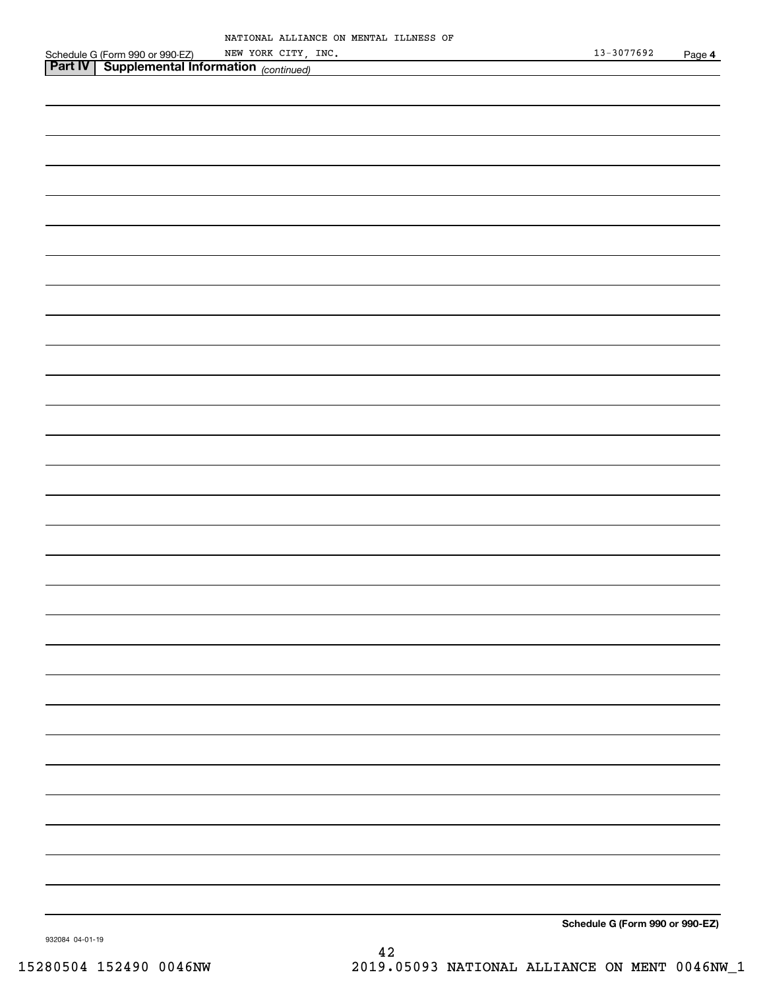|                                                                                                       | NATIONAL ALLIANCE ON MENTAL ILLNESS OF |                |      |
|-------------------------------------------------------------------------------------------------------|----------------------------------------|----------------|------|
| Schedule G (Form 990 or 990-EZ) NEW YORK CITY,<br><b>Part IV</b> Supplemental Information (continued) | NEW YORK CITY, INC.                    | $13 - 3077692$ | Page |
|                                                                                                       |                                        |                |      |
|                                                                                                       |                                        |                |      |
|                                                                                                       |                                        |                |      |
|                                                                                                       |                                        |                |      |
|                                                                                                       |                                        |                |      |
|                                                                                                       |                                        |                |      |
|                                                                                                       |                                        |                |      |
|                                                                                                       |                                        |                |      |
|                                                                                                       |                                        |                |      |
|                                                                                                       |                                        |                |      |
|                                                                                                       |                                        |                |      |
|                                                                                                       |                                        |                |      |
|                                                                                                       |                                        |                |      |
|                                                                                                       |                                        |                |      |
|                                                                                                       |                                        |                |      |
|                                                                                                       |                                        |                |      |
|                                                                                                       |                                        |                |      |
|                                                                                                       |                                        |                |      |
|                                                                                                       |                                        |                |      |
|                                                                                                       |                                        |                |      |
|                                                                                                       |                                        |                |      |
|                                                                                                       |                                        |                |      |
|                                                                                                       |                                        |                |      |
|                                                                                                       |                                        |                |      |
|                                                                                                       |                                        |                |      |
|                                                                                                       |                                        |                |      |
|                                                                                                       |                                        |                |      |
|                                                                                                       |                                        |                |      |
|                                                                                                       |                                        |                |      |
|                                                                                                       |                                        |                |      |
|                                                                                                       |                                        |                |      |
|                                                                                                       |                                        |                |      |
|                                                                                                       |                                        |                |      |
|                                                                                                       |                                        |                |      |
|                                                                                                       |                                        |                |      |
|                                                                                                       |                                        |                |      |
|                                                                                                       |                                        |                |      |
|                                                                                                       |                                        |                |      |
|                                                                                                       |                                        |                |      |
|                                                                                                       |                                        |                |      |
|                                                                                                       |                                        |                |      |
|                                                                                                       |                                        |                |      |
|                                                                                                       |                                        |                |      |
|                                                                                                       |                                        |                |      |
|                                                                                                       |                                        |                |      |
|                                                                                                       |                                        |                |      |
|                                                                                                       |                                        |                |      |
|                                                                                                       |                                        |                |      |
|                                                                                                       |                                        |                |      |
|                                                                                                       |                                        |                |      |
|                                                                                                       |                                        |                |      |
|                                                                                                       |                                        |                |      |
|                                                                                                       |                                        |                |      |
|                                                                                                       |                                        |                |      |
|                                                                                                       |                                        |                |      |
|                                                                                                       |                                        |                |      |
|                                                                                                       |                                        |                |      |
|                                                                                                       |                                        |                |      |

**Schedule G (Form 990 or 990-EZ)**

**4**

932084 04-01-19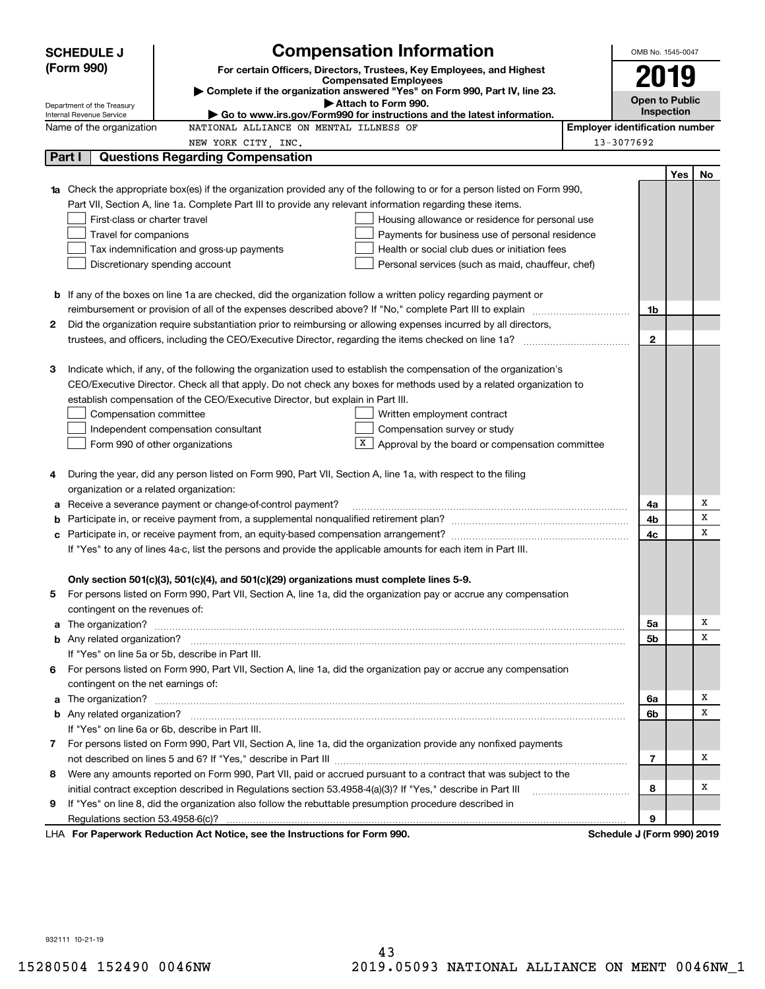|   | <b>Compensation Information</b><br><b>SCHEDULE J</b>                                                                                                                                                                                 |                                       | OMB No. 1545-0047          |     |        |
|---|--------------------------------------------------------------------------------------------------------------------------------------------------------------------------------------------------------------------------------------|---------------------------------------|----------------------------|-----|--------|
|   | (Form 990)<br>For certain Officers, Directors, Trustees, Key Employees, and Highest                                                                                                                                                  |                                       |                            |     |        |
|   | <b>Compensated Employees</b>                                                                                                                                                                                                         |                                       | 2019                       |     |        |
|   | Complete if the organization answered "Yes" on Form 990, Part IV, line 23.<br>Attach to Form 990.                                                                                                                                    |                                       | <b>Open to Public</b>      |     |        |
|   | Department of the Treasury<br>$\blacktriangleright$ Go to www.irs.gov/Form990 for instructions and the latest information.<br>Internal Revenue Service                                                                               |                                       | Inspection                 |     |        |
|   | NATIONAL ALLIANCE ON MENTAL ILLNESS OF<br>Name of the organization                                                                                                                                                                   | <b>Employer identification number</b> |                            |     |        |
|   | NEW YORK CITY, INC.                                                                                                                                                                                                                  |                                       | 13-3077692                 |     |        |
|   | Part I<br><b>Questions Regarding Compensation</b>                                                                                                                                                                                    |                                       |                            |     |        |
|   |                                                                                                                                                                                                                                      |                                       |                            | Yes | No     |
|   | Check the appropriate box(es) if the organization provided any of the following to or for a person listed on Form 990,                                                                                                               |                                       |                            |     |        |
|   | Part VII, Section A, line 1a. Complete Part III to provide any relevant information regarding these items.                                                                                                                           |                                       |                            |     |        |
|   | First-class or charter travel<br>Housing allowance or residence for personal use                                                                                                                                                     |                                       |                            |     |        |
|   | Travel for companions<br>Payments for business use of personal residence                                                                                                                                                             |                                       |                            |     |        |
|   | Tax indemnification and gross-up payments<br>Health or social club dues or initiation fees                                                                                                                                           |                                       |                            |     |        |
|   | Discretionary spending account<br>Personal services (such as maid, chauffeur, chef)                                                                                                                                                  |                                       |                            |     |        |
|   |                                                                                                                                                                                                                                      |                                       |                            |     |        |
|   | <b>b</b> If any of the boxes on line 1a are checked, did the organization follow a written policy regarding payment or                                                                                                               |                                       |                            |     |        |
|   |                                                                                                                                                                                                                                      |                                       | 1b                         |     |        |
| 2 | Did the organization require substantiation prior to reimbursing or allowing expenses incurred by all directors,                                                                                                                     |                                       |                            |     |        |
|   |                                                                                                                                                                                                                                      |                                       | $\mathbf{2}$               |     |        |
|   |                                                                                                                                                                                                                                      |                                       |                            |     |        |
| З | Indicate which, if any, of the following the organization used to establish the compensation of the organization's                                                                                                                   |                                       |                            |     |        |
|   | CEO/Executive Director. Check all that apply. Do not check any boxes for methods used by a related organization to                                                                                                                   |                                       |                            |     |        |
|   | establish compensation of the CEO/Executive Director, but explain in Part III.                                                                                                                                                       |                                       |                            |     |        |
|   | Compensation committee<br>Written employment contract                                                                                                                                                                                |                                       |                            |     |        |
|   | Compensation survey or study<br>Independent compensation consultant                                                                                                                                                                  |                                       |                            |     |        |
|   | X  <br>Approval by the board or compensation committee<br>Form 990 of other organizations                                                                                                                                            |                                       |                            |     |        |
|   |                                                                                                                                                                                                                                      |                                       |                            |     |        |
| 4 | During the year, did any person listed on Form 990, Part VII, Section A, line 1a, with respect to the filing                                                                                                                         |                                       |                            |     |        |
|   | organization or a related organization:                                                                                                                                                                                              |                                       |                            |     |        |
| а | Receive a severance payment or change-of-control payment?                                                                                                                                                                            |                                       | 4a                         |     | Х<br>x |
| b |                                                                                                                                                                                                                                      |                                       | 4b                         |     | x      |
| c |                                                                                                                                                                                                                                      |                                       | 4c                         |     |        |
|   | If "Yes" to any of lines 4a-c, list the persons and provide the applicable amounts for each item in Part III.                                                                                                                        |                                       |                            |     |        |
|   |                                                                                                                                                                                                                                      |                                       |                            |     |        |
|   | Only section 501(c)(3), 501(c)(4), and 501(c)(29) organizations must complete lines 5-9.<br>For persons listed on Form 990, Part VII, Section A, line 1a, did the organization pay or accrue any compensation                        |                                       |                            |     |        |
|   |                                                                                                                                                                                                                                      |                                       |                            |     |        |
| a | contingent on the revenues of:                                                                                                                                                                                                       |                                       | 5a                         |     | х      |
|   | The organization? <b>With the contract of the contract of the contract of the contract of the contract of the contract of the contract of the contract of the contract of the contract of the contract of the contract of the co</b> |                                       | 5b                         |     | х      |
|   | If "Yes" on line 5a or 5b, describe in Part III.                                                                                                                                                                                     |                                       |                            |     |        |
|   | 6 For persons listed on Form 990, Part VII, Section A, line 1a, did the organization pay or accrue any compensation                                                                                                                  |                                       |                            |     |        |
|   | contingent on the net earnings of:                                                                                                                                                                                                   |                                       |                            |     |        |
| a |                                                                                                                                                                                                                                      |                                       | 6a                         |     | х      |
|   |                                                                                                                                                                                                                                      |                                       | 6b                         |     | х      |
|   | If "Yes" on line 6a or 6b, describe in Part III.                                                                                                                                                                                     |                                       |                            |     |        |
|   | 7 For persons listed on Form 990, Part VII, Section A, line 1a, did the organization provide any nonfixed payments                                                                                                                   |                                       |                            |     |        |
|   |                                                                                                                                                                                                                                      |                                       | $\overline{7}$             |     | х      |
|   | 8 Were any amounts reported on Form 990, Part VII, paid or accrued pursuant to a contract that was subject to the                                                                                                                    |                                       |                            |     |        |
|   | initial contract exception described in Regulations section 53.4958-4(a)(3)? If "Yes," describe in Part III                                                                                                                          |                                       | 8                          |     | х      |
| 9 | If "Yes" on line 8, did the organization also follow the rebuttable presumption procedure described in                                                                                                                               |                                       |                            |     |        |
|   | Regulations section 53.4958-6(c)?                                                                                                                                                                                                    |                                       | 9                          |     |        |
|   | LHA For Paperwork Reduction Act Notice, see the Instructions for Form 990.                                                                                                                                                           |                                       | Schedule J (Form 990) 2019 |     |        |

932111 10-21-19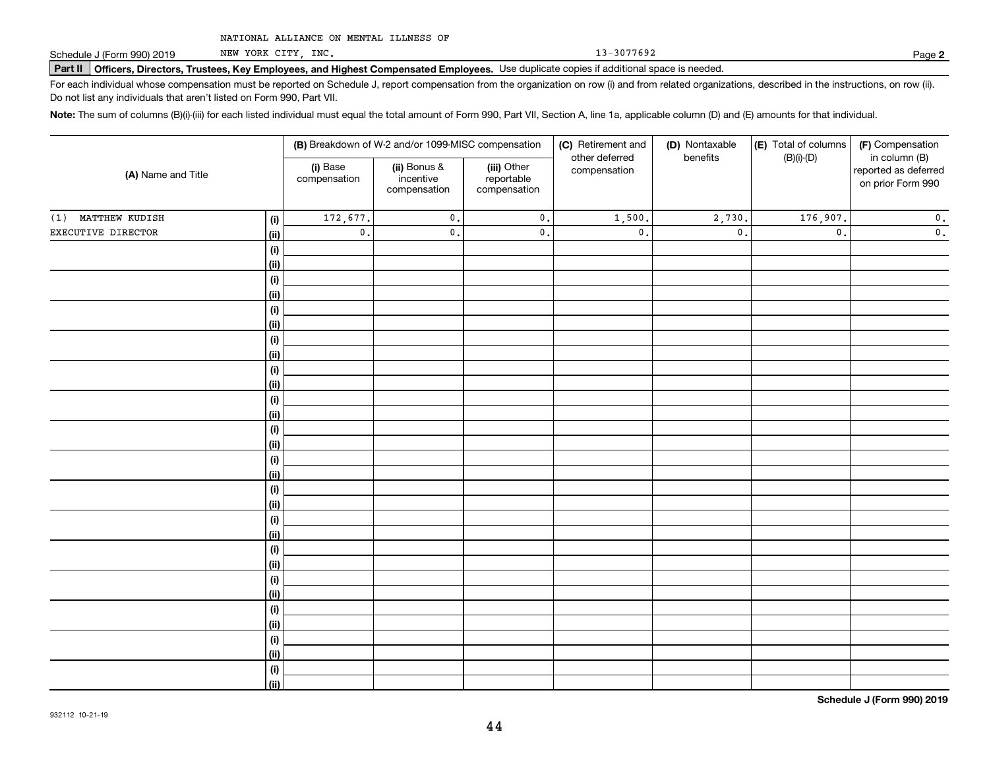NEW YORK CITY, INC.

13-3077692

**2**

# **Part II Officers, Directors, Trustees, Key Employees, and Highest Compensated Employees.**  Schedule J (Form 990) 2019 Page Use duplicate copies if additional space is needed.

For each individual whose compensation must be reported on Schedule J, report compensation from the organization on row (i) and from related organizations, described in the instructions, on row (ii). Do not list any individuals that aren't listed on Form 990, Part VII.

**Note:**  The sum of columns (B)(i)-(iii) for each listed individual must equal the total amount of Form 990, Part VII, Section A, line 1a, applicable column (D) and (E) amounts for that individual.

|                    |                              |                          | (B) Breakdown of W-2 and/or 1099-MISC compensation |                                           | (C) Retirement and<br>other deferred | (D) Nontaxable<br>benefits | (E) Total of columns<br>$(B)(i)-(D)$ | (F) Compensation<br>in column (B)         |
|--------------------|------------------------------|--------------------------|----------------------------------------------------|-------------------------------------------|--------------------------------------|----------------------------|--------------------------------------|-------------------------------------------|
| (A) Name and Title |                              | (i) Base<br>compensation | (ii) Bonus &<br>incentive<br>compensation          | (iii) Other<br>reportable<br>compensation | compensation                         |                            |                                      | reported as deferred<br>on prior Form 990 |
| (1) MATTHEW KUDISH | (i)                          | 172,677.                 | $\mathfrak o$ .                                    | $\mathbf 0$ .                             | 1,500.                               | 2,730.                     | 176,907.                             | $\mathbf 0$ .                             |
| EXECUTIVE DIRECTOR | <u>(ii)</u>                  | $\mathbf 0$ .            | $\mathfrak o$ .                                    | $\mathbf 0$ .                             | $\mathsf{0}$ .                       | $\mathfrak o$ .            | $\mathbf{0}$ .                       | $\overline{\mathbf{0}}$ .                 |
|                    | $\qquad \qquad \textbf{(i)}$ |                          |                                                    |                                           |                                      |                            |                                      |                                           |
|                    | <u>(ii)</u>                  |                          |                                                    |                                           |                                      |                            |                                      |                                           |
|                    | (i)                          |                          |                                                    |                                           |                                      |                            |                                      |                                           |
|                    | <u>(ii)</u>                  |                          |                                                    |                                           |                                      |                            |                                      |                                           |
|                    | (i)                          |                          |                                                    |                                           |                                      |                            |                                      |                                           |
|                    | <u>(ii)</u>                  |                          |                                                    |                                           |                                      |                            |                                      |                                           |
|                    | (i)                          |                          |                                                    |                                           |                                      |                            |                                      |                                           |
|                    | <u>(ii)</u>                  |                          |                                                    |                                           |                                      |                            |                                      |                                           |
|                    | (i)                          |                          |                                                    |                                           |                                      |                            |                                      |                                           |
|                    | <u>(ii)</u>                  |                          |                                                    |                                           |                                      |                            |                                      |                                           |
|                    | $\qquad \qquad \textbf{(i)}$ |                          |                                                    |                                           |                                      |                            |                                      |                                           |
|                    | (ii)                         |                          |                                                    |                                           |                                      |                            |                                      |                                           |
|                    | $(\sf{i})$<br><u>(ii)</u>    |                          |                                                    |                                           |                                      |                            |                                      |                                           |
|                    | (i)                          |                          |                                                    |                                           |                                      |                            |                                      |                                           |
|                    | <u>(ii)</u>                  |                          |                                                    |                                           |                                      |                            |                                      |                                           |
|                    | (i)                          |                          |                                                    |                                           |                                      |                            |                                      |                                           |
|                    | <u>(ii)</u>                  |                          |                                                    |                                           |                                      |                            |                                      |                                           |
|                    | (i)                          |                          |                                                    |                                           |                                      |                            |                                      |                                           |
|                    | <u>(ii)</u>                  |                          |                                                    |                                           |                                      |                            |                                      |                                           |
|                    | (i)                          |                          |                                                    |                                           |                                      |                            |                                      |                                           |
|                    | <u>(ii)</u>                  |                          |                                                    |                                           |                                      |                            |                                      |                                           |
|                    | (i)                          |                          |                                                    |                                           |                                      |                            |                                      |                                           |
|                    | <u>(ii)</u>                  |                          |                                                    |                                           |                                      |                            |                                      |                                           |
|                    | (i)                          |                          |                                                    |                                           |                                      |                            |                                      |                                           |
|                    | <u>(ii)</u>                  |                          |                                                    |                                           |                                      |                            |                                      |                                           |
|                    | $(\sf{i})$                   |                          |                                                    |                                           |                                      |                            |                                      |                                           |
|                    | <u>(ii)</u>                  |                          |                                                    |                                           |                                      |                            |                                      |                                           |
|                    | (i)                          |                          |                                                    |                                           |                                      |                            |                                      |                                           |
|                    | $\overline{}}$               |                          |                                                    |                                           |                                      |                            |                                      |                                           |

**Schedule J (Form 990) 2019**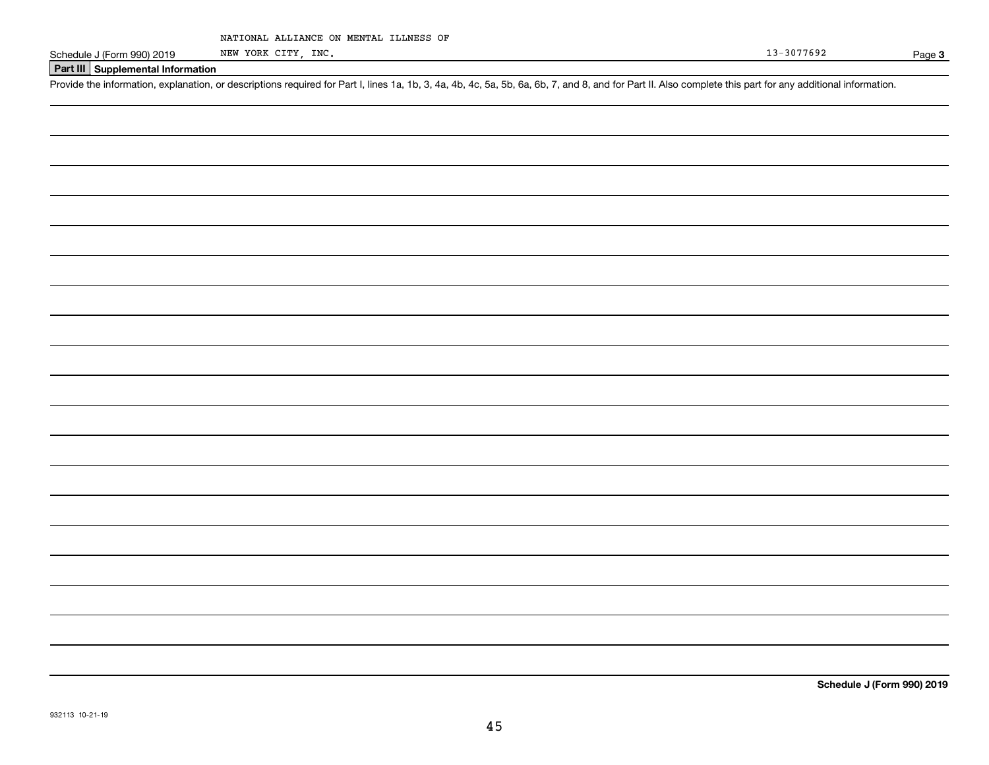| NATIONAL ALLIANCE ON MENTAL ILLNESS OF |  |  |  |
|----------------------------------------|--|--|--|
|----------------------------------------|--|--|--|

NEW YORK CITY, INC.

Page 3

#### **Part III Supplemental Information**

Schedule J (Form 990) 2019 NEW YORK CITY, INC.<br>Part III Supplemental Information<br>Provide the information, explanation, or descriptions required for Part I, lines 1a, 1b, 3, 4a, 4b, 4c, 5a, 5b, 6a, 6b, 7, and 8, and for Par

**Schedule J (Form 990) 2019**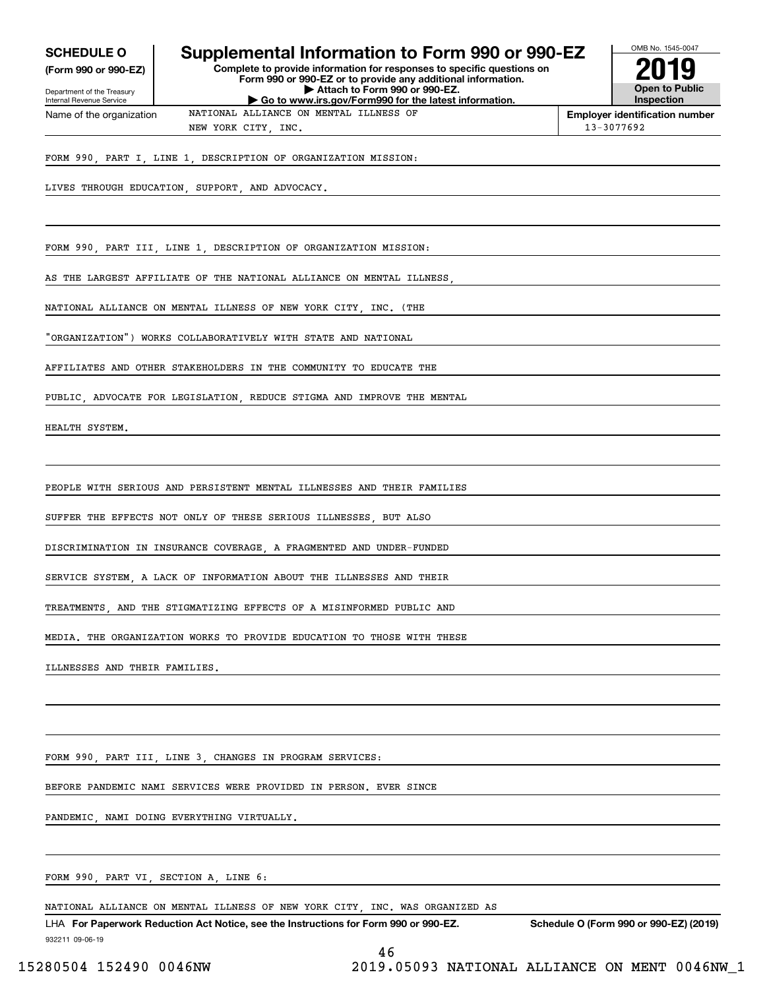| <b>SCHEDULE O</b> |  |
|-------------------|--|
|-------------------|--|

**(Form 990 or 990-EZ)**

Department of the Treasury Internal Revenue Service Name of the organization

## **Supplemental Information to Form 990 or 990-EZ**

**Complete to provide information for responses to specific questions on Form 990 or 990-EZ or to provide any additional information. | Attach to Form 990 or 990-EZ. | Go to www.irs.gov/Form990 for the latest information.**

**Open to Public Inspection2019**

OMB No. 1545-0047

**Employer identification number** NEW YORK CITY INC. 13-3077692

FORM 990, PART I, LINE 1, DESCRIPTION OF ORGANIZATION MISSION:

NATIONAL ALLIANCE ON MENTAL ILLNESS OF

LIVES THROUGH EDUCATION, SUPPORT, AND ADVOCACY.

FORM 990, PART III, LINE 1, DESCRIPTION OF ORGANIZATION MISSION:

AS THE LARGEST AFFILIATE OF THE NATIONAL ALLIANCE ON MENTAL ILLNESS

NATIONAL ALLIANCE ON MENTAL ILLNESS OF NEW YORK CITY, INC. (THE

"ORGANIZATION") WORKS COLLABORATIVELY WITH STATE AND NATIONAL

AFFILIATES AND OTHER STAKEHOLDERS IN THE COMMUNITY TO EDUCATE THE

PUBLIC, ADVOCATE FOR LEGISLATION, REDUCE STIGMA AND IMPROVE THE MENTAL

HEALTH SYSTEM.

PEOPLE WITH SERIOUS AND PERSISTENT MENTAL ILLNESSES AND THEIR FAMILIES

SUFFER THE EFFECTS NOT ONLY OF THESE SERIOUS ILLNESSES, BUT ALSO

DISCRIMINATION IN INSURANCE COVERAGE, A FRAGMENTED AND UNDER-FUNDED

SERVICE SYSTEM, A LACK OF INFORMATION ABOUT THE ILLNESSES AND THEIR

TREATMENTS, AND THE STIGMATIZING EFFECTS OF A MISINFORMED PUBLIC AND

MEDIA. THE ORGANIZATION WORKS TO PROVIDE EDUCATION TO THOSE WITH THESE

ILLNESSES AND THEIR FAMILIES.

FORM 990, PART III, LINE 3, CHANGES IN PROGRAM SERVICES:

BEFORE PANDEMIC NAMI SERVICES WERE PROVIDED IN PERSON. EVER SINCE

PANDEMIC, NAMI DOING EVERYTHING VIRTUALLY.

FORM 990, PART VI, SECTION A, LINE 6:

NATIONAL ALLIANCE ON MENTAL ILLNESS OF NEW YORK CITY, INC. WAS ORGANIZED AS

932211 09-06-19 LHA For Paperwork Reduction Act Notice, see the Instructions for Form 990 or 990-EZ. Schedule O (Form 990 or 990-EZ) (2019)

46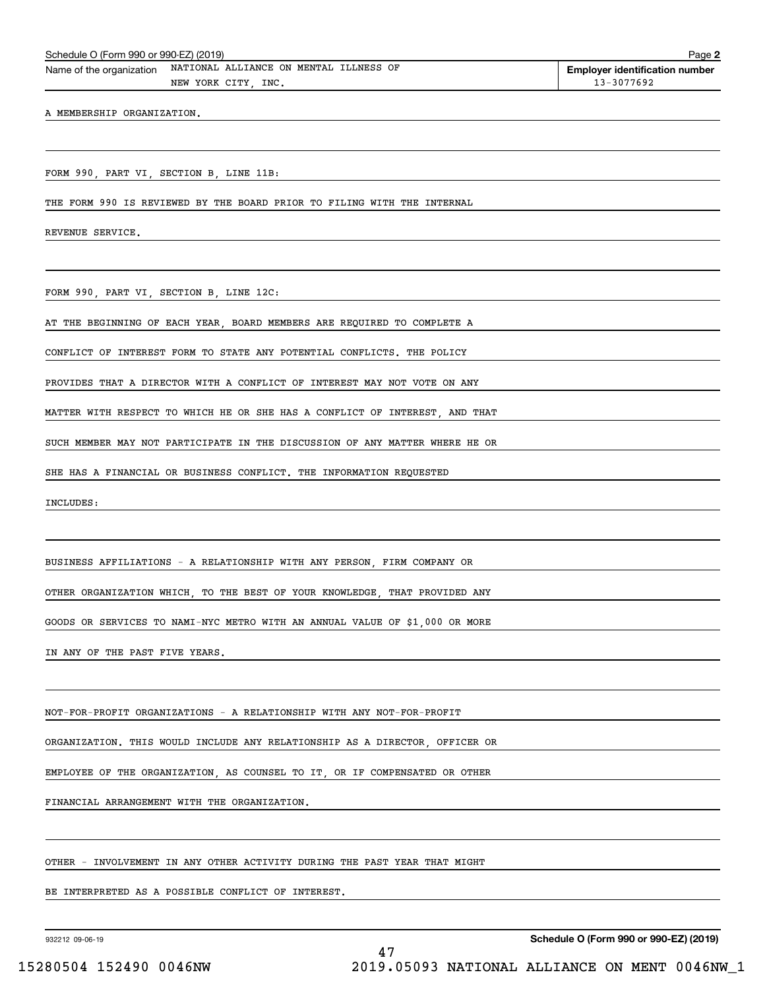|  | Schedule O (Form 990 or 990-EZ) (2019) |  |  |  |
|--|----------------------------------------|--|--|--|
|--|----------------------------------------|--|--|--|

Schedule O (Form 990 or 990-EZ) (2019) Page Name of the organization NATIONAL ALLIANCE ON MENTAL ILLNESS OF NEW YORK CITY, INC. 13-3077692

A MEMBERSHIP ORGANIZATION.

FORM 990, PART VI, SECTION B, LINE 11B:

THE FORM 990 IS REVIEWED BY THE BOARD PRIOR TO FILING WITH THE INTERNAL

REVENUE SERVICE.

FORM 990, PART VI, SECTION B, LINE 12C:

AT THE BEGINNING OF EACH YEAR, BOARD MEMBERS ARE REQUIRED TO COMPLETE A

CONFLICT OF INTEREST FORM TO STATE ANY POTENTIAL CONFLICTS. THE POLICY

PROVIDES THAT A DIRECTOR WITH A CONFLICT OF INTEREST MAY NOT VOTE ON ANY

MATTER WITH RESPECT TO WHICH HE OR SHE HAS A CONFLICT OF INTEREST, AND THAT

SUCH MEMBER MAY NOT PARTICIPATE IN THE DISCUSSION OF ANY MATTER WHERE HE OR

SHE HAS A FINANCIAL OR BUSINESS CONFLICT. THE INFORMATION REQUESTED

INCLUDES:

BUSINESS AFFILIATIONS - A RELATIONSHIP WITH ANY PERSON, FIRM COMPANY OR

OTHER ORGANIZATION WHICH, TO THE BEST OF YOUR KNOWLEDGE, THAT PROVIDED ANY

GOODS OR SERVICES TO NAMI-NYC METRO WITH AN ANNUAL VALUE OF \$1,000 OR MORE

IN ANY OF THE PAST FIVE YEARS.

NOT-FOR-PROFIT ORGANIZATIONS - A RELATIONSHIP WITH ANY NOT-FOR-PROFIT

ORGANIZATION. THIS WOULD INCLUDE ANY RELATIONSHIP AS A DIRECTOR, OFFICER OR

EMPLOYEE OF THE ORGANIZATION, AS COUNSEL TO IT, OR IF COMPENSATED OR OTHER

FINANCIAL ARRANGEMENT WITH THE ORGANIZATION.

OTHER - INVOLVEMENT IN ANY OTHER ACTIVITY DURING THE PAST YEAR THAT MIGHT

BE INTERPRETED AS A POSSIBLE CONFLICT OF INTEREST.

932212 09-06-19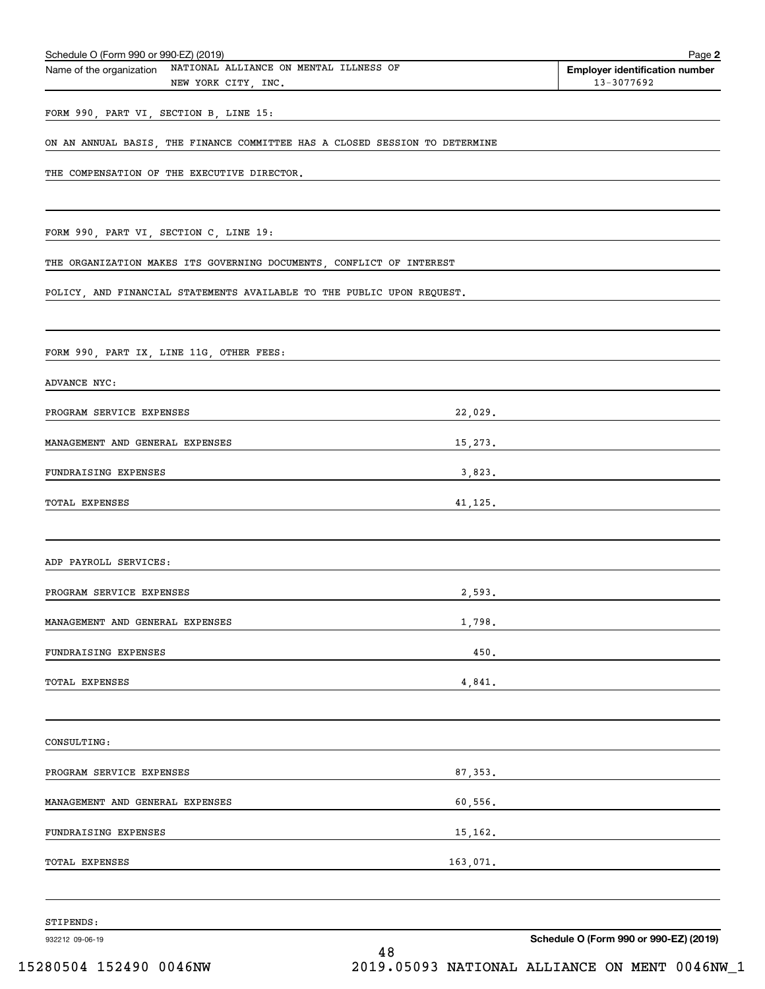| Schedule O (Form 990 or 990-EZ) (2019)                                                    |          | Page 2                                              |
|-------------------------------------------------------------------------------------------|----------|-----------------------------------------------------|
| NATIONAL ALLIANCE ON MENTAL ILLNESS OF<br>Name of the organization<br>NEW YORK CITY, INC. |          | <b>Employer identification number</b><br>13-3077692 |
| FORM 990, PART VI, SECTION B, LINE 15:                                                    |          |                                                     |
| ON AN ANNUAL BASIS, THE FINANCE COMMITTEE HAS A CLOSED SESSION TO DETERMINE               |          |                                                     |
| THE COMPENSATION OF THE EXECUTIVE DIRECTOR.                                               |          |                                                     |
| FORM 990, PART VI, SECTION C, LINE 19:                                                    |          |                                                     |
| THE ORGANIZATION MAKES ITS GOVERNING DOCUMENTS, CONFLICT OF INTEREST                      |          |                                                     |
| POLICY, AND FINANCIAL STATEMENTS AVAILABLE TO THE PUBLIC UPON REQUEST.                    |          |                                                     |
| FORM 990, PART IX, LINE 11G, OTHER FEES:                                                  |          |                                                     |
| ADVANCE NYC:                                                                              |          |                                                     |
| PROGRAM SERVICE EXPENSES                                                                  | 22,029.  |                                                     |
| MANAGEMENT AND GENERAL EXPENSES                                                           | 15,273.  |                                                     |
| FUNDRAISING EXPENSES                                                                      | 3,823.   |                                                     |
| TOTAL EXPENSES                                                                            | 41,125.  |                                                     |
| ADP PAYROLL SERVICES:                                                                     |          |                                                     |
| PROGRAM SERVICE EXPENSES                                                                  | 2,593.   |                                                     |
| MANAGEMENT AND GENERAL EXPENSES                                                           | 1,798.   |                                                     |
| FUNDRAISING EXPENSES                                                                      | 450.     |                                                     |
| TOTAL EXPENSES                                                                            | 4,841.   |                                                     |
| CONSULTING:                                                                               |          |                                                     |
| PROGRAM SERVICE EXPENSES                                                                  | 87,353.  |                                                     |
| MANAGEMENT AND GENERAL EXPENSES                                                           |          |                                                     |
| FUNDRAISING EXPENSES                                                                      |          |                                                     |
| TOTAL EXPENSES                                                                            | 163,071. |                                                     |
| STIPENDS:                                                                                 |          |                                                     |
| 932212 09-06-19                                                                           | 48       | Schedule O (Form 990 or 990-EZ) (2019)              |